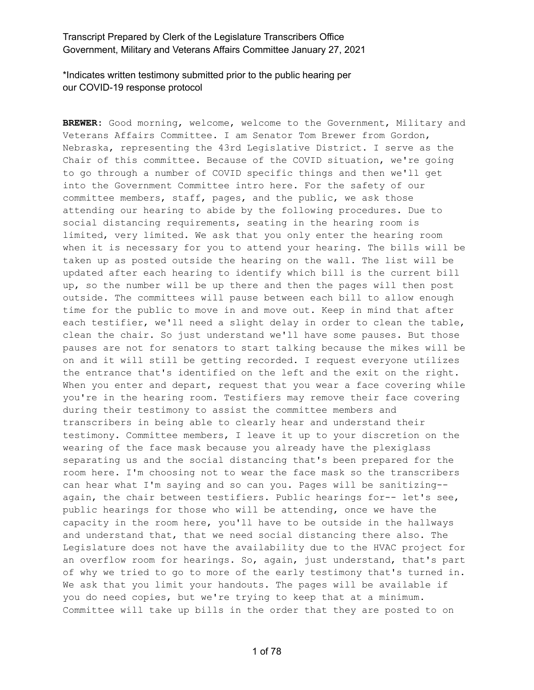\*Indicates written testimony submitted prior to the public hearing per our COVID-19 response protocol

**BREWER:** Good morning, welcome, welcome to the Government, Military and Veterans Affairs Committee. I am Senator Tom Brewer from Gordon, Nebraska, representing the 43rd Legislative District. I serve as the Chair of this committee. Because of the COVID situation, we're going to go through a number of COVID specific things and then we'll get into the Government Committee intro here. For the safety of our committee members, staff, pages, and the public, we ask those attending our hearing to abide by the following procedures. Due to social distancing requirements, seating in the hearing room is limited, very limited. We ask that you only enter the hearing room when it is necessary for you to attend your hearing. The bills will be taken up as posted outside the hearing on the wall. The list will be updated after each hearing to identify which bill is the current bill up, so the number will be up there and then the pages will then post outside. The committees will pause between each bill to allow enough time for the public to move in and move out. Keep in mind that after each testifier, we'll need a slight delay in order to clean the table, clean the chair. So just understand we'll have some pauses. But those pauses are not for senators to start talking because the mikes will be on and it will still be getting recorded. I request everyone utilizes the entrance that's identified on the left and the exit on the right. When you enter and depart, request that you wear a face covering while you're in the hearing room. Testifiers may remove their face covering during their testimony to assist the committee members and transcribers in being able to clearly hear and understand their testimony. Committee members, I leave it up to your discretion on the wearing of the face mask because you already have the plexiglass separating us and the social distancing that's been prepared for the room here. I'm choosing not to wear the face mask so the transcribers can hear what I'm saying and so can you. Pages will be sanitizing- again, the chair between testifiers. Public hearings for-- let's see, public hearings for those who will be attending, once we have the capacity in the room here, you'll have to be outside in the hallways and understand that, that we need social distancing there also. The Legislature does not have the availability due to the HVAC project for an overflow room for hearings. So, again, just understand, that's part of why we tried to go to more of the early testimony that's turned in. We ask that you limit your handouts. The pages will be available if you do need copies, but we're trying to keep that at a minimum. Committee will take up bills in the order that they are posted to on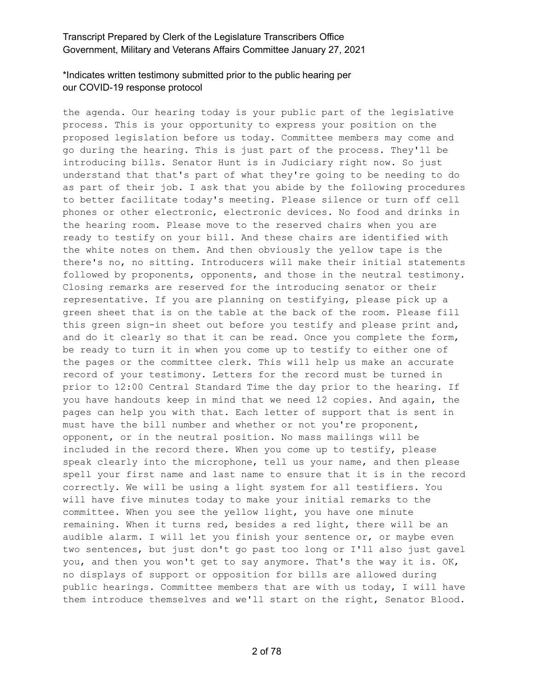# \*Indicates written testimony submitted prior to the public hearing per our COVID-19 response protocol

the agenda. Our hearing today is your public part of the legislative process. This is your opportunity to express your position on the proposed legislation before us today. Committee members may come and go during the hearing. This is just part of the process. They'll be introducing bills. Senator Hunt is in Judiciary right now. So just understand that that's part of what they're going to be needing to do as part of their job. I ask that you abide by the following procedures to better facilitate today's meeting. Please silence or turn off cell phones or other electronic, electronic devices. No food and drinks in the hearing room. Please move to the reserved chairs when you are ready to testify on your bill. And these chairs are identified with the white notes on them. And then obviously the yellow tape is the there's no, no sitting. Introducers will make their initial statements followed by proponents, opponents, and those in the neutral testimony. Closing remarks are reserved for the introducing senator or their representative. If you are planning on testifying, please pick up a green sheet that is on the table at the back of the room. Please fill this green sign-in sheet out before you testify and please print and, and do it clearly so that it can be read. Once you complete the form, be ready to turn it in when you come up to testify to either one of the pages or the committee clerk. This will help us make an accurate record of your testimony. Letters for the record must be turned in prior to 12:00 Central Standard Time the day prior to the hearing. If you have handouts keep in mind that we need 12 copies. And again, the pages can help you with that. Each letter of support that is sent in must have the bill number and whether or not you're proponent, opponent, or in the neutral position. No mass mailings will be included in the record there. When you come up to testify, please speak clearly into the microphone, tell us your name, and then please spell your first name and last name to ensure that it is in the record correctly. We will be using a light system for all testifiers. You will have five minutes today to make your initial remarks to the committee. When you see the yellow light, you have one minute remaining. When it turns red, besides a red light, there will be an audible alarm. I will let you finish your sentence or, or maybe even two sentences, but just don't go past too long or I'll also just gavel you, and then you won't get to say anymore. That's the way it is. OK, no displays of support or opposition for bills are allowed during public hearings. Committee members that are with us today, I will have them introduce themselves and we'll start on the right, Senator Blood.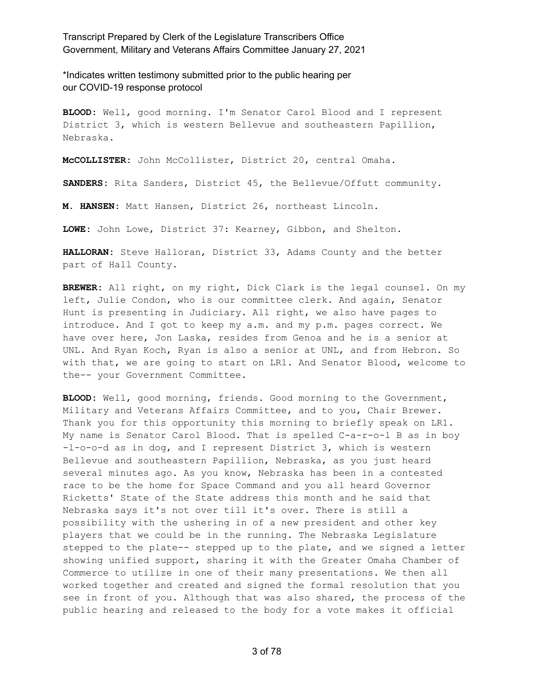\*Indicates written testimony submitted prior to the public hearing per our COVID-19 response protocol

**BLOOD:** Well, good morning. I'm Senator Carol Blood and I represent District 3, which is western Bellevue and southeastern Papillion, Nebraska.

**McCOLLISTER:** John McCollister, District 20, central Omaha.

**SANDERS:** Rita Sanders, District 45, the Bellevue/Offutt community.

**M. HANSEN:** Matt Hansen, District 26, northeast Lincoln.

**LOWE:** John Lowe, District 37: Kearney, Gibbon, and Shelton.

**HALLORAN:** Steve Halloran, District 33, Adams County and the better part of Hall County.

**BREWER:** All right, on my right, Dick Clark is the legal counsel. On my left, Julie Condon, who is our committee clerk. And again, Senator Hunt is presenting in Judiciary. All right, we also have pages to introduce. And I got to keep my a.m. and my p.m. pages correct. We have over here, Jon Laska, resides from Genoa and he is a senior at UNL. And Ryan Koch, Ryan is also a senior at UNL, and from Hebron. So with that, we are going to start on LR1. And Senator Blood, welcome to the-- your Government Committee.

**BLOOD:** Well, good morning, friends. Good morning to the Government, Military and Veterans Affairs Committee, and to you, Chair Brewer. Thank you for this opportunity this morning to briefly speak on LR1. My name is Senator Carol Blood. That is spelled C-a-r-o-l B as in boy -l-o-o-d as in dog, and I represent District 3, which is western Bellevue and southeastern Papillion, Nebraska, as you just heard several minutes ago. As you know, Nebraska has been in a contested race to be the home for Space Command and you all heard Governor Ricketts' State of the State address this month and he said that Nebraska says it's not over till it's over. There is still a possibility with the ushering in of a new president and other key players that we could be in the running. The Nebraska Legislature stepped to the plate-- stepped up to the plate, and we signed a letter showing unified support, sharing it with the Greater Omaha Chamber of Commerce to utilize in one of their many presentations. We then all worked together and created and signed the formal resolution that you see in front of you. Although that was also shared, the process of the public hearing and released to the body for a vote makes it official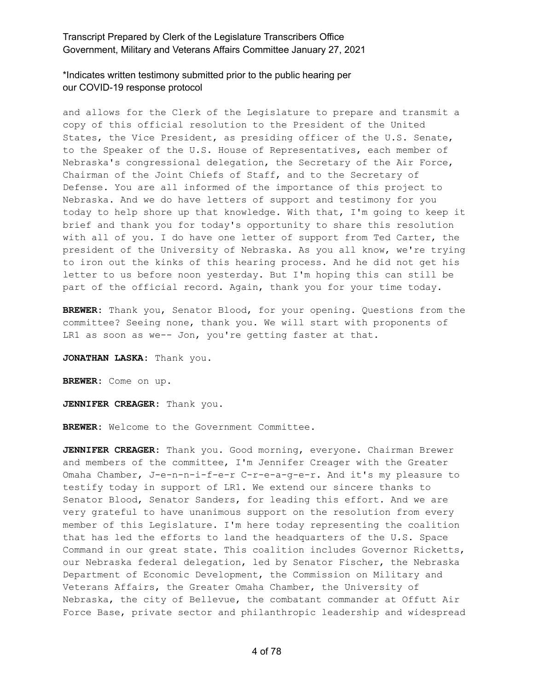\*Indicates written testimony submitted prior to the public hearing per our COVID-19 response protocol

and allows for the Clerk of the Legislature to prepare and transmit a copy of this official resolution to the President of the United States, the Vice President, as presiding officer of the U.S. Senate, to the Speaker of the U.S. House of Representatives, each member of Nebraska's congressional delegation, the Secretary of the Air Force, Chairman of the Joint Chiefs of Staff, and to the Secretary of Defense. You are all informed of the importance of this project to Nebraska. And we do have letters of support and testimony for you today to help shore up that knowledge. With that, I'm going to keep it brief and thank you for today's opportunity to share this resolution with all of you. I do have one letter of support from Ted Carter, the president of the University of Nebraska. As you all know, we're trying to iron out the kinks of this hearing process. And he did not get his letter to us before noon yesterday. But I'm hoping this can still be part of the official record. Again, thank you for your time today.

**BREWER:** Thank you, Senator Blood, for your opening. Questions from the committee? Seeing none, thank you. We will start with proponents of LR1 as soon as we-- Jon, you're getting faster at that.

**JONATHAN LASKA:** Thank you.

**BREWER:** Come on up.

**JENNIFER CREAGER:** Thank you.

**BREWER:** Welcome to the Government Committee.

**JENNIFER CREAGER:** Thank you. Good morning, everyone. Chairman Brewer and members of the committee, I'm Jennifer Creager with the Greater Omaha Chamber, J-e-n-n-i-f-e-r C-r-e-a-g-e-r. And it's my pleasure to testify today in support of LR1. We extend our sincere thanks to Senator Blood, Senator Sanders, for leading this effort. And we are very grateful to have unanimous support on the resolution from every member of this Legislature. I'm here today representing the coalition that has led the efforts to land the headquarters of the U.S. Space Command in our great state. This coalition includes Governor Ricketts, our Nebraska federal delegation, led by Senator Fischer, the Nebraska Department of Economic Development, the Commission on Military and Veterans Affairs, the Greater Omaha Chamber, the University of Nebraska, the city of Bellevue, the combatant commander at Offutt Air Force Base, private sector and philanthropic leadership and widespread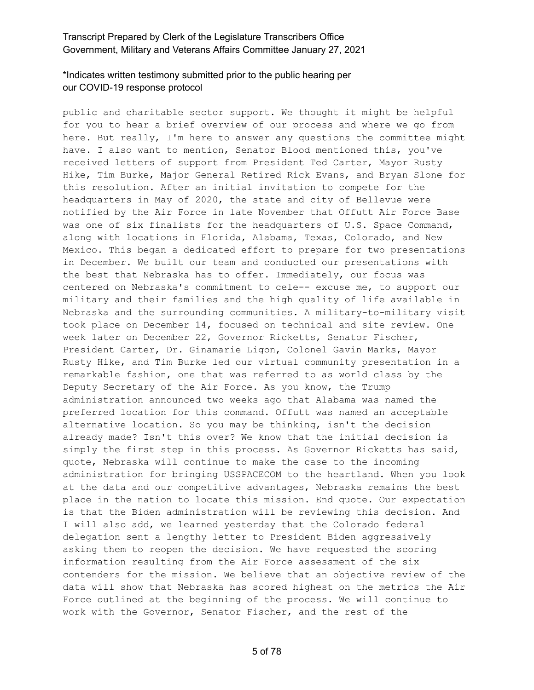### \*Indicates written testimony submitted prior to the public hearing per our COVID-19 response protocol

public and charitable sector support. We thought it might be helpful for you to hear a brief overview of our process and where we go from here. But really, I'm here to answer any questions the committee might have. I also want to mention, Senator Blood mentioned this, you've received letters of support from President Ted Carter, Mayor Rusty Hike, Tim Burke, Major General Retired Rick Evans, and Bryan Slone for this resolution. After an initial invitation to compete for the headquarters in May of 2020, the state and city of Bellevue were notified by the Air Force in late November that Offutt Air Force Base was one of six finalists for the headquarters of U.S. Space Command, along with locations in Florida, Alabama, Texas, Colorado, and New Mexico. This began a dedicated effort to prepare for two presentations in December. We built our team and conducted our presentations with the best that Nebraska has to offer. Immediately, our focus was centered on Nebraska's commitment to cele-- excuse me, to support our military and their families and the high quality of life available in Nebraska and the surrounding communities. A military-to-military visit took place on December 14, focused on technical and site review. One week later on December 22, Governor Ricketts, Senator Fischer, President Carter, Dr. Ginamarie Ligon, Colonel Gavin Marks, Mayor Rusty Hike, and Tim Burke led our virtual community presentation in a remarkable fashion, one that was referred to as world class by the Deputy Secretary of the Air Force. As you know, the Trump administration announced two weeks ago that Alabama was named the preferred location for this command. Offutt was named an acceptable alternative location. So you may be thinking, isn't the decision already made? Isn't this over? We know that the initial decision is simply the first step in this process. As Governor Ricketts has said, quote, Nebraska will continue to make the case to the incoming administration for bringing USSPACECOM to the heartland. When you look at the data and our competitive advantages, Nebraska remains the best place in the nation to locate this mission. End quote. Our expectation is that the Biden administration will be reviewing this decision. And I will also add, we learned yesterday that the Colorado federal delegation sent a lengthy letter to President Biden aggressively asking them to reopen the decision. We have requested the scoring information resulting from the Air Force assessment of the six contenders for the mission. We believe that an objective review of the data will show that Nebraska has scored highest on the metrics the Air Force outlined at the beginning of the process. We will continue to work with the Governor, Senator Fischer, and the rest of the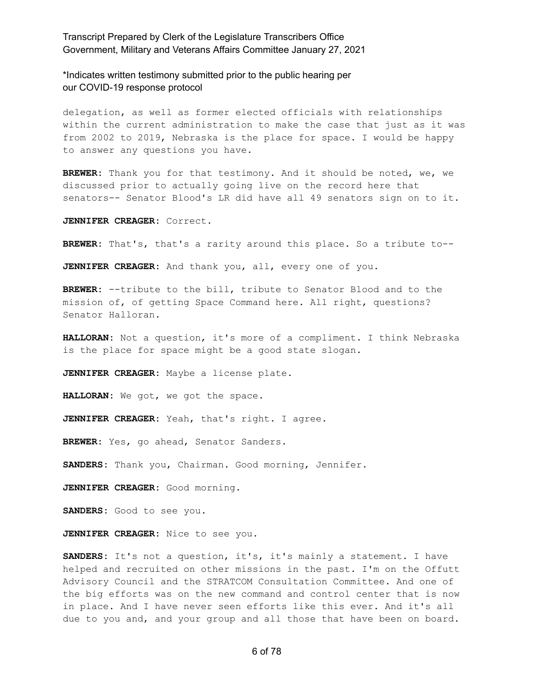\*Indicates written testimony submitted prior to the public hearing per our COVID-19 response protocol

delegation, as well as former elected officials with relationships within the current administration to make the case that just as it was from 2002 to 2019, Nebraska is the place for space. I would be happy to answer any questions you have.

**BREWER:** Thank you for that testimony. And it should be noted, we, we discussed prior to actually going live on the record here that senators-- Senator Blood's LR did have all 49 senators sign on to it.

**JENNIFER CREAGER:** Correct.

**BREWER:** That's, that's a rarity around this place. So a tribute to--

**JENNIFER CREAGER:** And thank you, all, every one of you.

**BREWER:** --tribute to the bill, tribute to Senator Blood and to the mission of, of getting Space Command here. All right, questions? Senator Halloran.

**HALLORAN:** Not a question, it's more of a compliment. I think Nebraska is the place for space might be a good state slogan.

**JENNIFER CREAGER:** Maybe a license plate.

**HALLORAN:** We got, we got the space.

**JENNIFER CREAGER:** Yeah, that's right. I agree.

**BREWER:** Yes, go ahead, Senator Sanders.

**SANDERS:** Thank you, Chairman. Good morning, Jennifer.

**JENNIFER CREAGER:** Good morning.

**SANDERS:** Good to see you.

**JENNIFER CREAGER:** Nice to see you.

**SANDERS:** It's not a question, it's, it's mainly a statement. I have helped and recruited on other missions in the past. I'm on the Offutt Advisory Council and the STRATCOM Consultation Committee. And one of the big efforts was on the new command and control center that is now in place. And I have never seen efforts like this ever. And it's all due to you and, and your group and all those that have been on board.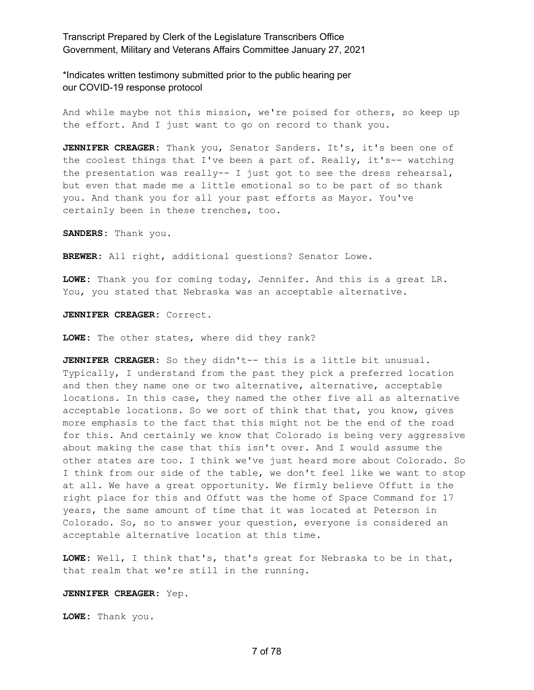\*Indicates written testimony submitted prior to the public hearing per our COVID-19 response protocol

And while maybe not this mission, we're poised for others, so keep up the effort. And I just want to go on record to thank you.

**JENNIFER CREAGER:** Thank you, Senator Sanders. It's, it's been one of the coolest things that I've been a part of. Really, it's-- watching the presentation was really-- I just got to see the dress rehearsal, but even that made me a little emotional so to be part of so thank you. And thank you for all your past efforts as Mayor. You've certainly been in these trenches, too.

**SANDERS:** Thank you.

**BREWER:** All right, additional questions? Senator Lowe.

**LOWE:** Thank you for coming today, Jennifer. And this is a great LR. You, you stated that Nebraska was an acceptable alternative.

**JENNIFER CREAGER:** Correct.

**LOWE:** The other states, where did they rank?

**JENNIFER CREAGER:** So they didn't-- this is a little bit unusual. Typically, I understand from the past they pick a preferred location and then they name one or two alternative, alternative, acceptable locations. In this case, they named the other five all as alternative acceptable locations. So we sort of think that that, you know, gives more emphasis to the fact that this might not be the end of the road for this. And certainly we know that Colorado is being very aggressive about making the case that this isn't over. And I would assume the other states are too. I think we've just heard more about Colorado. So I think from our side of the table, we don't feel like we want to stop at all. We have a great opportunity. We firmly believe Offutt is the right place for this and Offutt was the home of Space Command for 17 years, the same amount of time that it was located at Peterson in Colorado. So, so to answer your question, everyone is considered an acceptable alternative location at this time.

**LOWE:** Well, I think that's, that's great for Nebraska to be in that, that realm that we're still in the running.

#### **JENNIFER CREAGER:** Yep.

**LOWE:** Thank you.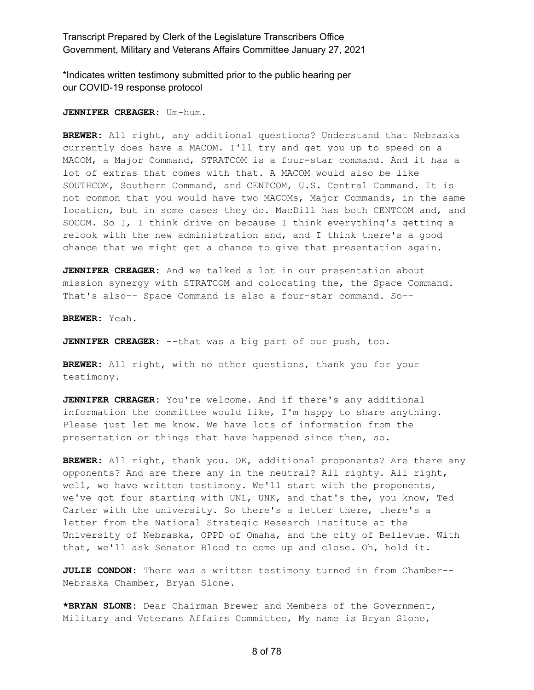\*Indicates written testimony submitted prior to the public hearing per our COVID-19 response protocol

**JENNIFER CREAGER:** Um-hum.

**BREWER:** All right, any additional questions? Understand that Nebraska currently does have a MACOM. I'll try and get you up to speed on a MACOM, a Major Command, STRATCOM is a four-star command. And it has a lot of extras that comes with that. A MACOM would also be like SOUTHCOM, Southern Command, and CENTCOM, U.S. Central Command. It is not common that you would have two MACOMs, Major Commands, in the same location, but in some cases they do. MacDill has both CENTCOM and, and SOCOM. So I, I think drive on because I think everything's getting a relook with the new administration and, and I think there's a good chance that we might get a chance to give that presentation again.

**JENNIFER CREAGER:** And we talked a lot in our presentation about mission synergy with STRATCOM and colocating the, the Space Command. That's also-- Space Command is also a four-star command. So--

**BREWER:** Yeah.

**JENNIFER CREAGER:** --that was a big part of our push, too.

**BREWER:** All right, with no other questions, thank you for your testimony.

**JENNIFER CREAGER:** You're welcome. And if there's any additional information the committee would like, I'm happy to share anything. Please just let me know. We have lots of information from the presentation or things that have happened since then, so.

**BREWER:** All right, thank you. OK, additional proponents? Are there any opponents? And are there any in the neutral? All righty. All right, well, we have written testimony. We'll start with the proponents, we've got four starting with UNL, UNK, and that's the, you know, Ted Carter with the university. So there's a letter there, there's a letter from the National Strategic Research Institute at the University of Nebraska, OPPD of Omaha, and the city of Bellevue. With that, we'll ask Senator Blood to come up and close. Oh, hold it.

**JULIE CONDON:** There was a written testimony turned in from Chamber-- Nebraska Chamber, Bryan Slone.

**\*BRYAN SLONE:** Dear Chairman Brewer and Members of the Government, Military and Veterans Affairs Committee, My name is Bryan Slone,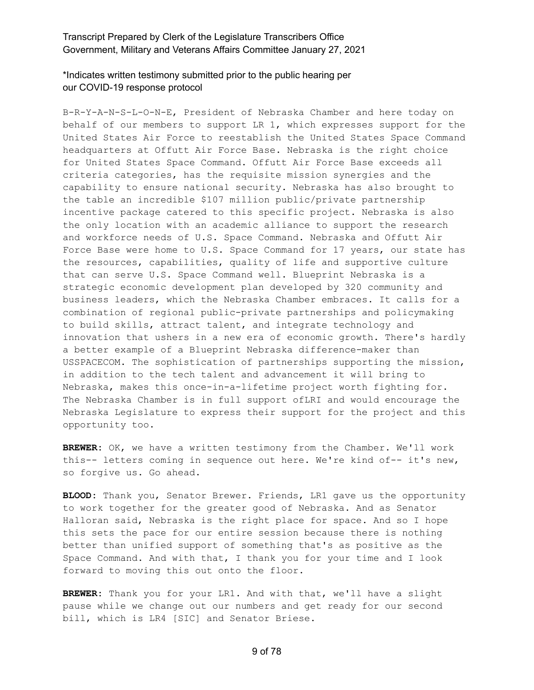# \*Indicates written testimony submitted prior to the public hearing per our COVID-19 response protocol

B-R-Y-A-N-S-L-O-N-E, President of Nebraska Chamber and here today on behalf of our members to support LR 1, which expresses support for the United States Air Force to reestablish the United States Space Command headquarters at Offutt Air Force Base. Nebraska is the right choice for United States Space Command. Offutt Air Force Base exceeds all criteria categories, has the requisite mission synergies and the capability to ensure national security. Nebraska has also brought to the table an incredible \$107 million public/private partnership incentive package catered to this specific project. Nebraska is also the only location with an academic alliance to support the research and workforce needs of U.S. Space Command. Nebraska and Offutt Air Force Base were home to U.S. Space Command for 17 years, our state has the resources, capabilities, quality of life and supportive culture that can serve U.S. Space Command well. Blueprint Nebraska is a strategic economic development plan developed by 320 community and business leaders, which the Nebraska Chamber embraces. It calls for a combination of regional public-private partnerships and policymaking to build skills, attract talent, and integrate technology and innovation that ushers in a new era of economic growth. There's hardly a better example of a Blueprint Nebraska difference-maker than USSPACECOM. The sophistication of partnerships supporting the mission, in addition to the tech talent and advancement it will bring to Nebraska, makes this once-in-a-lifetime project worth fighting for. The Nebraska Chamber is in full support ofLRI and would encourage the Nebraska Legislature to express their support for the project and this opportunity too.

**BREWER:** OK, we have a written testimony from the Chamber. We'll work this-- letters coming in sequence out here. We're kind of-- it's new, so forgive us. Go ahead.

**BLOOD:** Thank you, Senator Brewer. Friends, LR1 gave us the opportunity to work together for the greater good of Nebraska. And as Senator Halloran said, Nebraska is the right place for space. And so I hope this sets the pace for our entire session because there is nothing better than unified support of something that's as positive as the Space Command. And with that, I thank you for your time and I look forward to moving this out onto the floor.

**BREWER:** Thank you for your LR1. And with that, we'll have a slight pause while we change out our numbers and get ready for our second bill, which is LR4 [SIC] and Senator Briese.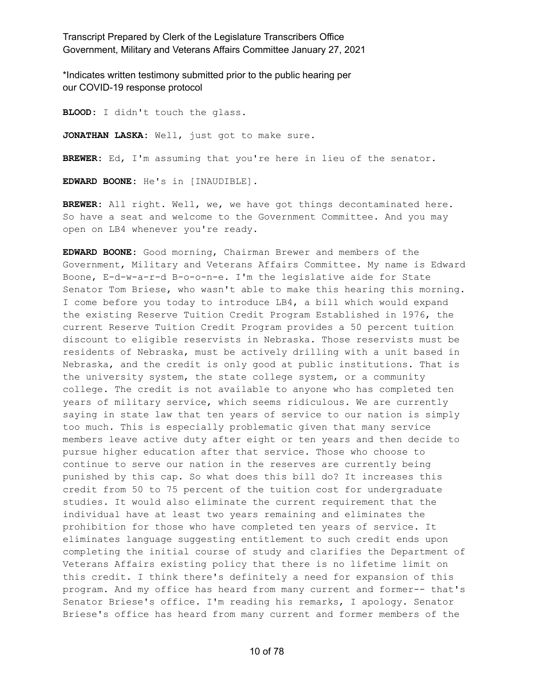\*Indicates written testimony submitted prior to the public hearing per our COVID-19 response protocol

**BLOOD:** I didn't touch the glass. **JONATHAN LASKA:** Well, just got to make sure. **BREWER:** Ed, I'm assuming that you're here in lieu of the senator. **EDWARD BOONE:** He's in [INAUDIBLE].

**BREWER:** All right. Well, we, we have got things decontaminated here. So have a seat and welcome to the Government Committee. And you may open on LB4 whenever you're ready.

**EDWARD BOONE:** Good morning, Chairman Brewer and members of the Government, Military and Veterans Affairs Committee. My name is Edward Boone, E-d-w-a-r-d B-o-o-n-e. I'm the legislative aide for State Senator Tom Briese, who wasn't able to make this hearing this morning. I come before you today to introduce LB4, a bill which would expand the existing Reserve Tuition Credit Program Established in 1976, the current Reserve Tuition Credit Program provides a 50 percent tuition discount to eligible reservists in Nebraska. Those reservists must be residents of Nebraska, must be actively drilling with a unit based in Nebraska, and the credit is only good at public institutions. That is the university system, the state college system, or a community college. The credit is not available to anyone who has completed ten years of military service, which seems ridiculous. We are currently saying in state law that ten years of service to our nation is simply too much. This is especially problematic given that many service members leave active duty after eight or ten years and then decide to pursue higher education after that service. Those who choose to continue to serve our nation in the reserves are currently being punished by this cap. So what does this bill do? It increases this credit from 50 to 75 percent of the tuition cost for undergraduate studies. It would also eliminate the current requirement that the individual have at least two years remaining and eliminates the prohibition for those who have completed ten years of service. It eliminates language suggesting entitlement to such credit ends upon completing the initial course of study and clarifies the Department of Veterans Affairs existing policy that there is no lifetime limit on this credit. I think there's definitely a need for expansion of this program. And my office has heard from many current and former-- that's Senator Briese's office. I'm reading his remarks, I apology. Senator Briese's office has heard from many current and former members of the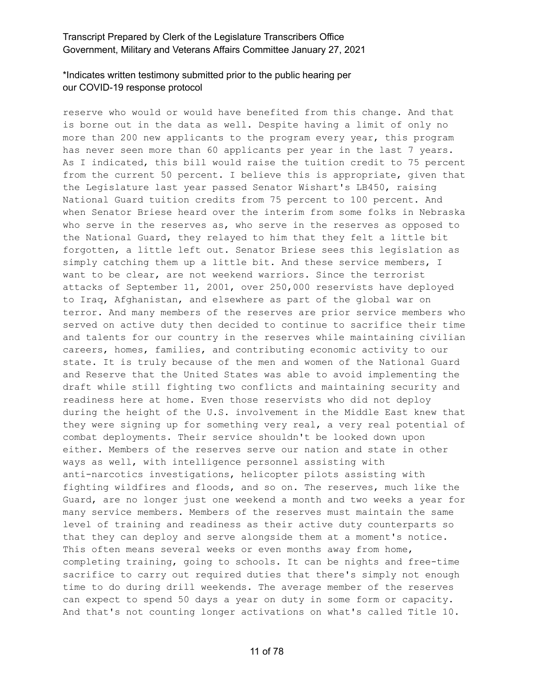# \*Indicates written testimony submitted prior to the public hearing per our COVID-19 response protocol

reserve who would or would have benefited from this change. And that is borne out in the data as well. Despite having a limit of only no more than 200 new applicants to the program every year, this program has never seen more than 60 applicants per year in the last 7 years. As I indicated, this bill would raise the tuition credit to 75 percent from the current 50 percent. I believe this is appropriate, given that the Legislature last year passed Senator Wishart's LB450, raising National Guard tuition credits from 75 percent to 100 percent. And when Senator Briese heard over the interim from some folks in Nebraska who serve in the reserves as, who serve in the reserves as opposed to the National Guard, they relayed to him that they felt a little bit forgotten, a little left out. Senator Briese sees this legislation as simply catching them up a little bit. And these service members, I want to be clear, are not weekend warriors. Since the terrorist attacks of September 11, 2001, over 250,000 reservists have deployed to Iraq, Afghanistan, and elsewhere as part of the global war on terror. And many members of the reserves are prior service members who served on active duty then decided to continue to sacrifice their time and talents for our country in the reserves while maintaining civilian careers, homes, families, and contributing economic activity to our state. It is truly because of the men and women of the National Guard and Reserve that the United States was able to avoid implementing the draft while still fighting two conflicts and maintaining security and readiness here at home. Even those reservists who did not deploy during the height of the U.S. involvement in the Middle East knew that they were signing up for something very real, a very real potential of combat deployments. Their service shouldn't be looked down upon either. Members of the reserves serve our nation and state in other ways as well, with intelligence personnel assisting with anti-narcotics investigations, helicopter pilots assisting with fighting wildfires and floods, and so on. The reserves, much like the Guard, are no longer just one weekend a month and two weeks a year for many service members. Members of the reserves must maintain the same level of training and readiness as their active duty counterparts so that they can deploy and serve alongside them at a moment's notice. This often means several weeks or even months away from home, completing training, going to schools. It can be nights and free-time sacrifice to carry out required duties that there's simply not enough time to do during drill weekends. The average member of the reserves can expect to spend 50 days a year on duty in some form or capacity. And that's not counting longer activations on what's called Title 10.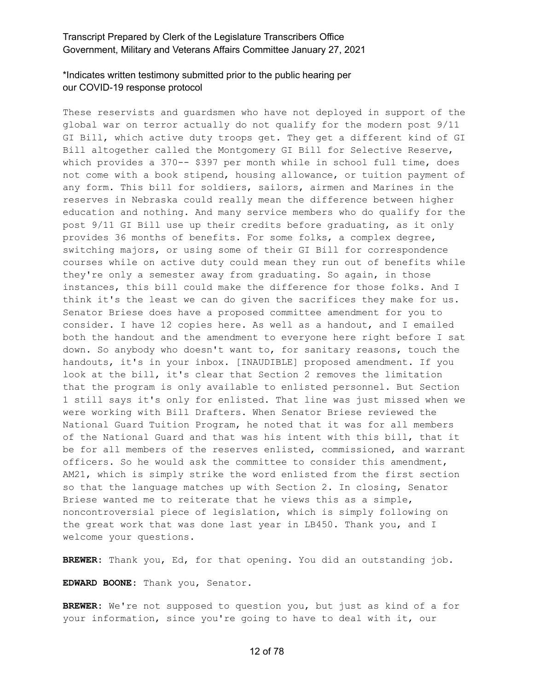# \*Indicates written testimony submitted prior to the public hearing per our COVID-19 response protocol

These reservists and guardsmen who have not deployed in support of the global war on terror actually do not qualify for the modern post 9/11 GI Bill, which active duty troops get. They get a different kind of GI Bill altogether called the Montgomery GI Bill for Selective Reserve, which provides a 370-- \$397 per month while in school full time, does not come with a book stipend, housing allowance, or tuition payment of any form. This bill for soldiers, sailors, airmen and Marines in the reserves in Nebraska could really mean the difference between higher education and nothing. And many service members who do qualify for the post 9/11 GI Bill use up their credits before graduating, as it only provides 36 months of benefits. For some folks, a complex degree, switching majors, or using some of their GI Bill for correspondence courses while on active duty could mean they run out of benefits while they're only a semester away from graduating. So again, in those instances, this bill could make the difference for those folks. And I think it's the least we can do given the sacrifices they make for us. Senator Briese does have a proposed committee amendment for you to consider. I have 12 copies here. As well as a handout, and I emailed both the handout and the amendment to everyone here right before I sat down. So anybody who doesn't want to, for sanitary reasons, touch the handouts, it's in your inbox. [INAUDIBLE] proposed amendment. If you look at the bill, it's clear that Section 2 removes the limitation that the program is only available to enlisted personnel. But Section 1 still says it's only for enlisted. That line was just missed when we were working with Bill Drafters. When Senator Briese reviewed the National Guard Tuition Program, he noted that it was for all members of the National Guard and that was his intent with this bill, that it be for all members of the reserves enlisted, commissioned, and warrant officers. So he would ask the committee to consider this amendment, AM21, which is simply strike the word enlisted from the first section so that the language matches up with Section 2. In closing, Senator Briese wanted me to reiterate that he views this as a simple, noncontroversial piece of legislation, which is simply following on the great work that was done last year in LB450. Thank you, and I welcome your questions.

**BREWER:** Thank you, Ed, for that opening. You did an outstanding job.

**EDWARD BOONE:** Thank you, Senator.

**BREWER:** We're not supposed to question you, but just as kind of a for your information, since you're going to have to deal with it, our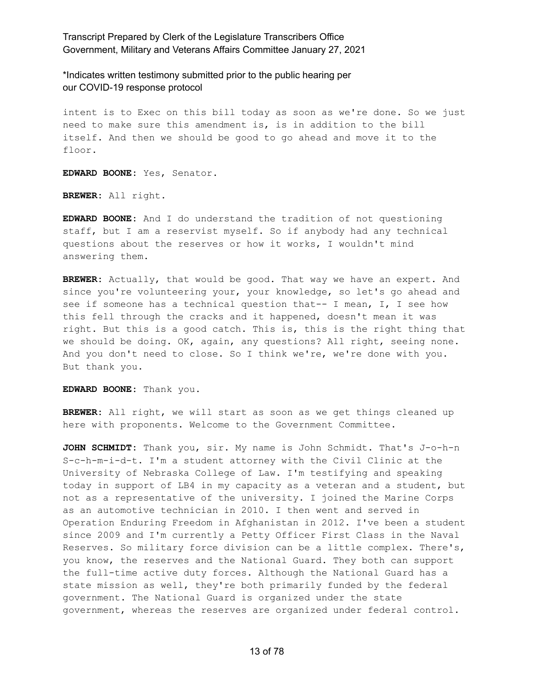\*Indicates written testimony submitted prior to the public hearing per our COVID-19 response protocol

intent is to Exec on this bill today as soon as we're done. So we just need to make sure this amendment is, is in addition to the bill itself. And then we should be good to go ahead and move it to the floor.

**EDWARD BOONE:** Yes, Senator.

**BREWER:** All right.

**EDWARD BOONE:** And I do understand the tradition of not questioning staff, but I am a reservist myself. So if anybody had any technical questions about the reserves or how it works, I wouldn't mind answering them.

**BREWER:** Actually, that would be good. That way we have an expert. And since you're volunteering your, your knowledge, so let's go ahead and see if someone has a technical question that-- I mean, I, I see how this fell through the cracks and it happened, doesn't mean it was right. But this is a good catch. This is, this is the right thing that we should be doing. OK, again, any questions? All right, seeing none. And you don't need to close. So I think we're, we're done with you. But thank you.

**EDWARD BOONE:** Thank you.

**BREWER:** All right, we will start as soon as we get things cleaned up here with proponents. Welcome to the Government Committee.

**JOHN SCHMIDT:** Thank you, sir. My name is John Schmidt. That's J-o-h-n S-c-h-m-i-d-t. I'm a student attorney with the Civil Clinic at the University of Nebraska College of Law. I'm testifying and speaking today in support of LB4 in my capacity as a veteran and a student, but not as a representative of the university. I joined the Marine Corps as an automotive technician in 2010. I then went and served in Operation Enduring Freedom in Afghanistan in 2012. I've been a student since 2009 and I'm currently a Petty Officer First Class in the Naval Reserves. So military force division can be a little complex. There's, you know, the reserves and the National Guard. They both can support the full-time active duty forces. Although the National Guard has a state mission as well, they're both primarily funded by the federal government. The National Guard is organized under the state government, whereas the reserves are organized under federal control.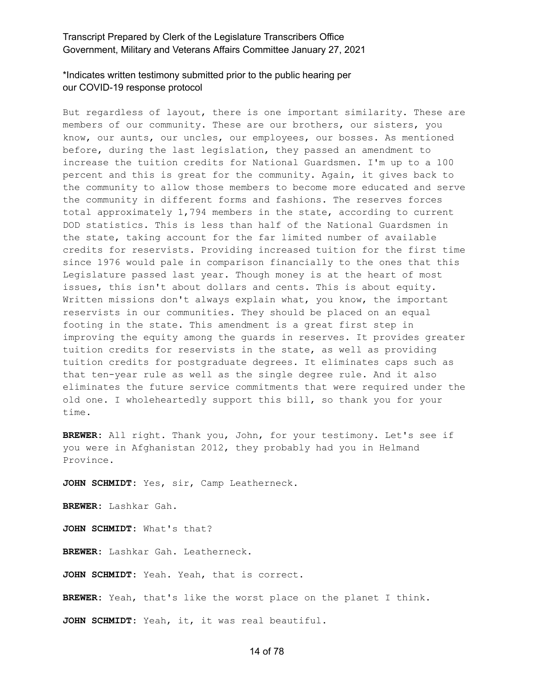# \*Indicates written testimony submitted prior to the public hearing per our COVID-19 response protocol

But regardless of layout, there is one important similarity. These are members of our community. These are our brothers, our sisters, you know, our aunts, our uncles, our employees, our bosses. As mentioned before, during the last legislation, they passed an amendment to increase the tuition credits for National Guardsmen. I'm up to a 100 percent and this is great for the community. Again, it gives back to the community to allow those members to become more educated and serve the community in different forms and fashions. The reserves forces total approximately 1,794 members in the state, according to current DOD statistics. This is less than half of the National Guardsmen in the state, taking account for the far limited number of available credits for reservists. Providing increased tuition for the first time since 1976 would pale in comparison financially to the ones that this Legislature passed last year. Though money is at the heart of most issues, this isn't about dollars and cents. This is about equity. Written missions don't always explain what, you know, the important reservists in our communities. They should be placed on an equal footing in the state. This amendment is a great first step in improving the equity among the guards in reserves. It provides greater tuition credits for reservists in the state, as well as providing tuition credits for postgraduate degrees. It eliminates caps such as that ten-year rule as well as the single degree rule. And it also eliminates the future service commitments that were required under the old one. I wholeheartedly support this bill, so thank you for your time.

**BREWER:** All right. Thank you, John, for your testimony. Let's see if you were in Afghanistan 2012, they probably had you in Helmand Province.

**JOHN SCHMIDT:** Yes, sir, Camp Leatherneck.

**BREWER:** Lashkar Gah.

**JOHN SCHMIDT:** What's that?

**BREWER:** Lashkar Gah. Leatherneck.

**JOHN SCHMIDT:** Yeah. Yeah, that is correct.

**BREWER:** Yeah, that's like the worst place on the planet I think.

**JOHN SCHMIDT:** Yeah, it, it was real beautiful.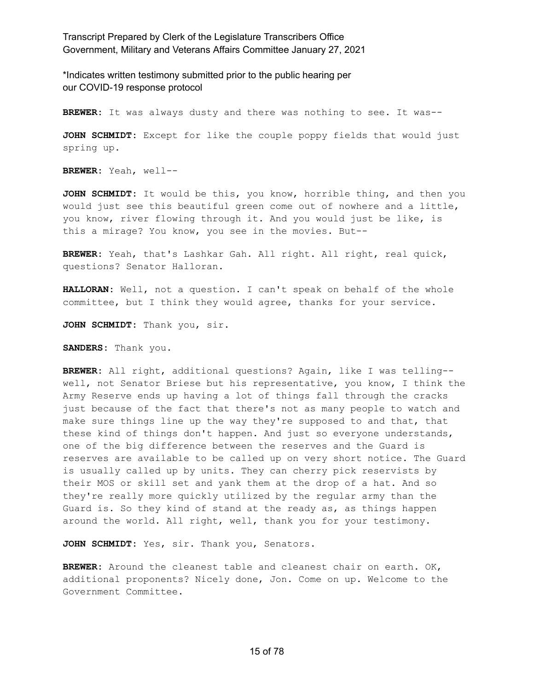\*Indicates written testimony submitted prior to the public hearing per our COVID-19 response protocol

**BREWER:** It was always dusty and there was nothing to see. It was--

**JOHN SCHMIDT:** Except for like the couple poppy fields that would just spring up.

**BREWER:** Yeah, well--

**JOHN SCHMIDT:** It would be this, you know, horrible thing, and then you would just see this beautiful green come out of nowhere and a little, you know, river flowing through it. And you would just be like, is this a mirage? You know, you see in the movies. But--

**BREWER:** Yeah, that's Lashkar Gah. All right. All right, real quick, questions? Senator Halloran.

**HALLORAN:** Well, not a question. I can't speak on behalf of the whole committee, but I think they would agree, thanks for your service.

**JOHN SCHMIDT:** Thank you, sir.

**SANDERS:** Thank you.

**BREWER:** All right, additional questions? Again, like I was telling- well, not Senator Briese but his representative, you know, I think the Army Reserve ends up having a lot of things fall through the cracks just because of the fact that there's not as many people to watch and make sure things line up the way they're supposed to and that, that these kind of things don't happen. And just so everyone understands, one of the big difference between the reserves and the Guard is reserves are available to be called up on very short notice. The Guard is usually called up by units. They can cherry pick reservists by their MOS or skill set and yank them at the drop of a hat. And so they're really more quickly utilized by the regular army than the Guard is. So they kind of stand at the ready as, as things happen around the world. All right, well, thank you for your testimony.

**JOHN SCHMIDT:** Yes, sir. Thank you, Senators.

**BREWER:** Around the cleanest table and cleanest chair on earth. OK, additional proponents? Nicely done, Jon. Come on up. Welcome to the Government Committee.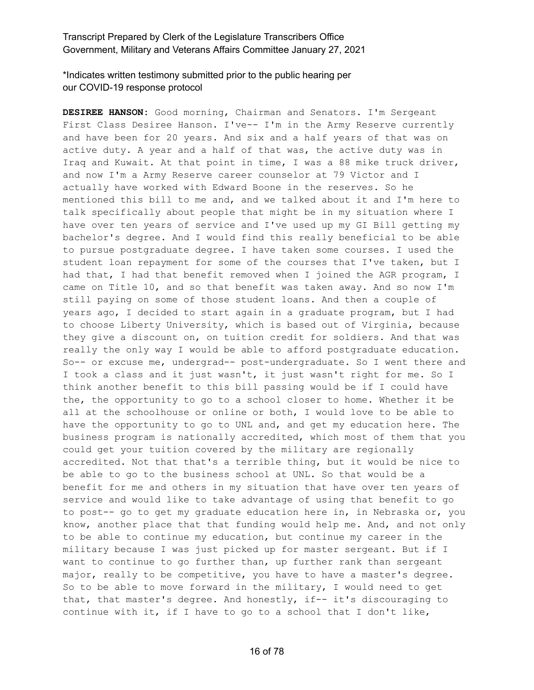# \*Indicates written testimony submitted prior to the public hearing per our COVID-19 response protocol

**DESIREE HANSON:** Good morning, Chairman and Senators. I'm Sergeant First Class Desiree Hanson. I've-- I'm in the Army Reserve currently and have been for 20 years. And six and a half years of that was on active duty. A year and a half of that was, the active duty was in Iraq and Kuwait. At that point in time, I was a 88 mike truck driver, and now I'm a Army Reserve career counselor at 79 Victor and I actually have worked with Edward Boone in the reserves. So he mentioned this bill to me and, and we talked about it and I'm here to talk specifically about people that might be in my situation where I have over ten years of service and I've used up my GI Bill getting my bachelor's degree. And I would find this really beneficial to be able to pursue postgraduate degree. I have taken some courses. I used the student loan repayment for some of the courses that I've taken, but I had that, I had that benefit removed when I joined the AGR program, I came on Title 10, and so that benefit was taken away. And so now I'm still paying on some of those student loans. And then a couple of years ago, I decided to start again in a graduate program, but I had to choose Liberty University, which is based out of Virginia, because they give a discount on, on tuition credit for soldiers. And that was really the only way I would be able to afford postgraduate education. So-- or excuse me, undergrad-- post-undergraduate. So I went there and I took a class and it just wasn't, it just wasn't right for me. So I think another benefit to this bill passing would be if I could have the, the opportunity to go to a school closer to home. Whether it be all at the schoolhouse or online or both, I would love to be able to have the opportunity to go to UNL and, and get my education here. The business program is nationally accredited, which most of them that you could get your tuition covered by the military are regionally accredited. Not that that's a terrible thing, but it would be nice to be able to go to the business school at UNL. So that would be a benefit for me and others in my situation that have over ten years of service and would like to take advantage of using that benefit to go to post-- go to get my graduate education here in, in Nebraska or, you know, another place that that funding would help me. And, and not only to be able to continue my education, but continue my career in the military because I was just picked up for master sergeant. But if I want to continue to go further than, up further rank than sergeant major, really to be competitive, you have to have a master's degree. So to be able to move forward in the military, I would need to get that, that master's degree. And honestly, if-- it's discouraging to continue with it, if I have to go to a school that I don't like,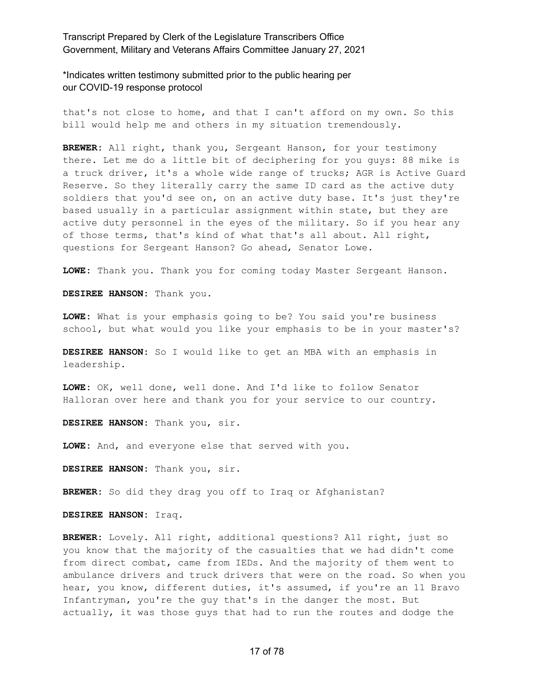\*Indicates written testimony submitted prior to the public hearing per our COVID-19 response protocol

that's not close to home, and that I can't afford on my own. So this bill would help me and others in my situation tremendously.

**BREWER:** All right, thank you, Sergeant Hanson, for your testimony there. Let me do a little bit of deciphering for you guys: 88 mike is a truck driver, it's a whole wide range of trucks; AGR is Active Guard Reserve. So they literally carry the same ID card as the active duty soldiers that you'd see on, on an active duty base. It's just they're based usually in a particular assignment within state, but they are active duty personnel in the eyes of the military. So if you hear any of those terms, that's kind of what that's all about. All right, questions for Sergeant Hanson? Go ahead, Senator Lowe.

**LOWE:** Thank you. Thank you for coming today Master Sergeant Hanson.

**DESIREE HANSON:** Thank you.

**LOWE:** What is your emphasis going to be? You said you're business school, but what would you like your emphasis to be in your master's?

**DESIREE HANSON:** So I would like to get an MBA with an emphasis in leadership.

**LOWE:** OK, well done, well done. And I'd like to follow Senator Halloran over here and thank you for your service to our country.

**DESIREE HANSON:** Thank you, sir.

**LOWE:** And, and everyone else that served with you.

**DESIREE HANSON:** Thank you, sir.

**BREWER:** So did they drag you off to Iraq or Afghanistan?

**DESIREE HANSON:** Iraq.

**BREWER:** Lovely. All right, additional questions? All right, just so you know that the majority of the casualties that we had didn't come from direct combat, came from IEDs. And the majority of them went to ambulance drivers and truck drivers that were on the road. So when you hear, you know, different duties, it's assumed, if you're an 11 Bravo Infantryman, you're the guy that's in the danger the most. But actually, it was those guys that had to run the routes and dodge the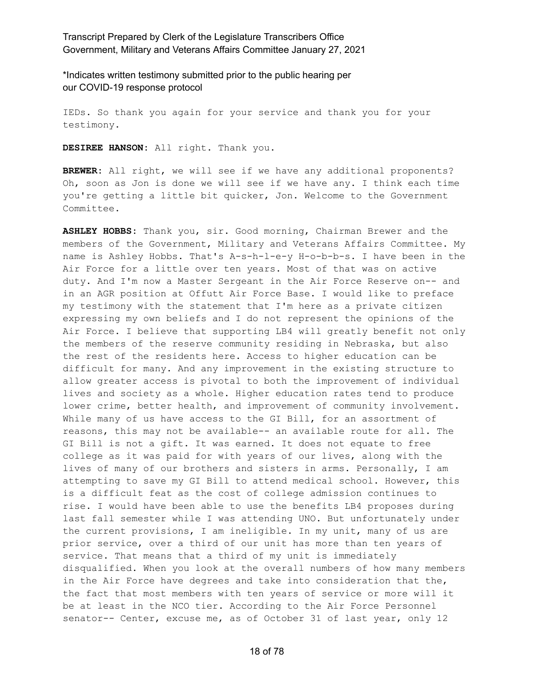\*Indicates written testimony submitted prior to the public hearing per our COVID-19 response protocol

IEDs. So thank you again for your service and thank you for your testimony.

**DESIREE HANSON:** All right. Thank you.

**BREWER:** All right, we will see if we have any additional proponents? Oh, soon as Jon is done we will see if we have any. I think each time you're getting a little bit quicker, Jon. Welcome to the Government Committee.

**ASHLEY HOBBS:** Thank you, sir. Good morning, Chairman Brewer and the members of the Government, Military and Veterans Affairs Committee. My name is Ashley Hobbs. That's A-s-h-l-e-y H-o-b-b-s. I have been in the Air Force for a little over ten years. Most of that was on active duty. And I'm now a Master Sergeant in the Air Force Reserve on-- and in an AGR position at Offutt Air Force Base. I would like to preface my testimony with the statement that I'm here as a private citizen expressing my own beliefs and I do not represent the opinions of the Air Force. I believe that supporting LB4 will greatly benefit not only the members of the reserve community residing in Nebraska, but also the rest of the residents here. Access to higher education can be difficult for many. And any improvement in the existing structure to allow greater access is pivotal to both the improvement of individual lives and society as a whole. Higher education rates tend to produce lower crime, better health, and improvement of community involvement. While many of us have access to the GI Bill, for an assortment of reasons, this may not be available-- an available route for all. The GI Bill is not a gift. It was earned. It does not equate to free college as it was paid for with years of our lives, along with the lives of many of our brothers and sisters in arms. Personally, I am attempting to save my GI Bill to attend medical school. However, this is a difficult feat as the cost of college admission continues to rise. I would have been able to use the benefits LB4 proposes during last fall semester while I was attending UNO. But unfortunately under the current provisions, I am ineligible. In my unit, many of us are prior service, over a third of our unit has more than ten years of service. That means that a third of my unit is immediately disqualified. When you look at the overall numbers of how many members in the Air Force have degrees and take into consideration that the, the fact that most members with ten years of service or more will it be at least in the NCO tier. According to the Air Force Personnel senator-- Center, excuse me, as of October 31 of last year, only 12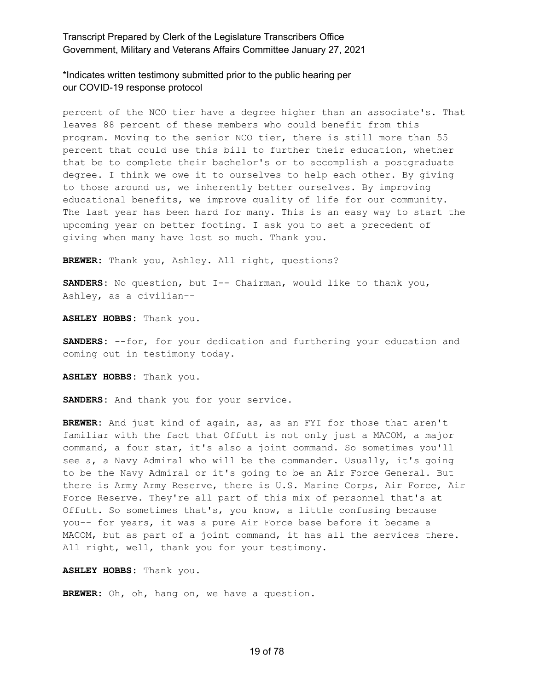\*Indicates written testimony submitted prior to the public hearing per our COVID-19 response protocol

percent of the NCO tier have a degree higher than an associate's. That leaves 88 percent of these members who could benefit from this program. Moving to the senior NCO tier, there is still more than 55 percent that could use this bill to further their education, whether that be to complete their bachelor's or to accomplish a postgraduate degree. I think we owe it to ourselves to help each other. By giving to those around us, we inherently better ourselves. By improving educational benefits, we improve quality of life for our community. The last year has been hard for many. This is an easy way to start the upcoming year on better footing. I ask you to set a precedent of giving when many have lost so much. Thank you.

**BREWER:** Thank you, Ashley. All right, questions?

**SANDERS:** No question, but I-- Chairman, would like to thank you, Ashley, as a civilian--

**ASHLEY HOBBS:** Thank you.

**SANDERS:** --for, for your dedication and furthering your education and coming out in testimony today.

**ASHLEY HOBBS:** Thank you.

**SANDERS:** And thank you for your service.

**BREWER:** And just kind of again, as, as an FYI for those that aren't familiar with the fact that Offutt is not only just a MACOM, a major command, a four star, it's also a joint command. So sometimes you'll see a, a Navy Admiral who will be the commander. Usually, it's going to be the Navy Admiral or it's going to be an Air Force General. But there is Army Army Reserve, there is U.S. Marine Corps, Air Force, Air Force Reserve. They're all part of this mix of personnel that's at Offutt. So sometimes that's, you know, a little confusing because you-- for years, it was a pure Air Force base before it became a MACOM, but as part of a joint command, it has all the services there. All right, well, thank you for your testimony.

**ASHLEY HOBBS:** Thank you.

**BREWER:** Oh, oh, hang on, we have a question.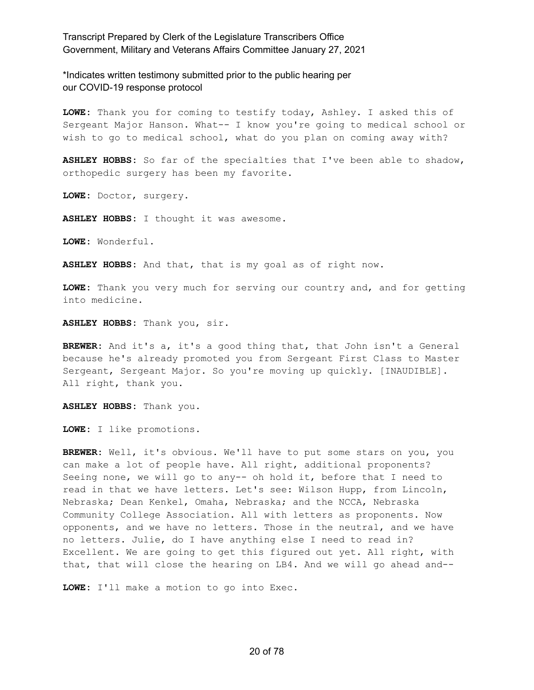\*Indicates written testimony submitted prior to the public hearing per our COVID-19 response protocol

**LOWE:** Thank you for coming to testify today, Ashley. I asked this of Sergeant Major Hanson. What-- I know you're going to medical school or wish to go to medical school, what do you plan on coming away with?

**ASHLEY HOBBS:** So far of the specialties that I've been able to shadow, orthopedic surgery has been my favorite.

**LOWE:** Doctor, surgery.

**ASHLEY HOBBS:** I thought it was awesome.

**LOWE:** Wonderful.

**ASHLEY HOBBS:** And that, that is my goal as of right now.

**LOWE:** Thank you very much for serving our country and, and for getting into medicine.

**ASHLEY HOBBS:** Thank you, sir.

**BREWER:** And it's a, it's a good thing that, that John isn't a General because he's already promoted you from Sergeant First Class to Master Sergeant, Sergeant Major. So you're moving up quickly. [INAUDIBLE]. All right, thank you.

**ASHLEY HOBBS:** Thank you.

**LOWE:** I like promotions.

**BREWER:** Well, it's obvious. We'll have to put some stars on you, you can make a lot of people have. All right, additional proponents? Seeing none, we will go to any-- oh hold it, before that I need to read in that we have letters. Let's see: Wilson Hupp, from Lincoln, Nebraska; Dean Kenkel, Omaha, Nebraska; and the NCCA, Nebraska Community College Association. All with letters as proponents. Now opponents, and we have no letters. Those in the neutral, and we have no letters. Julie, do I have anything else I need to read in? Excellent. We are going to get this figured out yet. All right, with that, that will close the hearing on LB4. And we will go ahead and--

**LOWE:** I'll make a motion to go into Exec.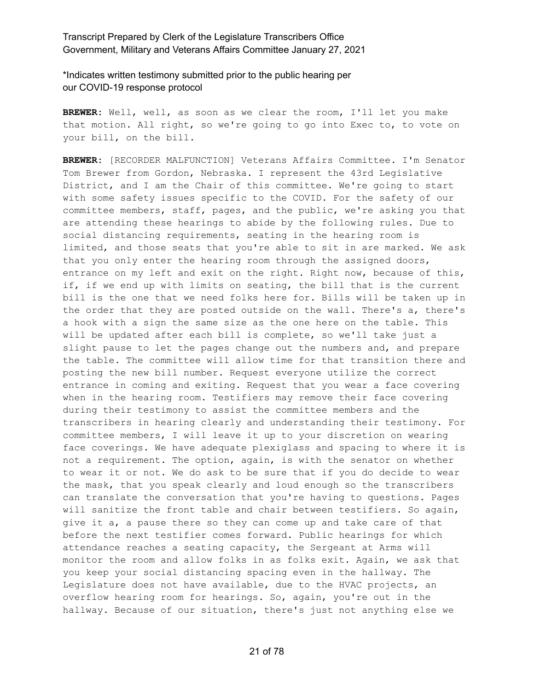\*Indicates written testimony submitted prior to the public hearing per our COVID-19 response protocol

**BREWER:** Well, well, as soon as we clear the room, I'll let you make that motion. All right, so we're going to go into Exec to, to vote on your bill, on the bill.

**BREWER:** [RECORDER MALFUNCTION] Veterans Affairs Committee. I'm Senator Tom Brewer from Gordon, Nebraska. I represent the 43rd Legislative District, and I am the Chair of this committee. We're going to start with some safety issues specific to the COVID. For the safety of our committee members, staff, pages, and the public, we're asking you that are attending these hearings to abide by the following rules. Due to social distancing requirements, seating in the hearing room is limited, and those seats that you're able to sit in are marked. We ask that you only enter the hearing room through the assigned doors, entrance on my left and exit on the right. Right now, because of this, if, if we end up with limits on seating, the bill that is the current bill is the one that we need folks here for. Bills will be taken up in the order that they are posted outside on the wall. There's a, there's a hook with a sign the same size as the one here on the table. This will be updated after each bill is complete, so we'll take just a slight pause to let the pages change out the numbers and, and prepare the table. The committee will allow time for that transition there and posting the new bill number. Request everyone utilize the correct entrance in coming and exiting. Request that you wear a face covering when in the hearing room. Testifiers may remove their face covering during their testimony to assist the committee members and the transcribers in hearing clearly and understanding their testimony. For committee members, I will leave it up to your discretion on wearing face coverings. We have adequate plexiglass and spacing to where it is not a requirement. The option, again, is with the senator on whether to wear it or not. We do ask to be sure that if you do decide to wear the mask, that you speak clearly and loud enough so the transcribers can translate the conversation that you're having to questions. Pages will sanitize the front table and chair between testifiers. So again, give it a, a pause there so they can come up and take care of that before the next testifier comes forward. Public hearings for which attendance reaches a seating capacity, the Sergeant at Arms will monitor the room and allow folks in as folks exit. Again, we ask that you keep your social distancing spacing even in the hallway. The Legislature does not have available, due to the HVAC projects, an overflow hearing room for hearings. So, again, you're out in the hallway. Because of our situation, there's just not anything else we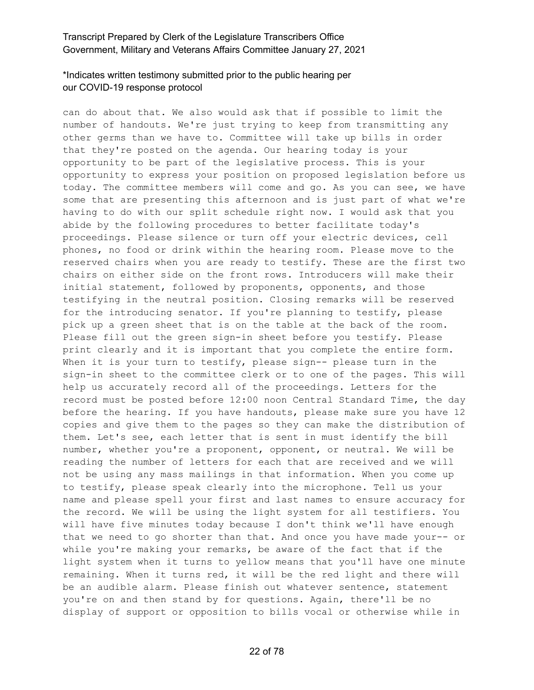# \*Indicates written testimony submitted prior to the public hearing per our COVID-19 response protocol

can do about that. We also would ask that if possible to limit the number of handouts. We're just trying to keep from transmitting any other germs than we have to. Committee will take up bills in order that they're posted on the agenda. Our hearing today is your opportunity to be part of the legislative process. This is your opportunity to express your position on proposed legislation before us today. The committee members will come and go. As you can see, we have some that are presenting this afternoon and is just part of what we're having to do with our split schedule right now. I would ask that you abide by the following procedures to better facilitate today's proceedings. Please silence or turn off your electric devices, cell phones, no food or drink within the hearing room. Please move to the reserved chairs when you are ready to testify. These are the first two chairs on either side on the front rows. Introducers will make their initial statement, followed by proponents, opponents, and those testifying in the neutral position. Closing remarks will be reserved for the introducing senator. If you're planning to testify, please pick up a green sheet that is on the table at the back of the room. Please fill out the green sign-in sheet before you testify. Please print clearly and it is important that you complete the entire form. When it is your turn to testify, please sign-- please turn in the sign-in sheet to the committee clerk or to one of the pages. This will help us accurately record all of the proceedings. Letters for the record must be posted before 12:00 noon Central Standard Time, the day before the hearing. If you have handouts, please make sure you have 12 copies and give them to the pages so they can make the distribution of them. Let's see, each letter that is sent in must identify the bill number, whether you're a proponent, opponent, or neutral. We will be reading the number of letters for each that are received and we will not be using any mass mailings in that information. When you come up to testify, please speak clearly into the microphone. Tell us your name and please spell your first and last names to ensure accuracy for the record. We will be using the light system for all testifiers. You will have five minutes today because I don't think we'll have enough that we need to go shorter than that. And once you have made your-- or while you're making your remarks, be aware of the fact that if the light system when it turns to yellow means that you'll have one minute remaining. When it turns red, it will be the red light and there will be an audible alarm. Please finish out whatever sentence, statement you're on and then stand by for questions. Again, there'll be no display of support or opposition to bills vocal or otherwise while in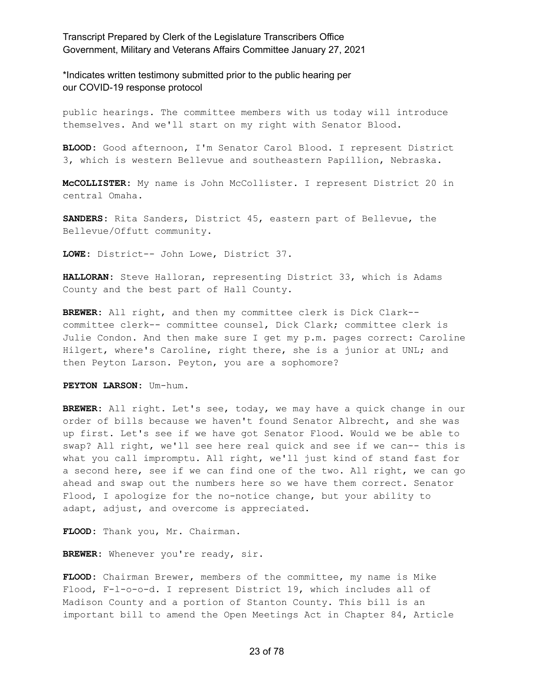\*Indicates written testimony submitted prior to the public hearing per our COVID-19 response protocol

public hearings. The committee members with us today will introduce themselves. And we'll start on my right with Senator Blood.

**BLOOD:** Good afternoon, I'm Senator Carol Blood. I represent District 3, which is western Bellevue and southeastern Papillion, Nebraska.

**McCOLLISTER:** My name is John McCollister. I represent District 20 in central Omaha.

**SANDERS:** Rita Sanders, District 45, eastern part of Bellevue, the Bellevue/Offutt community.

**LOWE:** District-- John Lowe, District 37.

**HALLORAN:** Steve Halloran, representing District 33, which is Adams County and the best part of Hall County.

**BREWER:** All right, and then my committee clerk is Dick Clark- committee clerk-- committee counsel, Dick Clark; committee clerk is Julie Condon. And then make sure I get my p.m. pages correct: Caroline Hilgert, where's Caroline, right there, she is a junior at UNL; and then Peyton Larson. Peyton, you are a sophomore?

**PEYTON LARSON:** Um-hum.

**BREWER:** All right. Let's see, today, we may have a quick change in our order of bills because we haven't found Senator Albrecht, and she was up first. Let's see if we have got Senator Flood. Would we be able to swap? All right, we'll see here real quick and see if we can-- this is what you call impromptu. All right, we'll just kind of stand fast for a second here, see if we can find one of the two. All right, we can go ahead and swap out the numbers here so we have them correct. Senator Flood, I apologize for the no-notice change, but your ability to adapt, adjust, and overcome is appreciated.

**FLOOD:** Thank you, Mr. Chairman.

**BREWER:** Whenever you're ready, sir.

**FLOOD:** Chairman Brewer, members of the committee, my name is Mike Flood, F-l-o-o-d. I represent District 19, which includes all of Madison County and a portion of Stanton County. This bill is an important bill to amend the Open Meetings Act in Chapter 84, Article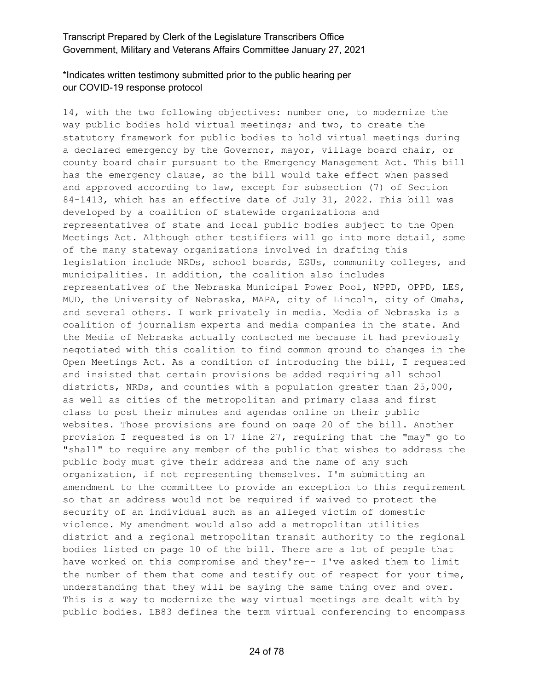# \*Indicates written testimony submitted prior to the public hearing per our COVID-19 response protocol

14, with the two following objectives: number one, to modernize the way public bodies hold virtual meetings; and two, to create the statutory framework for public bodies to hold virtual meetings during a declared emergency by the Governor, mayor, village board chair, or county board chair pursuant to the Emergency Management Act. This bill has the emergency clause, so the bill would take effect when passed and approved according to law, except for subsection (7) of Section 84-1413, which has an effective date of July 31, 2022. This bill was developed by a coalition of statewide organizations and representatives of state and local public bodies subject to the Open Meetings Act. Although other testifiers will go into more detail, some of the many stateway organizations involved in drafting this legislation include NRDs, school boards, ESUs, community colleges, and municipalities. In addition, the coalition also includes representatives of the Nebraska Municipal Power Pool, NPPD, OPPD, LES, MUD, the University of Nebraska, MAPA, city of Lincoln, city of Omaha, and several others. I work privately in media. Media of Nebraska is a coalition of journalism experts and media companies in the state. And the Media of Nebraska actually contacted me because it had previously negotiated with this coalition to find common ground to changes in the Open Meetings Act. As a condition of introducing the bill, I requested and insisted that certain provisions be added requiring all school districts, NRDs, and counties with a population greater than 25,000, as well as cities of the metropolitan and primary class and first class to post their minutes and agendas online on their public websites. Those provisions are found on page 20 of the bill. Another provision I requested is on 17 line 27, requiring that the "may" go to "shall" to require any member of the public that wishes to address the public body must give their address and the name of any such organization, if not representing themselves. I'm submitting an amendment to the committee to provide an exception to this requirement so that an address would not be required if waived to protect the security of an individual such as an alleged victim of domestic violence. My amendment would also add a metropolitan utilities district and a regional metropolitan transit authority to the regional bodies listed on page 10 of the bill. There are a lot of people that have worked on this compromise and they're-- I've asked them to limit the number of them that come and testify out of respect for your time, understanding that they will be saying the same thing over and over. This is a way to modernize the way virtual meetings are dealt with by public bodies. LB83 defines the term virtual conferencing to encompass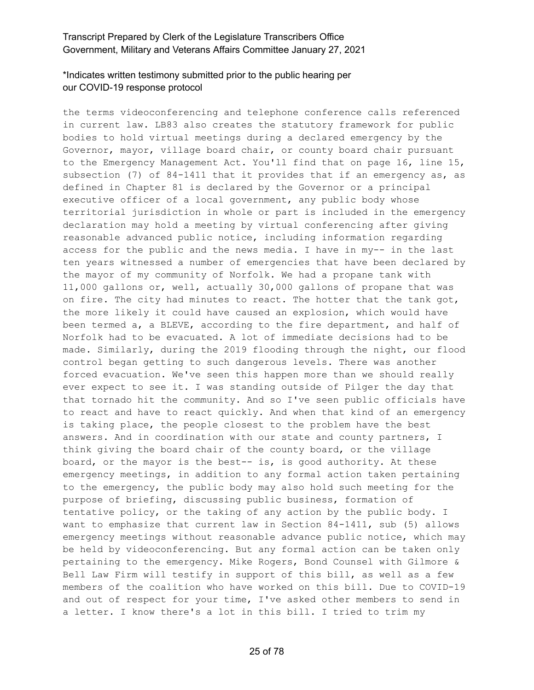# \*Indicates written testimony submitted prior to the public hearing per our COVID-19 response protocol

the terms videoconferencing and telephone conference calls referenced in current law. LB83 also creates the statutory framework for public bodies to hold virtual meetings during a declared emergency by the Governor, mayor, village board chair, or county board chair pursuant to the Emergency Management Act. You'll find that on page 16, line 15, subsection (7) of 84-1411 that it provides that if an emergency as, as defined in Chapter 81 is declared by the Governor or a principal executive officer of a local government, any public body whose territorial jurisdiction in whole or part is included in the emergency declaration may hold a meeting by virtual conferencing after giving reasonable advanced public notice, including information regarding access for the public and the news media. I have in my-- in the last ten years witnessed a number of emergencies that have been declared by the mayor of my community of Norfolk. We had a propane tank with 11,000 gallons or, well, actually 30,000 gallons of propane that was on fire. The city had minutes to react. The hotter that the tank got, the more likely it could have caused an explosion, which would have been termed a, a BLEVE, according to the fire department, and half of Norfolk had to be evacuated. A lot of immediate decisions had to be made. Similarly, during the 2019 flooding through the night, our flood control began getting to such dangerous levels. There was another forced evacuation. We've seen this happen more than we should really ever expect to see it. I was standing outside of Pilger the day that that tornado hit the community. And so I've seen public officials have to react and have to react quickly. And when that kind of an emergency is taking place, the people closest to the problem have the best answers. And in coordination with our state and county partners, I think giving the board chair of the county board, or the village board, or the mayor is the best-- is, is good authority. At these emergency meetings, in addition to any formal action taken pertaining to the emergency, the public body may also hold such meeting for the purpose of briefing, discussing public business, formation of tentative policy, or the taking of any action by the public body. I want to emphasize that current law in Section 84-1411, sub (5) allows emergency meetings without reasonable advance public notice, which may be held by videoconferencing. But any formal action can be taken only pertaining to the emergency. Mike Rogers, Bond Counsel with Gilmore & Bell Law Firm will testify in support of this bill, as well as a few members of the coalition who have worked on this bill. Due to COVID-19 and out of respect for your time, I've asked other members to send in a letter. I know there's a lot in this bill. I tried to trim my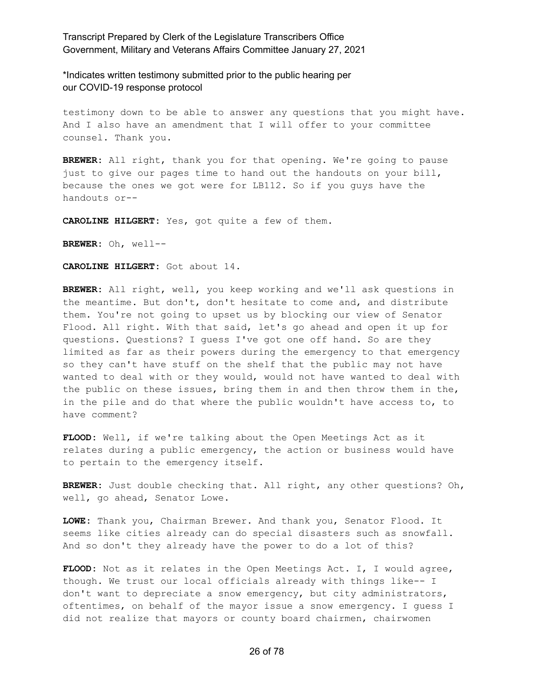\*Indicates written testimony submitted prior to the public hearing per our COVID-19 response protocol

testimony down to be able to answer any questions that you might have. And I also have an amendment that I will offer to your committee counsel. Thank you.

**BREWER:** All right, thank you for that opening. We're going to pause just to give our pages time to hand out the handouts on your bill, because the ones we got were for LB112. So if you guys have the handouts or--

**CAROLINE HILGERT:** Yes, got quite a few of them.

**BREWER:** Oh, well--

**CAROLINE HILGERT:** Got about 14.

**BREWER:** All right, well, you keep working and we'll ask questions in the meantime. But don't, don't hesitate to come and, and distribute them. You're not going to upset us by blocking our view of Senator Flood. All right. With that said, let's go ahead and open it up for questions. Questions? I guess I've got one off hand. So are they limited as far as their powers during the emergency to that emergency so they can't have stuff on the shelf that the public may not have wanted to deal with or they would, would not have wanted to deal with the public on these issues, bring them in and then throw them in the, in the pile and do that where the public wouldn't have access to, to have comment?

**FLOOD:** Well, if we're talking about the Open Meetings Act as it relates during a public emergency, the action or business would have to pertain to the emergency itself.

**BREWER:** Just double checking that. All right, any other questions? Oh, well, go ahead, Senator Lowe.

**LOWE:** Thank you, Chairman Brewer. And thank you, Senator Flood. It seems like cities already can do special disasters such as snowfall. And so don't they already have the power to do a lot of this?

**FLOOD:** Not as it relates in the Open Meetings Act. I, I would agree, though. We trust our local officials already with things like-- I don't want to depreciate a snow emergency, but city administrators, oftentimes, on behalf of the mayor issue a snow emergency. I guess I did not realize that mayors or county board chairmen, chairwomen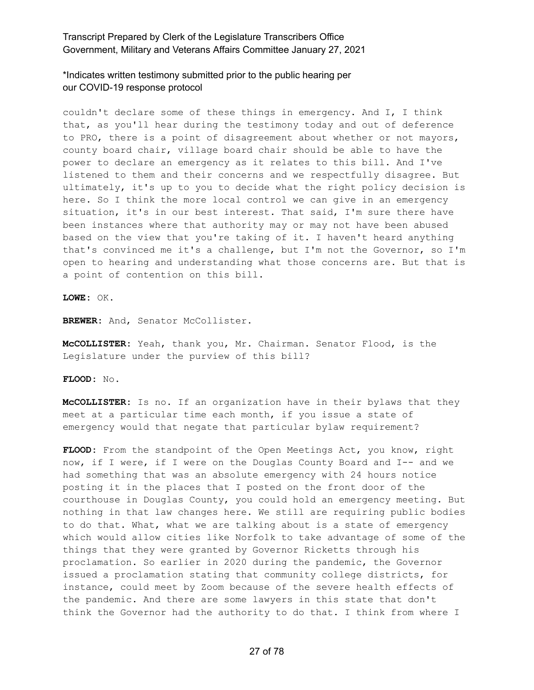\*Indicates written testimony submitted prior to the public hearing per our COVID-19 response protocol

couldn't declare some of these things in emergency. And I, I think that, as you'll hear during the testimony today and out of deference to PRO, there is a point of disagreement about whether or not mayors, county board chair, village board chair should be able to have the power to declare an emergency as it relates to this bill. And I've listened to them and their concerns and we respectfully disagree. But ultimately, it's up to you to decide what the right policy decision is here. So I think the more local control we can give in an emergency situation, it's in our best interest. That said, I'm sure there have been instances where that authority may or may not have been abused based on the view that you're taking of it. I haven't heard anything that's convinced me it's a challenge, but I'm not the Governor, so I'm open to hearing and understanding what those concerns are. But that is a point of contention on this bill.

**LOWE:** OK.

BREWER: And, Senator McCollister.

**McCOLLISTER:** Yeah, thank you, Mr. Chairman. Senator Flood, is the Legislature under the purview of this bill?

**FLOOD:** No.

**McCOLLISTER:** Is no. If an organization have in their bylaws that they meet at a particular time each month, if you issue a state of emergency would that negate that particular bylaw requirement?

**FLOOD:** From the standpoint of the Open Meetings Act, you know, right now, if I were, if I were on the Douglas County Board and I-- and we had something that was an absolute emergency with 24 hours notice posting it in the places that I posted on the front door of the courthouse in Douglas County, you could hold an emergency meeting. But nothing in that law changes here. We still are requiring public bodies to do that. What, what we are talking about is a state of emergency which would allow cities like Norfolk to take advantage of some of the things that they were granted by Governor Ricketts through his proclamation. So earlier in 2020 during the pandemic, the Governor issued a proclamation stating that community college districts, for instance, could meet by Zoom because of the severe health effects of the pandemic. And there are some lawyers in this state that don't think the Governor had the authority to do that. I think from where I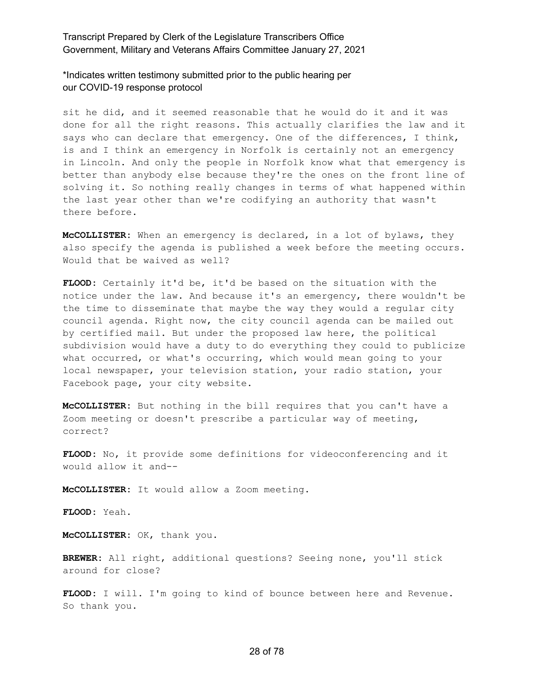\*Indicates written testimony submitted prior to the public hearing per our COVID-19 response protocol

sit he did, and it seemed reasonable that he would do it and it was done for all the right reasons. This actually clarifies the law and it says who can declare that emergency. One of the differences, I think, is and I think an emergency in Norfolk is certainly not an emergency in Lincoln. And only the people in Norfolk know what that emergency is better than anybody else because they're the ones on the front line of solving it. So nothing really changes in terms of what happened within the last year other than we're codifying an authority that wasn't there before.

**McCOLLISTER:** When an emergency is declared, in a lot of bylaws, they also specify the agenda is published a week before the meeting occurs. Would that be waived as well?

**FLOOD:** Certainly it'd be, it'd be based on the situation with the notice under the law. And because it's an emergency, there wouldn't be the time to disseminate that maybe the way they would a regular city council agenda. Right now, the city council agenda can be mailed out by certified mail. But under the proposed law here, the political subdivision would have a duty to do everything they could to publicize what occurred, or what's occurring, which would mean going to your local newspaper, your television station, your radio station, your Facebook page, your city website.

**McCOLLISTER:** But nothing in the bill requires that you can't have a Zoom meeting or doesn't prescribe a particular way of meeting, correct?

**FLOOD:** No, it provide some definitions for videoconferencing and it would allow it and--

**McCOLLISTER:** It would allow a Zoom meeting.

**FLOOD:** Yeah.

**McCOLLISTER:** OK, thank you.

**BREWER:** All right, additional questions? Seeing none, you'll stick around for close?

**FLOOD:** I will. I'm going to kind of bounce between here and Revenue. So thank you.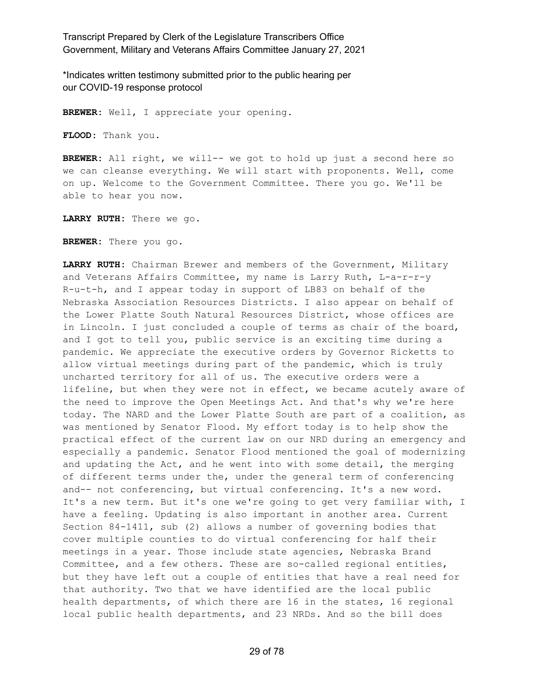\*Indicates written testimony submitted prior to the public hearing per our COVID-19 response protocol

**BREWER:** Well, I appreciate your opening.

**FLOOD:** Thank you.

**BREWER:** All right, we will-- we got to hold up just a second here so we can cleanse everything. We will start with proponents. Well, come on up. Welcome to the Government Committee. There you go. We'll be able to hear you now.

**LARRY RUTH:** There we go.

**BREWER:** There you go.

**LARRY RUTH:** Chairman Brewer and members of the Government, Military and Veterans Affairs Committee, my name is Larry Ruth, L-a-r-r-y R-u-t-h, and I appear today in support of LB83 on behalf of the Nebraska Association Resources Districts. I also appear on behalf of the Lower Platte South Natural Resources District, whose offices are in Lincoln. I just concluded a couple of terms as chair of the board, and I got to tell you, public service is an exciting time during a pandemic. We appreciate the executive orders by Governor Ricketts to allow virtual meetings during part of the pandemic, which is truly uncharted territory for all of us. The executive orders were a lifeline, but when they were not in effect, we became acutely aware of the need to improve the Open Meetings Act. And that's why we're here today. The NARD and the Lower Platte South are part of a coalition, as was mentioned by Senator Flood. My effort today is to help show the practical effect of the current law on our NRD during an emergency and especially a pandemic. Senator Flood mentioned the goal of modernizing and updating the Act, and he went into with some detail, the merging of different terms under the, under the general term of conferencing and-- not conferencing, but virtual conferencing. It's a new word. It's a new term. But it's one we're going to get very familiar with, I have a feeling. Updating is also important in another area. Current Section 84-1411, sub (2) allows a number of governing bodies that cover multiple counties to do virtual conferencing for half their meetings in a year. Those include state agencies, Nebraska Brand Committee, and a few others. These are so-called regional entities, but they have left out a couple of entities that have a real need for that authority. Two that we have identified are the local public health departments, of which there are 16 in the states, 16 regional local public health departments, and 23 NRDs. And so the bill does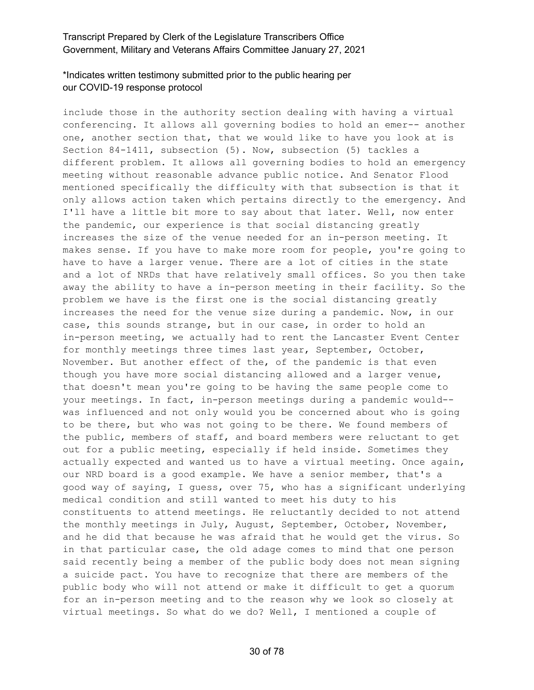# \*Indicates written testimony submitted prior to the public hearing per our COVID-19 response protocol

include those in the authority section dealing with having a virtual conferencing. It allows all governing bodies to hold an emer-- another one, another section that, that we would like to have you look at is Section 84-1411, subsection (5). Now, subsection (5) tackles a different problem. It allows all governing bodies to hold an emergency meeting without reasonable advance public notice. And Senator Flood mentioned specifically the difficulty with that subsection is that it only allows action taken which pertains directly to the emergency. And I'll have a little bit more to say about that later. Well, now enter the pandemic, our experience is that social distancing greatly increases the size of the venue needed for an in-person meeting. It makes sense. If you have to make more room for people, you're going to have to have a larger venue. There are a lot of cities in the state and a lot of NRDs that have relatively small offices. So you then take away the ability to have a in-person meeting in their facility. So the problem we have is the first one is the social distancing greatly increases the need for the venue size during a pandemic. Now, in our case, this sounds strange, but in our case, in order to hold an in-person meeting, we actually had to rent the Lancaster Event Center for monthly meetings three times last year, September, October, November. But another effect of the, of the pandemic is that even though you have more social distancing allowed and a larger venue, that doesn't mean you're going to be having the same people come to your meetings. In fact, in-person meetings during a pandemic would- was influenced and not only would you be concerned about who is going to be there, but who was not going to be there. We found members of the public, members of staff, and board members were reluctant to get out for a public meeting, especially if held inside. Sometimes they actually expected and wanted us to have a virtual meeting. Once again, our NRD board is a good example. We have a senior member, that's a good way of saying, I guess, over 75, who has a significant underlying medical condition and still wanted to meet his duty to his constituents to attend meetings. He reluctantly decided to not attend the monthly meetings in July, August, September, October, November, and he did that because he was afraid that he would get the virus. So in that particular case, the old adage comes to mind that one person said recently being a member of the public body does not mean signing a suicide pact. You have to recognize that there are members of the public body who will not attend or make it difficult to get a quorum for an in-person meeting and to the reason why we look so closely at virtual meetings. So what do we do? Well, I mentioned a couple of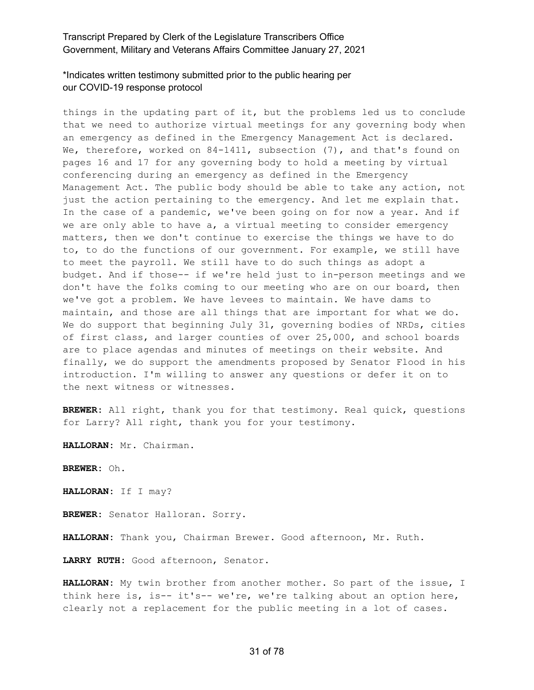# \*Indicates written testimony submitted prior to the public hearing per our COVID-19 response protocol

things in the updating part of it, but the problems led us to conclude that we need to authorize virtual meetings for any governing body when an emergency as defined in the Emergency Management Act is declared. We, therefore, worked on 84-1411, subsection (7), and that's found on pages 16 and 17 for any governing body to hold a meeting by virtual conferencing during an emergency as defined in the Emergency Management Act. The public body should be able to take any action, not just the action pertaining to the emergency. And let me explain that. In the case of a pandemic, we've been going on for now a year. And if we are only able to have a, a virtual meeting to consider emergency matters, then we don't continue to exercise the things we have to do to, to do the functions of our government. For example, we still have to meet the payroll. We still have to do such things as adopt a budget. And if those-- if we're held just to in-person meetings and we don't have the folks coming to our meeting who are on our board, then we've got a problem. We have levees to maintain. We have dams to maintain, and those are all things that are important for what we do. We do support that beginning July 31, governing bodies of NRDs, cities of first class, and larger counties of over 25,000, and school boards are to place agendas and minutes of meetings on their website. And finally, we do support the amendments proposed by Senator Flood in his introduction. I'm willing to answer any questions or defer it on to the next witness or witnesses.

**BREWER:** All right, thank you for that testimony. Real quick, questions for Larry? All right, thank you for your testimony.

**HALLORAN:** Mr. Chairman.

**BREWER:** Oh.

**HALLORAN:** If I may?

**BREWER:** Senator Halloran. Sorry.

**HALLORAN:** Thank you, Chairman Brewer. Good afternoon, Mr. Ruth.

**LARRY RUTH:** Good afternoon, Senator.

**HALLORAN:** My twin brother from another mother. So part of the issue, I think here is, is-- it's-- we're, we're talking about an option here, clearly not a replacement for the public meeting in a lot of cases.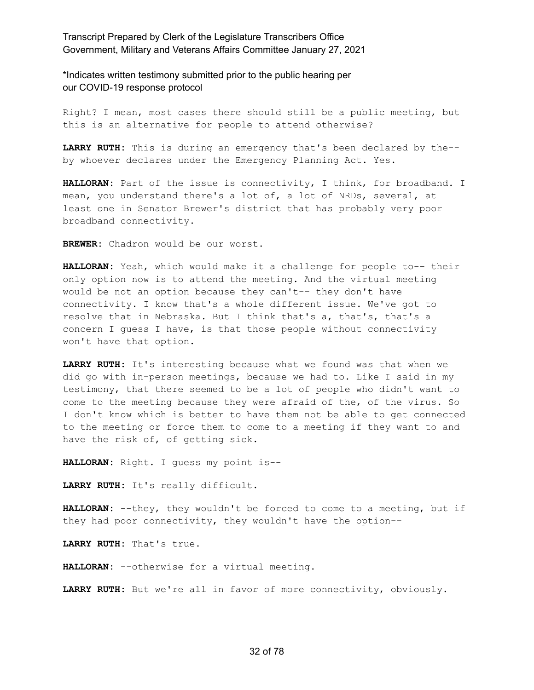\*Indicates written testimony submitted prior to the public hearing per our COVID-19 response protocol

Right? I mean, most cases there should still be a public meeting, but this is an alternative for people to attend otherwise?

**LARRY RUTH:** This is during an emergency that's been declared by the- by whoever declares under the Emergency Planning Act. Yes.

**HALLORAN:** Part of the issue is connectivity, I think, for broadband. I mean, you understand there's a lot of, a lot of NRDs, several, at least one in Senator Brewer's district that has probably very poor broadband connectivity.

**BREWER:** Chadron would be our worst.

**HALLORAN:** Yeah, which would make it a challenge for people to-- their only option now is to attend the meeting. And the virtual meeting would be not an option because they can't-- they don't have connectivity. I know that's a whole different issue. We've got to resolve that in Nebraska. But I think that's a, that's, that's a concern I guess I have, is that those people without connectivity won't have that option.

**LARRY RUTH:** It's interesting because what we found was that when we did go with in-person meetings, because we had to. Like I said in my testimony, that there seemed to be a lot of people who didn't want to come to the meeting because they were afraid of the, of the virus. So I don't know which is better to have them not be able to get connected to the meeting or force them to come to a meeting if they want to and have the risk of, of getting sick.

**HALLORAN:** Right. I guess my point is--

**LARRY RUTH:** It's really difficult.

**HALLORAN:** --they, they wouldn't be forced to come to a meeting, but if they had poor connectivity, they wouldn't have the option--

**LARRY RUTH:** That's true.

**HALLORAN:** --otherwise for a virtual meeting.

**LARRY RUTH:** But we're all in favor of more connectivity, obviously.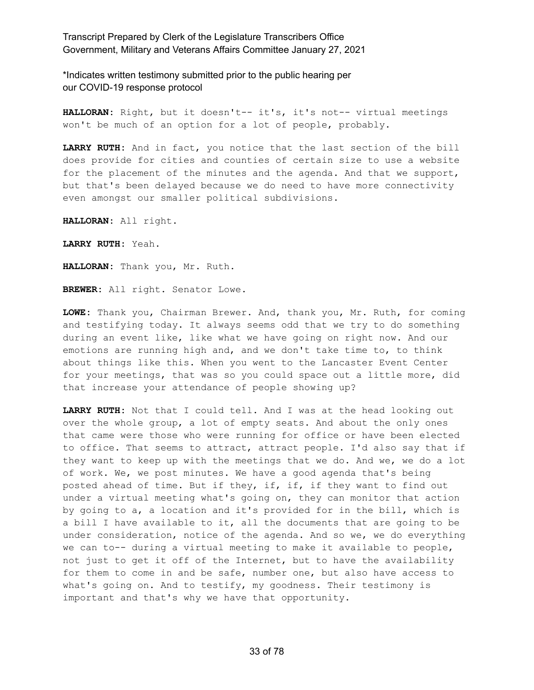\*Indicates written testimony submitted prior to the public hearing per our COVID-19 response protocol

**HALLORAN:** Right, but it doesn't-- it's, it's not-- virtual meetings won't be much of an option for a lot of people, probably.

**LARRY RUTH:** And in fact, you notice that the last section of the bill does provide for cities and counties of certain size to use a website for the placement of the minutes and the agenda. And that we support, but that's been delayed because we do need to have more connectivity even amongst our smaller political subdivisions.

**HALLORAN:** All right.

**LARRY RUTH:** Yeah.

**HALLORAN:** Thank you, Mr. Ruth.

**BREWER:** All right. Senator Lowe.

**LOWE:** Thank you, Chairman Brewer. And, thank you, Mr. Ruth, for coming and testifying today. It always seems odd that we try to do something during an event like, like what we have going on right now. And our emotions are running high and, and we don't take time to, to think about things like this. When you went to the Lancaster Event Center for your meetings, that was so you could space out a little more, did that increase your attendance of people showing up?

**LARRY RUTH:** Not that I could tell. And I was at the head looking out over the whole group, a lot of empty seats. And about the only ones that came were those who were running for office or have been elected to office. That seems to attract, attract people. I'd also say that if they want to keep up with the meetings that we do. And we, we do a lot of work. We, we post minutes. We have a good agenda that's being posted ahead of time. But if they, if, if, if they want to find out under a virtual meeting what's going on, they can monitor that action by going to a, a location and it's provided for in the bill, which is a bill I have available to it, all the documents that are going to be under consideration, notice of the agenda. And so we, we do everything we can to-- during a virtual meeting to make it available to people, not just to get it off of the Internet, but to have the availability for them to come in and be safe, number one, but also have access to what's going on. And to testify, my goodness. Their testimony is important and that's why we have that opportunity.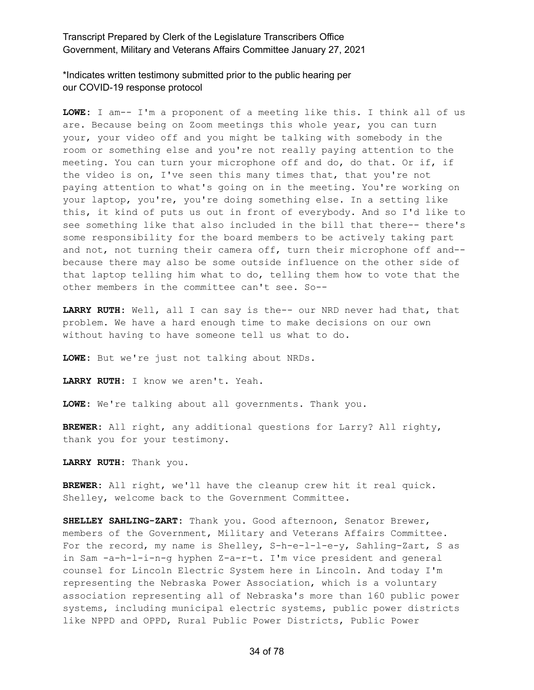\*Indicates written testimony submitted prior to the public hearing per our COVID-19 response protocol

**LOWE:** I am-- I'm a proponent of a meeting like this. I think all of us are. Because being on Zoom meetings this whole year, you can turn your, your video off and you might be talking with somebody in the room or something else and you're not really paying attention to the meeting. You can turn your microphone off and do, do that. Or if, if the video is on, I've seen this many times that, that you're not paying attention to what's going on in the meeting. You're working on your laptop, you're, you're doing something else. In a setting like this, it kind of puts us out in front of everybody. And so I'd like to see something like that also included in the bill that there-- there's some responsibility for the board members to be actively taking part and not, not turning their camera off, turn their microphone off and- because there may also be some outside influence on the other side of that laptop telling him what to do, telling them how to vote that the other members in the committee can't see. So--

**LARRY RUTH:** Well, all I can say is the-- our NRD never had that, that problem. We have a hard enough time to make decisions on our own without having to have someone tell us what to do.

**LOWE:** But we're just not talking about NRDs.

**LARRY RUTH:** I know we aren't. Yeah.

**LOWE:** We're talking about all governments. Thank you.

**BREWER:** All right, any additional questions for Larry? All righty, thank you for your testimony.

**LARRY RUTH:** Thank you.

**BREWER:** All right, we'll have the cleanup crew hit it real quick. Shelley, welcome back to the Government Committee.

**SHELLEY SAHLING-ZART:** Thank you. Good afternoon, Senator Brewer, members of the Government, Military and Veterans Affairs Committee. For the record, my name is Shelley, S-h-e-l-l-e-y, Sahling-Zart, S as in Sam -a-h-l-i-n-g hyphen Z-a-r-t. I'm vice president and general counsel for Lincoln Electric System here in Lincoln. And today I'm representing the Nebraska Power Association, which is a voluntary association representing all of Nebraska's more than 160 public power systems, including municipal electric systems, public power districts like NPPD and OPPD, Rural Public Power Districts, Public Power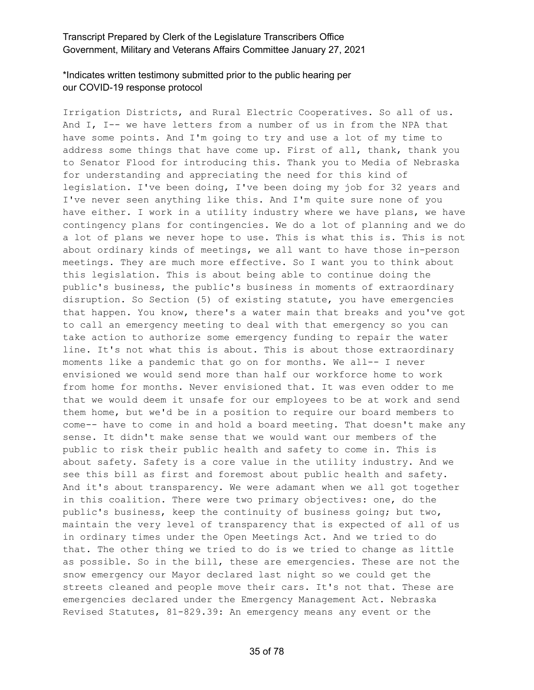# \*Indicates written testimony submitted prior to the public hearing per our COVID-19 response protocol

Irrigation Districts, and Rural Electric Cooperatives. So all of us. And I, I-- we have letters from a number of us in from the NPA that have some points. And I'm going to try and use a lot of my time to address some things that have come up. First of all, thank, thank you to Senator Flood for introducing this. Thank you to Media of Nebraska for understanding and appreciating the need for this kind of legislation. I've been doing, I've been doing my job for 32 years and I've never seen anything like this. And I'm quite sure none of you have either. I work in a utility industry where we have plans, we have contingency plans for contingencies. We do a lot of planning and we do a lot of plans we never hope to use. This is what this is. This is not about ordinary kinds of meetings, we all want to have those in-person meetings. They are much more effective. So I want you to think about this legislation. This is about being able to continue doing the public's business, the public's business in moments of extraordinary disruption. So Section (5) of existing statute, you have emergencies that happen. You know, there's a water main that breaks and you've got to call an emergency meeting to deal with that emergency so you can take action to authorize some emergency funding to repair the water line. It's not what this is about. This is about those extraordinary moments like a pandemic that go on for months. We all-- I never envisioned we would send more than half our workforce home to work from home for months. Never envisioned that. It was even odder to me that we would deem it unsafe for our employees to be at work and send them home, but we'd be in a position to require our board members to come-- have to come in and hold a board meeting. That doesn't make any sense. It didn't make sense that we would want our members of the public to risk their public health and safety to come in. This is about safety. Safety is a core value in the utility industry. And we see this bill as first and foremost about public health and safety. And it's about transparency. We were adamant when we all got together in this coalition. There were two primary objectives: one, do the public's business, keep the continuity of business going; but two, maintain the very level of transparency that is expected of all of us in ordinary times under the Open Meetings Act. And we tried to do that. The other thing we tried to do is we tried to change as little as possible. So in the bill, these are emergencies. These are not the snow emergency our Mayor declared last night so we could get the streets cleaned and people move their cars. It's not that. These are emergencies declared under the Emergency Management Act. Nebraska Revised Statutes, 81-829.39: An emergency means any event or the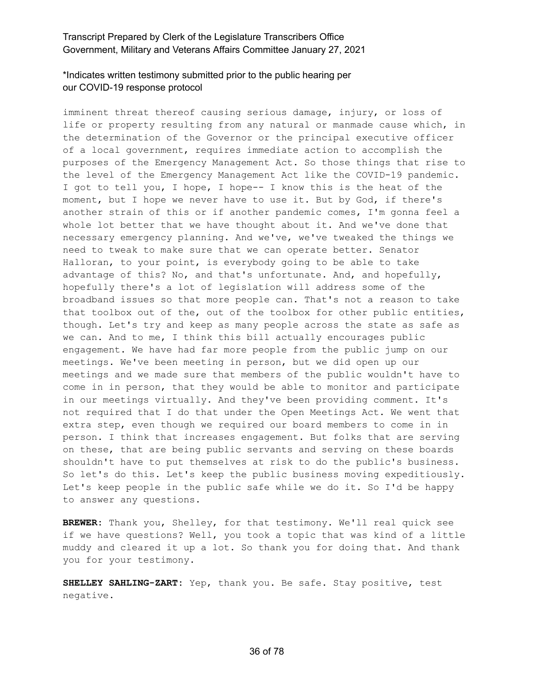# \*Indicates written testimony submitted prior to the public hearing per our COVID-19 response protocol

imminent threat thereof causing serious damage, injury, or loss of life or property resulting from any natural or manmade cause which, in the determination of the Governor or the principal executive officer of a local government, requires immediate action to accomplish the purposes of the Emergency Management Act. So those things that rise to the level of the Emergency Management Act like the COVID-19 pandemic. I got to tell you, I hope, I hope-- I know this is the heat of the moment, but I hope we never have to use it. But by God, if there's another strain of this or if another pandemic comes, I'm gonna feel a whole lot better that we have thought about it. And we've done that necessary emergency planning. And we've, we've tweaked the things we need to tweak to make sure that we can operate better. Senator Halloran, to your point, is everybody going to be able to take advantage of this? No, and that's unfortunate. And, and hopefully, hopefully there's a lot of legislation will address some of the broadband issues so that more people can. That's not a reason to take that toolbox out of the, out of the toolbox for other public entities, though. Let's try and keep as many people across the state as safe as we can. And to me, I think this bill actually encourages public engagement. We have had far more people from the public jump on our meetings. We've been meeting in person, but we did open up our meetings and we made sure that members of the public wouldn't have to come in in person, that they would be able to monitor and participate in our meetings virtually. And they've been providing comment. It's not required that I do that under the Open Meetings Act. We went that extra step, even though we required our board members to come in in person. I think that increases engagement. But folks that are serving on these, that are being public servants and serving on these boards shouldn't have to put themselves at risk to do the public's business. So let's do this. Let's keep the public business moving expeditiously. Let's keep people in the public safe while we do it. So I'd be happy to answer any questions.

**BREWER:** Thank you, Shelley, for that testimony. We'll real quick see if we have questions? Well, you took a topic that was kind of a little muddy and cleared it up a lot. So thank you for doing that. And thank you for your testimony.

**SHELLEY SAHLING-ZART:** Yep, thank you. Be safe. Stay positive, test negative.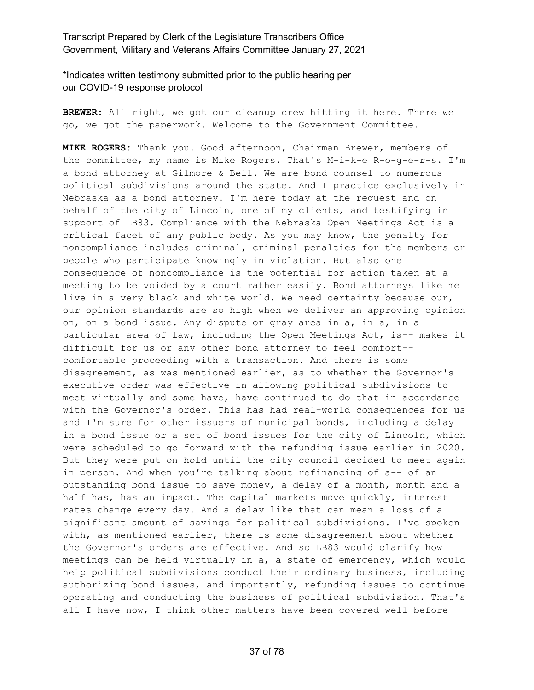\*Indicates written testimony submitted prior to the public hearing per our COVID-19 response protocol

**BREWER:** All right, we got our cleanup crew hitting it here. There we go, we got the paperwork. Welcome to the Government Committee.

**MIKE ROGERS:** Thank you. Good afternoon, Chairman Brewer, members of the committee, my name is Mike Rogers. That's M-i-k-e R-o-g-e-r-s. I'm a bond attorney at Gilmore & Bell. We are bond counsel to numerous political subdivisions around the state. And I practice exclusively in Nebraska as a bond attorney. I'm here today at the request and on behalf of the city of Lincoln, one of my clients, and testifying in support of LB83. Compliance with the Nebraska Open Meetings Act is a critical facet of any public body. As you may know, the penalty for noncompliance includes criminal, criminal penalties for the members or people who participate knowingly in violation. But also one consequence of noncompliance is the potential for action taken at a meeting to be voided by a court rather easily. Bond attorneys like me live in a very black and white world. We need certainty because our, our opinion standards are so high when we deliver an approving opinion on, on a bond issue. Any dispute or gray area in a, in a, in a particular area of law, including the Open Meetings Act, is-- makes it difficult for us or any other bond attorney to feel comfort- comfortable proceeding with a transaction. And there is some disagreement, as was mentioned earlier, as to whether the Governor's executive order was effective in allowing political subdivisions to meet virtually and some have, have continued to do that in accordance with the Governor's order. This has had real-world consequences for us and I'm sure for other issuers of municipal bonds, including a delay in a bond issue or a set of bond issues for the city of Lincoln, which were scheduled to go forward with the refunding issue earlier in 2020. But they were put on hold until the city council decided to meet again in person. And when you're talking about refinancing of a-- of an outstanding bond issue to save money, a delay of a month, month and a half has, has an impact. The capital markets move quickly, interest rates change every day. And a delay like that can mean a loss of a significant amount of savings for political subdivisions. I've spoken with, as mentioned earlier, there is some disagreement about whether the Governor's orders are effective. And so LB83 would clarify how meetings can be held virtually in a, a state of emergency, which would help political subdivisions conduct their ordinary business, including authorizing bond issues, and importantly, refunding issues to continue operating and conducting the business of political subdivision. That's all I have now, I think other matters have been covered well before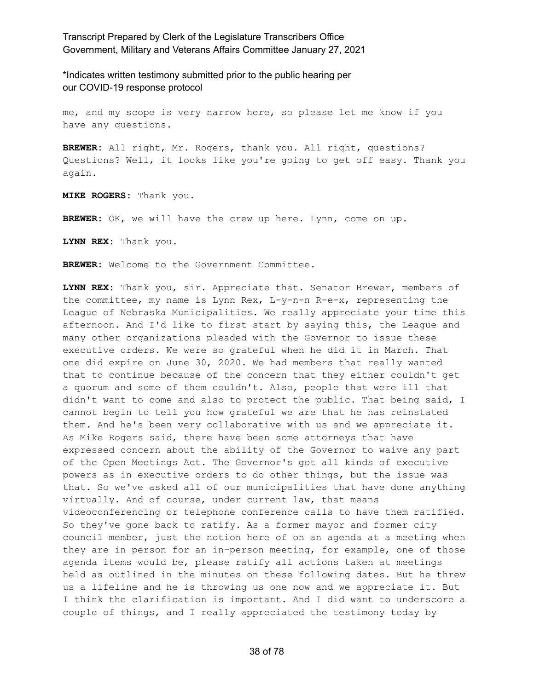\*Indicates written testimony submitted prior to the public hearing per our COVID-19 response protocol

me, and my scope is very narrow here, so please let me know if you have any questions.

**BREWER:** All right, Mr. Rogers, thank you. All right, questions? Questions? Well, it looks like you're going to get off easy. Thank you again.

**MIKE ROGERS:** Thank you.

**BREWER:** OK, we will have the crew up here. Lynn, come on up.

**LYNN REX:** Thank you.

**BREWER:** Welcome to the Government Committee.

**LYNN REX:** Thank you, sir. Appreciate that. Senator Brewer, members of the committee, my name is Lynn Rex, L-y-n-n R-e-x, representing the League of Nebraska Municipalities. We really appreciate your time this afternoon. And I'd like to first start by saying this, the League and many other organizations pleaded with the Governor to issue these executive orders. We were so grateful when he did it in March. That one did expire on June 30, 2020. We had members that really wanted that to continue because of the concern that they either couldn't get a quorum and some of them couldn't. Also, people that were ill that didn't want to come and also to protect the public. That being said, I cannot begin to tell you how grateful we are that he has reinstated them. And he's been very collaborative with us and we appreciate it. As Mike Rogers said, there have been some attorneys that have expressed concern about the ability of the Governor to waive any part of the Open Meetings Act. The Governor's got all kinds of executive powers as in executive orders to do other things, but the issue was that. So we've asked all of our municipalities that have done anything virtually. And of course, under current law, that means videoconferencing or telephone conference calls to have them ratified. So they've gone back to ratify. As a former mayor and former city council member, just the notion here of on an agenda at a meeting when they are in person for an in-person meeting, for example, one of those agenda items would be, please ratify all actions taken at meetings held as outlined in the minutes on these following dates. But he threw us a lifeline and he is throwing us one now and we appreciate it. But I think the clarification is important. And I did want to underscore a couple of things, and I really appreciated the testimony today by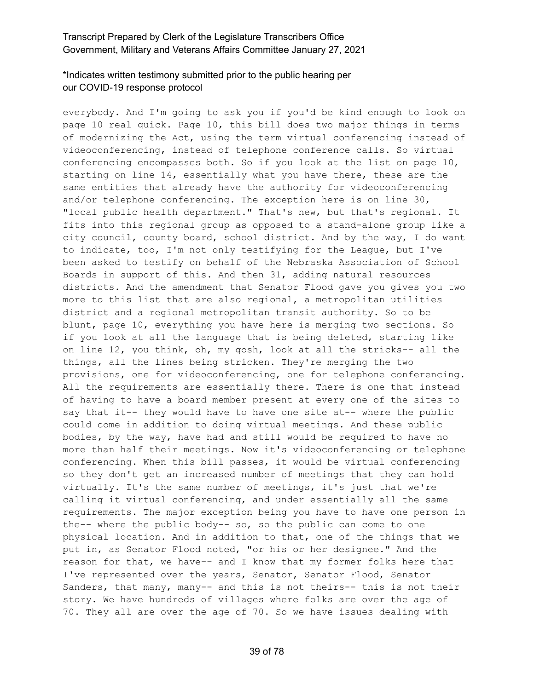# \*Indicates written testimony submitted prior to the public hearing per our COVID-19 response protocol

everybody. And I'm going to ask you if you'd be kind enough to look on page 10 real quick. Page 10, this bill does two major things in terms of modernizing the Act, using the term virtual conferencing instead of videoconferencing, instead of telephone conference calls. So virtual conferencing encompasses both. So if you look at the list on page 10, starting on line 14, essentially what you have there, these are the same entities that already have the authority for videoconferencing and/or telephone conferencing. The exception here is on line 30, "local public health department." That's new, but that's regional. It fits into this regional group as opposed to a stand-alone group like a city council, county board, school district. And by the way, I do want to indicate, too, I'm not only testifying for the League, but I've been asked to testify on behalf of the Nebraska Association of School Boards in support of this. And then 31, adding natural resources districts. And the amendment that Senator Flood gave you gives you two more to this list that are also regional, a metropolitan utilities district and a regional metropolitan transit authority. So to be blunt, page 10, everything you have here is merging two sections. So if you look at all the language that is being deleted, starting like on line 12, you think, oh, my gosh, look at all the stricks-- all the things, all the lines being stricken. They're merging the two provisions, one for videoconferencing, one for telephone conferencing. All the requirements are essentially there. There is one that instead of having to have a board member present at every one of the sites to say that it-- they would have to have one site at-- where the public could come in addition to doing virtual meetings. And these public bodies, by the way, have had and still would be required to have no more than half their meetings. Now it's videoconferencing or telephone conferencing. When this bill passes, it would be virtual conferencing so they don't get an increased number of meetings that they can hold virtually. It's the same number of meetings, it's just that we're calling it virtual conferencing, and under essentially all the same requirements. The major exception being you have to have one person in the-- where the public body-- so, so the public can come to one physical location. And in addition to that, one of the things that we put in, as Senator Flood noted, "or his or her designee." And the reason for that, we have-- and I know that my former folks here that I've represented over the years, Senator, Senator Flood, Senator Sanders, that many, many-- and this is not theirs-- this is not their story. We have hundreds of villages where folks are over the age of 70. They all are over the age of 70. So we have issues dealing with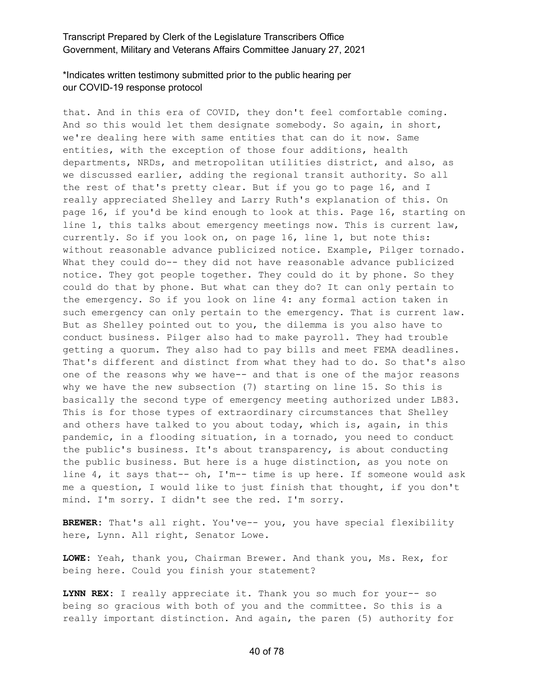# \*Indicates written testimony submitted prior to the public hearing per our COVID-19 response protocol

that. And in this era of COVID, they don't feel comfortable coming. And so this would let them designate somebody. So again, in short, we're dealing here with same entities that can do it now. Same entities, with the exception of those four additions, health departments, NRDs, and metropolitan utilities district, and also, as we discussed earlier, adding the regional transit authority. So all the rest of that's pretty clear. But if you go to page 16, and I really appreciated Shelley and Larry Ruth's explanation of this. On page 16, if you'd be kind enough to look at this. Page 16, starting on line 1, this talks about emergency meetings now. This is current law, currently. So if you look on, on page 16, line 1, but note this: without reasonable advance publicized notice. Example, Pilger tornado. What they could do-- they did not have reasonable advance publicized notice. They got people together. They could do it by phone. So they could do that by phone. But what can they do? It can only pertain to the emergency. So if you look on line 4: any formal action taken in such emergency can only pertain to the emergency. That is current law. But as Shelley pointed out to you, the dilemma is you also have to conduct business. Pilger also had to make payroll. They had trouble getting a quorum. They also had to pay bills and meet FEMA deadlines. That's different and distinct from what they had to do. So that's also one of the reasons why we have-- and that is one of the major reasons why we have the new subsection (7) starting on line 15. So this is basically the second type of emergency meeting authorized under LB83. This is for those types of extraordinary circumstances that Shelley and others have talked to you about today, which is, again, in this pandemic, in a flooding situation, in a tornado, you need to conduct the public's business. It's about transparency, is about conducting the public business. But here is a huge distinction, as you note on line 4, it says that-- oh, I'm-- time is up here. If someone would ask me a question, I would like to just finish that thought, if you don't mind. I'm sorry. I didn't see the red. I'm sorry.

**BREWER:** That's all right. You've-- you, you have special flexibility here, Lynn. All right, Senator Lowe.

**LOWE:** Yeah, thank you, Chairman Brewer. And thank you, Ms. Rex, for being here. Could you finish your statement?

**LYNN REX:** I really appreciate it. Thank you so much for your-- so being so gracious with both of you and the committee. So this is a really important distinction. And again, the paren (5) authority for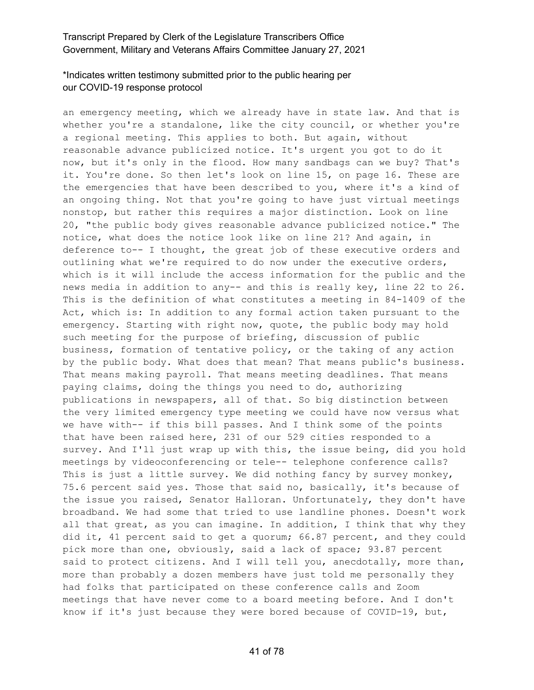# \*Indicates written testimony submitted prior to the public hearing per our COVID-19 response protocol

an emergency meeting, which we already have in state law. And that is whether you're a standalone, like the city council, or whether you're a regional meeting. This applies to both. But again, without reasonable advance publicized notice. It's urgent you got to do it now, but it's only in the flood. How many sandbags can we buy? That's it. You're done. So then let's look on line 15, on page 16. These are the emergencies that have been described to you, where it's a kind of an ongoing thing. Not that you're going to have just virtual meetings nonstop, but rather this requires a major distinction. Look on line 20, "the public body gives reasonable advance publicized notice." The notice, what does the notice look like on line 21? And again, in deference to-- I thought, the great job of these executive orders and outlining what we're required to do now under the executive orders, which is it will include the access information for the public and the news media in addition to any-- and this is really key, line 22 to 26. This is the definition of what constitutes a meeting in 84-1409 of the Act, which is: In addition to any formal action taken pursuant to the emergency. Starting with right now, quote, the public body may hold such meeting for the purpose of briefing, discussion of public business, formation of tentative policy, or the taking of any action by the public body. What does that mean? That means public's business. That means making payroll. That means meeting deadlines. That means paying claims, doing the things you need to do, authorizing publications in newspapers, all of that. So big distinction between the very limited emergency type meeting we could have now versus what we have with-- if this bill passes. And I think some of the points that have been raised here, 231 of our 529 cities responded to a survey. And I'll just wrap up with this, the issue being, did you hold meetings by videoconferencing or tele-- telephone conference calls? This is just a little survey. We did nothing fancy by survey monkey, 75.6 percent said yes. Those that said no, basically, it's because of the issue you raised, Senator Halloran. Unfortunately, they don't have broadband. We had some that tried to use landline phones. Doesn't work all that great, as you can imagine. In addition, I think that why they did it, 41 percent said to get a quorum; 66.87 percent, and they could pick more than one, obviously, said a lack of space; 93.87 percent said to protect citizens. And I will tell you, anecdotally, more than, more than probably a dozen members have just told me personally they had folks that participated on these conference calls and Zoom meetings that have never come to a board meeting before. And I don't know if it's just because they were bored because of COVID-19, but,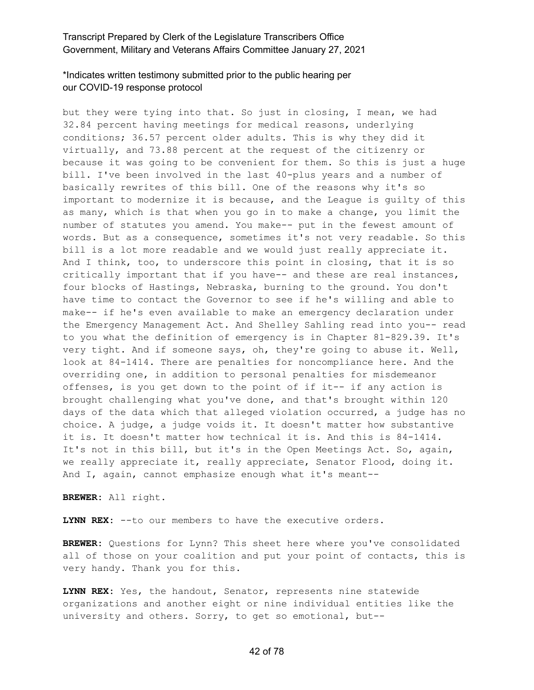# \*Indicates written testimony submitted prior to the public hearing per our COVID-19 response protocol

but they were tying into that. So just in closing, I mean, we had 32.84 percent having meetings for medical reasons, underlying conditions; 36.57 percent older adults. This is why they did it virtually, and 73.88 percent at the request of the citizenry or because it was going to be convenient for them. So this is just a huge bill. I've been involved in the last 40-plus years and a number of basically rewrites of this bill. One of the reasons why it's so important to modernize it is because, and the League is guilty of this as many, which is that when you go in to make a change, you limit the number of statutes you amend. You make-- put in the fewest amount of words. But as a consequence, sometimes it's not very readable. So this bill is a lot more readable and we would just really appreciate it. And I think, too, to underscore this point in closing, that it is so critically important that if you have-- and these are real instances, four blocks of Hastings, Nebraska, burning to the ground. You don't have time to contact the Governor to see if he's willing and able to make-- if he's even available to make an emergency declaration under the Emergency Management Act. And Shelley Sahling read into you-- read to you what the definition of emergency is in Chapter 81-829.39. It's very tight. And if someone says, oh, they're going to abuse it. Well, look at 84-1414. There are penalties for noncompliance here. And the overriding one, in addition to personal penalties for misdemeanor offenses, is you get down to the point of if it-- if any action is brought challenging what you've done, and that's brought within 120 days of the data which that alleged violation occurred, a judge has no choice. A judge, a judge voids it. It doesn't matter how substantive it is. It doesn't matter how technical it is. And this is 84-1414. It's not in this bill, but it's in the Open Meetings Act. So, again, we really appreciate it, really appreciate, Senator Flood, doing it. And I, again, cannot emphasize enough what it's meant--

**BREWER:** All right.

**LYNN REX:** --to our members to have the executive orders.

**BREWER:** Questions for Lynn? This sheet here where you've consolidated all of those on your coalition and put your point of contacts, this is very handy. Thank you for this.

**LYNN REX:** Yes, the handout, Senator, represents nine statewide organizations and another eight or nine individual entities like the university and others. Sorry, to get so emotional, but--

#### 42 of 78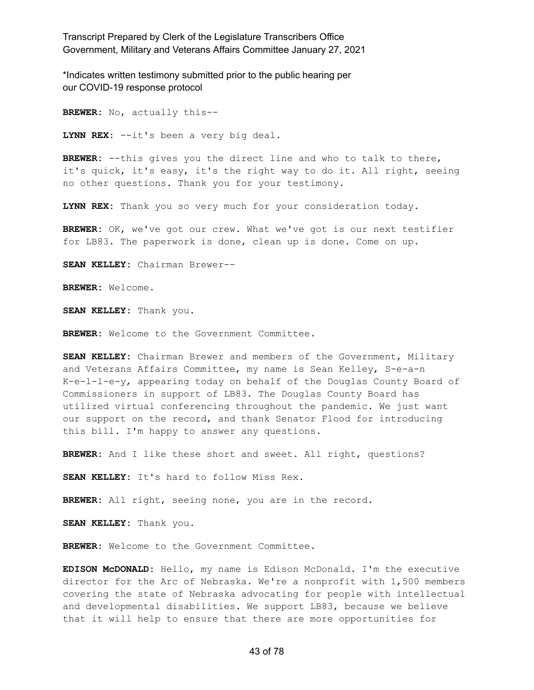\*Indicates written testimony submitted prior to the public hearing per our COVID-19 response protocol

**BREWER:** No, actually this--

**LYNN REX:** --it's been a very big deal.

**BREWER:** --this gives you the direct line and who to talk to there, it's quick, it's easy, it's the right way to do it. All right, seeing no other questions. Thank you for your testimony.

**LYNN REX:** Thank you so very much for your consideration today.

**BREWER:** OK, we've got our crew. What we've got is our next testifier for LB83. The paperwork is done, clean up is done. Come on up.

**SEAN KELLEY:** Chairman Brewer--

**BREWER:** Welcome.

**SEAN KELLEY:** Thank you.

**BREWER:** Welcome to the Government Committee.

**SEAN KELLEY:** Chairman Brewer and members of the Government, Military and Veterans Affairs Committee, my name is Sean Kelley, S-e-a-n K-e-l-l-e-y, appearing today on behalf of the Douglas County Board of Commissioners in support of LB83. The Douglas County Board has utilized virtual conferencing throughout the pandemic. We just want our support on the record, and thank Senator Flood for introducing this bill. I'm happy to answer any questions.

**BREWER:** And I like these short and sweet. All right, questions?

**SEAN KELLEY:** It's hard to follow Miss Rex.

**BREWER:** All right, seeing none, you are in the record.

**SEAN KELLEY:** Thank you.

**BREWER:** Welcome to the Government Committee.

**EDISON McDONALD:** Hello, my name is Edison McDonald. I'm the executive director for the Arc of Nebraska. We're a nonprofit with 1,500 members covering the state of Nebraska advocating for people with intellectual and developmental disabilities. We support LB83, because we believe that it will help to ensure that there are more opportunities for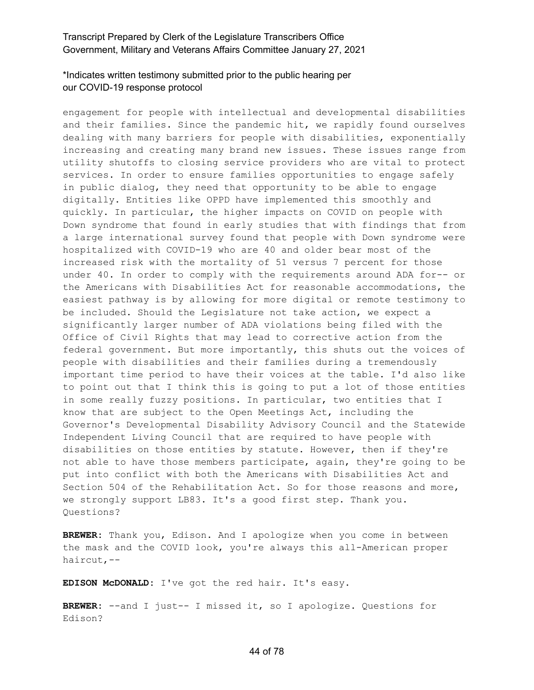# \*Indicates written testimony submitted prior to the public hearing per our COVID-19 response protocol

engagement for people with intellectual and developmental disabilities and their families. Since the pandemic hit, we rapidly found ourselves dealing with many barriers for people with disabilities, exponentially increasing and creating many brand new issues. These issues range from utility shutoffs to closing service providers who are vital to protect services. In order to ensure families opportunities to engage safely in public dialog, they need that opportunity to be able to engage digitally. Entities like OPPD have implemented this smoothly and quickly. In particular, the higher impacts on COVID on people with Down syndrome that found in early studies that with findings that from a large international survey found that people with Down syndrome were hospitalized with COVID-19 who are 40 and older bear most of the increased risk with the mortality of 51 versus 7 percent for those under 40. In order to comply with the requirements around ADA for-- or the Americans with Disabilities Act for reasonable accommodations, the easiest pathway is by allowing for more digital or remote testimony to be included. Should the Legislature not take action, we expect a significantly larger number of ADA violations being filed with the Office of Civil Rights that may lead to corrective action from the federal government. But more importantly, this shuts out the voices of people with disabilities and their families during a tremendously important time period to have their voices at the table. I'd also like to point out that I think this is going to put a lot of those entities in some really fuzzy positions. In particular, two entities that I know that are subject to the Open Meetings Act, including the Governor's Developmental Disability Advisory Council and the Statewide Independent Living Council that are required to have people with disabilities on those entities by statute. However, then if they're not able to have those members participate, again, they're going to be put into conflict with both the Americans with Disabilities Act and Section 504 of the Rehabilitation Act. So for those reasons and more, we strongly support LB83. It's a good first step. Thank you. Questions?

**BREWER:** Thank you, Edison. And I apologize when you come in between the mask and the COVID look, you're always this all-American proper haircut,--

**EDISON McDONALD:** I've got the red hair. It's easy.

**BREWER:** --and I just-- I missed it, so I apologize. Questions for Edison?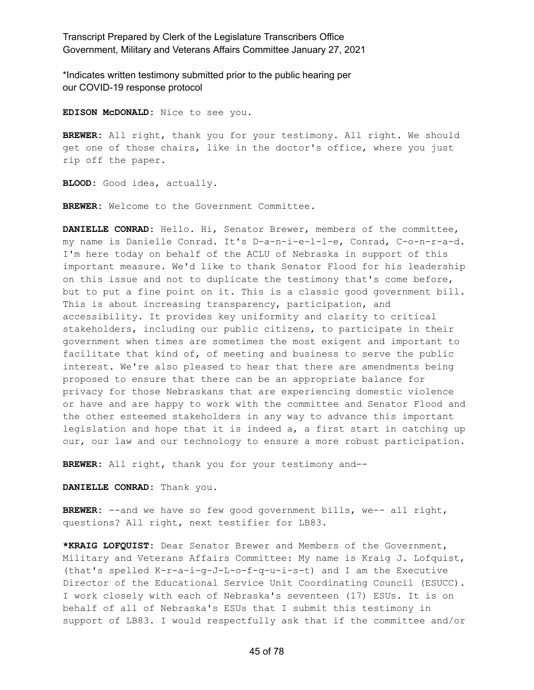\*Indicates written testimony submitted prior to the public hearing per our COVID-19 response protocol

**EDISON McDONALD:** Nice to see you.

**BREWER:** All right, thank you for your testimony. All right. We should get one of those chairs, like in the doctor's office, where you just rip off the paper.

**BLOOD:** Good idea, actually.

**BREWER:** Welcome to the Government Committee.

**DANIELLE CONRAD:** Hello. Hi, Senator Brewer, members of the committee, my name is Danielle Conrad. It's D-a-n-i-e-l-l-e, Conrad, C-o-n-r-a-d. I'm here today on behalf of the ACLU of Nebraska in support of this important measure. We'd like to thank Senator Flood for his leadership on this issue and not to duplicate the testimony that's come before, but to put a fine point on it. This is a classic good government bill. This is about increasing transparency, participation, and accessibility. It provides key uniformity and clarity to critical stakeholders, including our public citizens, to participate in their government when times are sometimes the most exigent and important to facilitate that kind of, of meeting and business to serve the public interest. We're also pleased to hear that there are amendments being proposed to ensure that there can be an appropriate balance for privacy for those Nebraskans that are experiencing domestic violence or have and are happy to work with the committee and Senator Flood and the other esteemed stakeholders in any way to advance this important legislation and hope that it is indeed a, a first start in catching up our, our law and our technology to ensure a more robust participation.

**BREWER:** All right, thank you for your testimony and--

**DANIELLE CONRAD:** Thank you.

**BREWER:** --and we have so few good government bills, we-- all right, questions? All right, next testifier for LB83.

**\*KRAIG LOFQUIST:** Dear Senator Brewer and Members of the Government, Military and Veterans Affairs Committee: My name is Kraig J. Lofquist, (that's spelled K-r-a-i-g-J-L-o-f-q-u-i-s-t) and I am the Executive Director of the Educational Service Unit Coordinating Council (ESUCC). I work closely with each of Nebraska's seventeen (17) ESUs. It is on behalf of all of Nebraska's ESUs that I submit this testimony in support of LB83. I would respectfully ask that if the committee and/or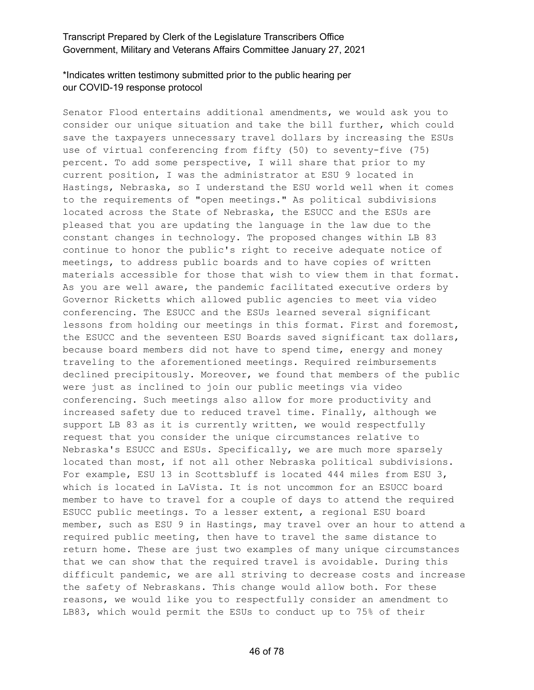# \*Indicates written testimony submitted prior to the public hearing per our COVID-19 response protocol

Senator Flood entertains additional amendments, we would ask you to consider our unique situation and take the bill further, which could save the taxpayers unnecessary travel dollars by increasing the ESUs use of virtual conferencing from fifty (50) to seventy-five (75) percent. To add some perspective, I will share that prior to my current position, I was the administrator at ESU 9 located in Hastings, Nebraska, so I understand the ESU world well when it comes to the requirements of "open meetings." As political subdivisions located across the State of Nebraska, the ESUCC and the ESUs are pleased that you are updating the language in the law due to the constant changes in technology. The proposed changes within LB 83 continue to honor the public's right to receive adequate notice of meetings, to address public boards and to have copies of written materials accessible for those that wish to view them in that format. As you are well aware, the pandemic facilitated executive orders by Governor Ricketts which allowed public agencies to meet via video conferencing. The ESUCC and the ESUs learned several significant lessons from holding our meetings in this format. First and foremost, the ESUCC and the seventeen ESU Boards saved significant tax dollars, because board members did not have to spend time, energy and money traveling to the aforementioned meetings. Required reimbursements declined precipitously. Moreover, we found that members of the public were just as inclined to join our public meetings via video conferencing. Such meetings also allow for more productivity and increased safety due to reduced travel time. Finally, although we support LB 83 as it is currently written, we would respectfully request that you consider the unique circumstances relative to Nebraska's ESUCC and ESUs. Specifically, we are much more sparsely located than most, if not all other Nebraska political subdivisions. For example, ESU 13 in Scottsbluff is located 444 miles from ESU 3, which is located in LaVista. It is not uncommon for an ESUCC board member to have to travel for a couple of days to attend the required ESUCC public meetings. To a lesser extent, a regional ESU board member, such as ESU 9 in Hastings, may travel over an hour to attend a required public meeting, then have to travel the same distance to return home. These are just two examples of many unique circumstances that we can show that the required travel is avoidable. During this difficult pandemic, we are all striving to decrease costs and increase the safety of Nebraskans. This change would allow both. For these reasons, we would like you to respectfully consider an amendment to LB83, which would permit the ESUs to conduct up to 75% of their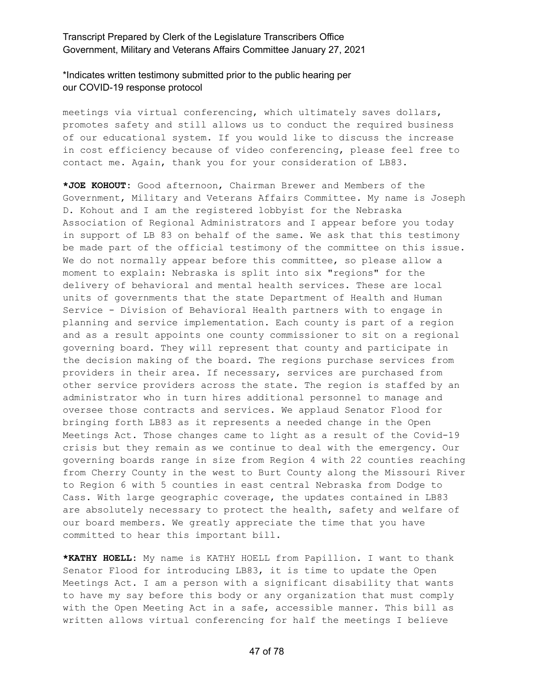### \*Indicates written testimony submitted prior to the public hearing per our COVID-19 response protocol

meetings via virtual conferencing, which ultimately saves dollars, promotes safety and still allows us to conduct the required business of our educational system. If you would like to discuss the increase in cost efficiency because of video conferencing, please feel free to contact me. Again, thank you for your consideration of LB83.

**\*JOE KOHOUT:** Good afternoon, Chairman Brewer and Members of the Government, Military and Veterans Affairs Committee. My name is Joseph D. Kohout and I am the registered lobbyist for the Nebraska Association of Regional Administrators and I appear before you today in support of LB 83 on behalf of the same. We ask that this testimony be made part of the official testimony of the committee on this issue. We do not normally appear before this committee, so please allow a moment to explain: Nebraska is split into six "regions" for the delivery of behavioral and mental health services. These are local units of governments that the state Department of Health and Human Service - Division of Behavioral Health partners with to engage in planning and service implementation. Each county is part of a region and as a result appoints one county commissioner to sit on a regional governing board. They will represent that county and participate in the decision making of the board. The regions purchase services from providers in their area. If necessary, services are purchased from other service providers across the state. The region is staffed by an administrator who in turn hires additional personnel to manage and oversee those contracts and services. We applaud Senator Flood for bringing forth LB83 as it represents a needed change in the Open Meetings Act. Those changes came to light as a result of the Covid-19 crisis but they remain as we continue to deal with the emergency. Our governing boards range in size from Region 4 with 22 counties reaching from Cherry County in the west to Burt County along the Missouri River to Region 6 with 5 counties in east central Nebraska from Dodge to Cass. With large geographic coverage, the updates contained in LB83 are absolutely necessary to protect the health, safety and welfare of our board members. We greatly appreciate the time that you have committed to hear this important bill.

**\*KATHY HOELL:** My name is KATHY HOELL from Papillion. I want to thank Senator Flood for introducing LB83, it is time to update the Open Meetings Act. I am a person with a significant disability that wants to have my say before this body or any organization that must comply with the Open Meeting Act in a safe, accessible manner. This bill as written allows virtual conferencing for half the meetings I believe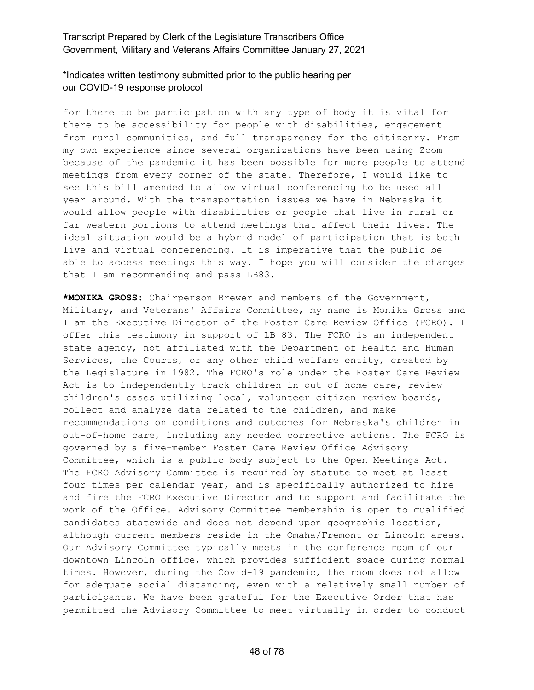### \*Indicates written testimony submitted prior to the public hearing per our COVID-19 response protocol

for there to be participation with any type of body it is vital for there to be accessibility for people with disabilities, engagement from rural communities, and full transparency for the citizenry. From my own experience since several organizations have been using Zoom because of the pandemic it has been possible for more people to attend meetings from every corner of the state. Therefore, I would like to see this bill amended to allow virtual conferencing to be used all year around. With the transportation issues we have in Nebraska it would allow people with disabilities or people that live in rural or far western portions to attend meetings that affect their lives. The ideal situation would be a hybrid model of participation that is both live and virtual conferencing. It is imperative that the public be able to access meetings this way. I hope you will consider the changes that I am recommending and pass LB83.

**\*MONIKA GROSS:** Chairperson Brewer and members of the Government, Military, and Veterans' Affairs Committee, my name is Monika Gross and I am the Executive Director of the Foster Care Review Office (FCRO). I offer this testimony in support of LB 83. The FCRO is an independent state agency, not affiliated with the Department of Health and Human Services, the Courts, or any other child welfare entity, created by the Legislature in 1982. The FCRO's role under the Foster Care Review Act is to independently track children in out-of-home care, review children's cases utilizing local, volunteer citizen review boards, collect and analyze data related to the children, and make recommendations on conditions and outcomes for Nebraska's children in out-of-home care, including any needed corrective actions. The FCRO is governed by a five-member Foster Care Review Office Advisory Committee, which is a public body subject to the Open Meetings Act. The FCRO Advisory Committee is required by statute to meet at least four times per calendar year, and is specifically authorized to hire and fire the FCRO Executive Director and to support and facilitate the work of the Office. Advisory Committee membership is open to qualified candidates statewide and does not depend upon geographic location, although current members reside in the Omaha/Fremont or Lincoln areas. Our Advisory Committee typically meets in the conference room of our downtown Lincoln office, which provides sufficient space during normal times. However, during the Covid-19 pandemic, the room does not allow for adequate social distancing, even with a relatively small number of participants. We have been grateful for the Executive Order that has permitted the Advisory Committee to meet virtually in order to conduct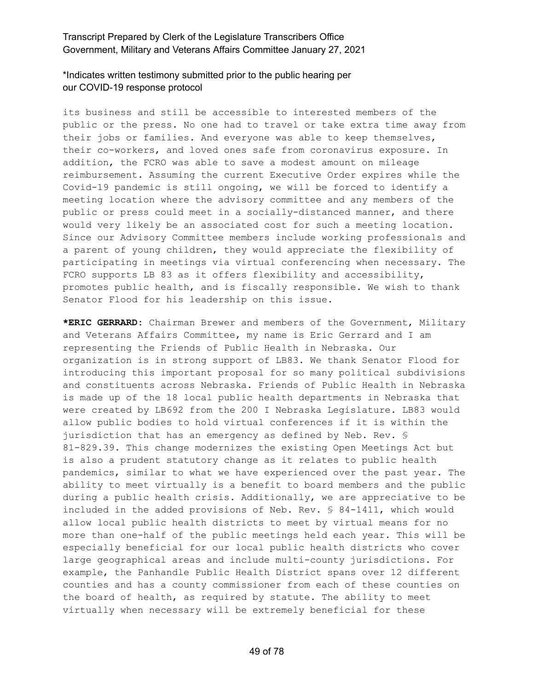#### \*Indicates written testimony submitted prior to the public hearing per our COVID-19 response protocol

its business and still be accessible to interested members of the public or the press. No one had to travel or take extra time away from their jobs or families. And everyone was able to keep themselves, their co-workers, and loved ones safe from coronavirus exposure. In addition, the FCRO was able to save a modest amount on mileage reimbursement. Assuming the current Executive Order expires while the Covid-19 pandemic is still ongoing, we will be forced to identify a meeting location where the advisory committee and any members of the public or press could meet in a socially-distanced manner, and there would very likely be an associated cost for such a meeting location. Since our Advisory Committee members include working professionals and a parent of young children, they would appreciate the flexibility of participating in meetings via virtual conferencing when necessary. The FCRO supports LB 83 as it offers flexibility and accessibility, promotes public health, and is fiscally responsible. We wish to thank Senator Flood for his leadership on this issue.

**\*ERIC GERRARD:** Chairman Brewer and members of the Government, Military and Veterans Affairs Committee, my name is Eric Gerrard and I am representing the Friends of Public Health in Nebraska. Our organization is in strong support of LB83. We thank Senator Flood for introducing this important proposal for so many political subdivisions and constituents across Nebraska. Friends of Public Health in Nebraska is made up of the 18 local public health departments in Nebraska that were created by LB692 from the 200 I Nebraska Legislature. LB83 would allow public bodies to hold virtual conferences if it is within the jurisdiction that has an emergency as defined by Neb. Rev. § 81-829.39. This change modernizes the existing Open Meetings Act but is also a prudent statutory change as it relates to public health pandemics, similar to what we have experienced over the past year. The ability to meet virtually is a benefit to board members and the public during a public health crisis. Additionally, we are appreciative to be included in the added provisions of Neb. Rev. § 84-1411, which would allow local public health districts to meet by virtual means for no more than one-half of the public meetings held each year. This will be especially beneficial for our local public health districts who cover large geographical areas and include multi-county jurisdictions. For example, the Panhandle Public Health District spans over 12 different counties and has a county commissioner from each of these counties on the board of health, as required by statute. The ability to meet virtually when necessary will be extremely beneficial for these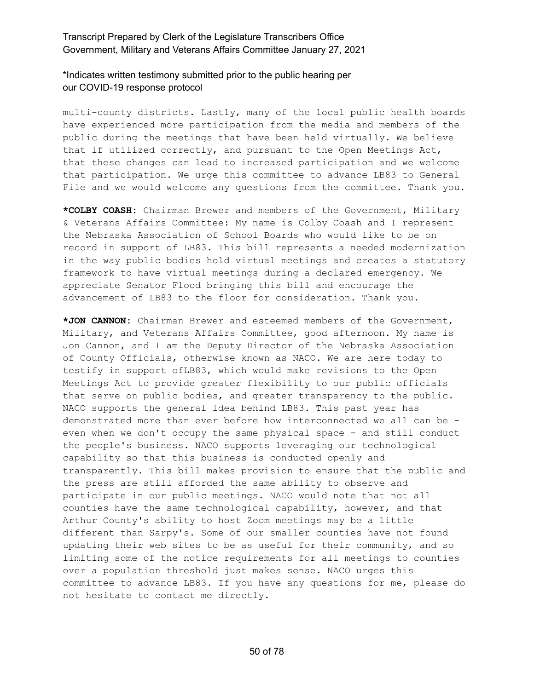\*Indicates written testimony submitted prior to the public hearing per our COVID-19 response protocol

multi-county districts. Lastly, many of the local public health boards have experienced more participation from the media and members of the public during the meetings that have been held virtually. We believe that if utilized correctly, and pursuant to the Open Meetings Act, that these changes can lead to increased participation and we welcome that participation. We urge this committee to advance LB83 to General File and we would welcome any questions from the committee. Thank you.

**\*COLBY COASH:** Chairman Brewer and members of the Government, Military & Veterans Affairs Committee: My name is Colby Coash and I represent the Nebraska Association of School Boards who would like to be on record in support of LB83. This bill represents a needed modernization in the way public bodies hold virtual meetings and creates a statutory framework to have virtual meetings during a declared emergency. We appreciate Senator Flood bringing this bill and encourage the advancement of LB83 to the floor for consideration. Thank you.

**\*JON CANNON:** Chairman Brewer and esteemed members of the Government, Military, and Veterans Affairs Committee, good afternoon. My name is Jon Cannon, and I am the Deputy Director of the Nebraska Association of County Officials, otherwise known as NACO. We are here today to testify in support ofLB83, which would make revisions to the Open Meetings Act to provide greater flexibility to our public officials that serve on public bodies, and greater transparency to the public. NACO supports the general idea behind LB83. This past year has demonstrated more than ever before how interconnected we all can be even when we don't occupy the same physical space - and still conduct the people's business. NACO supports leveraging our technological capability so that this business is conducted openly and transparently. This bill makes provision to ensure that the public and the press are still afforded the same ability to observe and participate in our public meetings. NACO would note that not all counties have the same technological capability, however, and that Arthur County's ability to host Zoom meetings may be a little different than Sarpy's. Some of our smaller counties have not found updating their web sites to be as useful for their community, and so limiting some of the notice requirements for all meetings to counties over a population threshold just makes sense. NACO urges this committee to advance LB83. If you have any questions for me, please do not hesitate to contact me directly.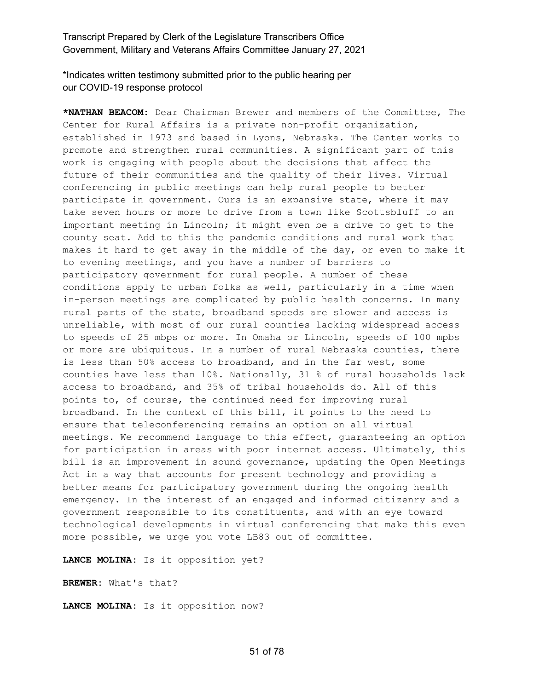\*Indicates written testimony submitted prior to the public hearing per our COVID-19 response protocol

**\*NATHAN BEACOM:** Dear Chairman Brewer and members of the Committee, The Center for Rural Affairs is a private non-profit organization, established in 1973 and based in Lyons, Nebraska. The Center works to promote and strengthen rural communities. A significant part of this work is engaging with people about the decisions that affect the future of their communities and the quality of their lives. Virtual conferencing in public meetings can help rural people to better participate in government. Ours is an expansive state, where it may take seven hours or more to drive from a town like Scottsbluff to an important meeting in Lincoln; it might even be a drive to get to the county seat. Add to this the pandemic conditions and rural work that makes it hard to get away in the middle of the day, or even to make it to evening meetings, and you have a number of barriers to participatory government for rural people. A number of these conditions apply to urban folks as well, particularly in a time when in-person meetings are complicated by public health concerns. In many rural parts of the state, broadband speeds are slower and access is unreliable, with most of our rural counties lacking widespread access to speeds of 25 mbps or more. In Omaha or Lincoln, speeds of 100 mpbs or more are ubiquitous. In a number of rural Nebraska counties, there is less than 50% access to broadband, and in the far west, some counties have less than  $10\%$ . Nationally, 31 % of rural households lack access to broadband, and 35% of tribal households do. All of this points to, of course, the continued need for improving rural broadband. In the context of this bill, it points to the need to ensure that teleconferencing remains an option on all virtual meetings. We recommend language to this effect, guaranteeing an option for participation in areas with poor internet access. Ultimately, this bill is an improvement in sound governance, updating the Open Meetings Act in a way that accounts for present technology and providing a better means for participatory government during the ongoing health emergency. In the interest of an engaged and informed citizenry and a government responsible to its constituents, and with an eye toward technological developments in virtual conferencing that make this even more possible, we urge you vote LB83 out of committee.

**LANCE MOLINA:** Is it opposition yet?

**BREWER:** What's that?

**LANCE MOLINA:** Is it opposition now?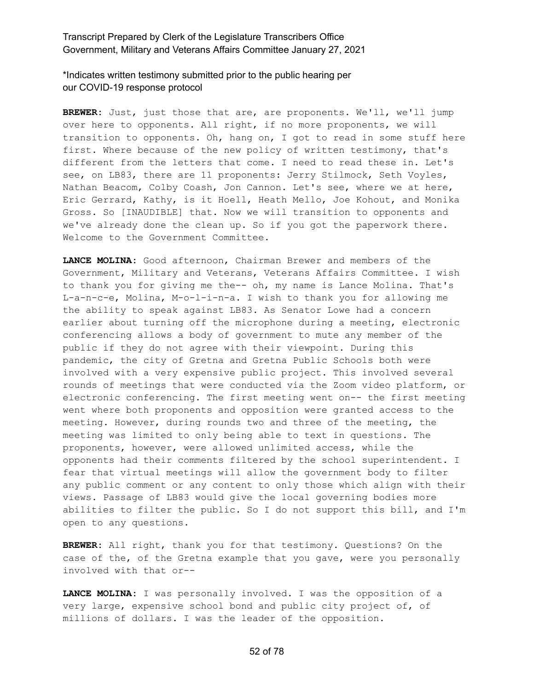\*Indicates written testimony submitted prior to the public hearing per our COVID-19 response protocol

**BREWER:** Just, just those that are, are proponents. We'll, we'll jump over here to opponents. All right, if no more proponents, we will transition to opponents. Oh, hang on, I got to read in some stuff here first. Where because of the new policy of written testimony, that's different from the letters that come. I need to read these in. Let's see, on LB83, there are 11 proponents: Jerry Stilmock, Seth Voyles, Nathan Beacom, Colby Coash, Jon Cannon. Let's see, where we at here, Eric Gerrard, Kathy, is it Hoell, Heath Mello, Joe Kohout, and Monika Gross. So [INAUDIBLE] that. Now we will transition to opponents and we've already done the clean up. So if you got the paperwork there. Welcome to the Government Committee.

**LANCE MOLINA:** Good afternoon, Chairman Brewer and members of the Government, Military and Veterans, Veterans Affairs Committee. I wish to thank you for giving me the-- oh, my name is Lance Molina. That's L-a-n-c-e, Molina, M-o-l-i-n-a. I wish to thank you for allowing me the ability to speak against LB83. As Senator Lowe had a concern earlier about turning off the microphone during a meeting, electronic conferencing allows a body of government to mute any member of the public if they do not agree with their viewpoint. During this pandemic, the city of Gretna and Gretna Public Schools both were involved with a very expensive public project. This involved several rounds of meetings that were conducted via the Zoom video platform, or electronic conferencing. The first meeting went on-- the first meeting went where both proponents and opposition were granted access to the meeting. However, during rounds two and three of the meeting, the meeting was limited to only being able to text in questions. The proponents, however, were allowed unlimited access, while the opponents had their comments filtered by the school superintendent. I fear that virtual meetings will allow the government body to filter any public comment or any content to only those which align with their views. Passage of LB83 would give the local governing bodies more abilities to filter the public. So I do not support this bill, and I'm open to any questions.

**BREWER:** All right, thank you for that testimony. Questions? On the case of the, of the Gretna example that you gave, were you personally involved with that or--

**LANCE MOLINA:** I was personally involved. I was the opposition of a very large, expensive school bond and public city project of, of millions of dollars. I was the leader of the opposition.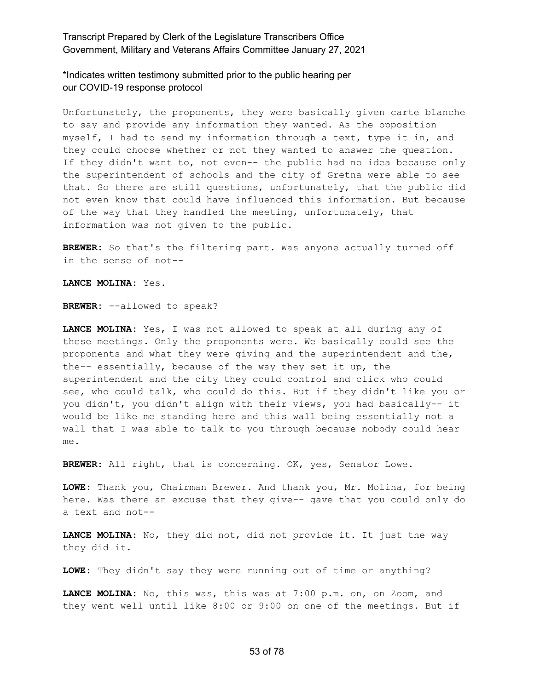\*Indicates written testimony submitted prior to the public hearing per our COVID-19 response protocol

Unfortunately, the proponents, they were basically given carte blanche to say and provide any information they wanted. As the opposition myself, I had to send my information through a text, type it in, and they could choose whether or not they wanted to answer the question. If they didn't want to, not even-- the public had no idea because only the superintendent of schools and the city of Gretna were able to see that. So there are still questions, unfortunately, that the public did not even know that could have influenced this information. But because of the way that they handled the meeting, unfortunately, that information was not given to the public.

**BREWER:** So that's the filtering part. Was anyone actually turned off in the sense of not--

**LANCE MOLINA:** Yes.

**BREWER:** --allowed to speak?

**LANCE MOLINA:** Yes, I was not allowed to speak at all during any of these meetings. Only the proponents were. We basically could see the proponents and what they were giving and the superintendent and the, the-- essentially, because of the way they set it up, the superintendent and the city they could control and click who could see, who could talk, who could do this. But if they didn't like you or you didn't, you didn't align with their views, you had basically-- it would be like me standing here and this wall being essentially not a wall that I was able to talk to you through because nobody could hear me.

**BREWER:** All right, that is concerning. OK, yes, Senator Lowe.

**LOWE:** Thank you, Chairman Brewer. And thank you, Mr. Molina, for being here. Was there an excuse that they give-- gave that you could only do a text and not--

**LANCE MOLINA:** No, they did not, did not provide it. It just the way they did it.

**LOWE:** They didn't say they were running out of time or anything?

**LANCE MOLINA:** No, this was, this was at 7:00 p.m. on, on Zoom, and they went well until like 8:00 or 9:00 on one of the meetings. But if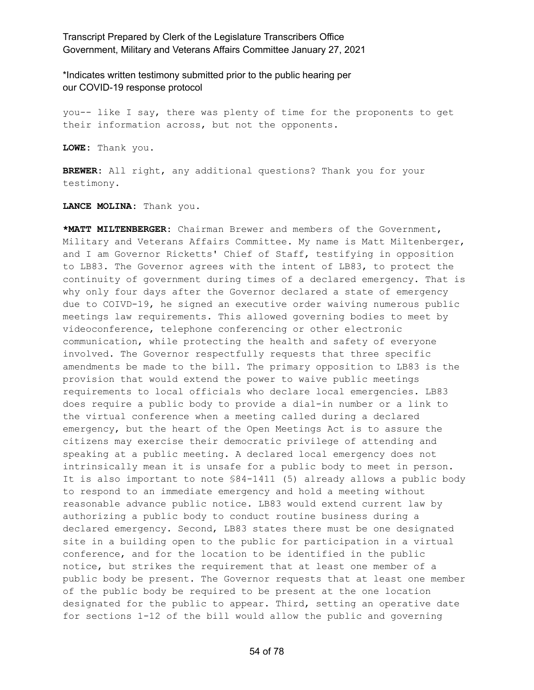\*Indicates written testimony submitted prior to the public hearing per our COVID-19 response protocol

you-- like I say, there was plenty of time for the proponents to get their information across, but not the opponents.

**LOWE:** Thank you.

**BREWER:** All right, any additional questions? Thank you for your testimony.

**LANCE MOLINA:** Thank you.

**\*MATT MILTENBERGER:** Chairman Brewer and members of the Government, Military and Veterans Affairs Committee. My name is Matt Miltenberger, and I am Governor Ricketts' Chief of Staff, testifying in opposition to LB83. The Governor agrees with the intent of LB83, to protect the continuity of government during times of a declared emergency. That is why only four days after the Governor declared a state of emergency due to COIVD-19, he signed an executive order waiving numerous public meetings law requirements. This allowed governing bodies to meet by videoconference, telephone conferencing or other electronic communication, while protecting the health and safety of everyone involved. The Governor respectfully requests that three specific amendments be made to the bill. The primary opposition to LB83 is the provision that would extend the power to waive public meetings requirements to local officials who declare local emergencies. LB83 does require a public body to provide a dial-in number or a link to the virtual conference when a meeting called during a declared emergency, but the heart of the Open Meetings Act is to assure the citizens may exercise their democratic privilege of attending and speaking at a public meeting. A declared local emergency does not intrinsically mean it is unsafe for a public body to meet in person. It is also important to note §84-1411 (5) already allows a public body to respond to an immediate emergency and hold a meeting without reasonable advance public notice. LB83 would extend current law by authorizing a public body to conduct routine business during a declared emergency. Second, LB83 states there must be one designated site in a building open to the public for participation in a virtual conference, and for the location to be identified in the public notice, but strikes the requirement that at least one member of a public body be present. The Governor requests that at least one member of the public body be required to be present at the one location designated for the public to appear. Third, setting an operative date for sections 1-12 of the bill would allow the public and governing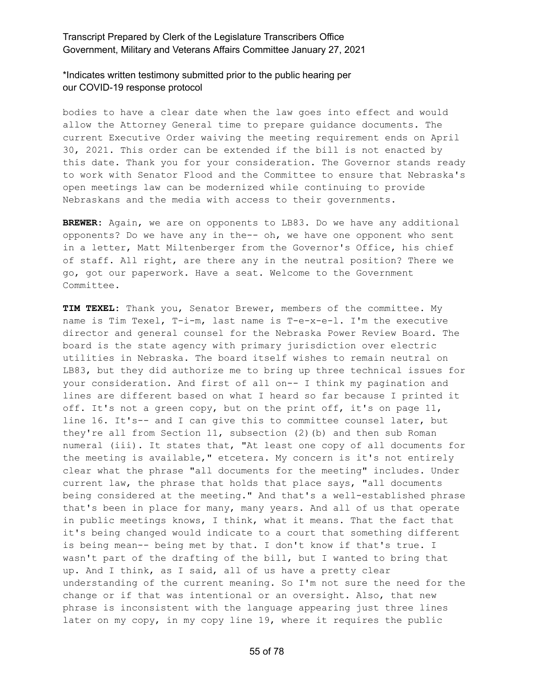\*Indicates written testimony submitted prior to the public hearing per our COVID-19 response protocol

bodies to have a clear date when the law goes into effect and would allow the Attorney General time to prepare guidance documents. The current Executive Order waiving the meeting requirement ends on April 30, 2021. This order can be extended if the bill is not enacted by this date. Thank you for your consideration. The Governor stands ready to work with Senator Flood and the Committee to ensure that Nebraska's open meetings law can be modernized while continuing to provide Nebraskans and the media with access to their governments.

**BREWER:** Again, we are on opponents to LB83. Do we have any additional opponents? Do we have any in the-- oh, we have one opponent who sent in a letter, Matt Miltenberger from the Governor's Office, his chief of staff. All right, are there any in the neutral position? There we go, got our paperwork. Have a seat. Welcome to the Government Committee.

**TIM TEXEL:** Thank you, Senator Brewer, members of the committee. My name is Tim Texel, T-i-m, last name is T-e-x-e-l. I'm the executive director and general counsel for the Nebraska Power Review Board. The board is the state agency with primary jurisdiction over electric utilities in Nebraska. The board itself wishes to remain neutral on LB83, but they did authorize me to bring up three technical issues for your consideration. And first of all on-- I think my pagination and lines are different based on what I heard so far because I printed it off. It's not a green copy, but on the print off, it's on page 11, line 16. It's-- and I can give this to committee counsel later, but they're all from Section 11, subsection (2)(b) and then sub Roman numeral (iii). It states that, "At least one copy of all documents for the meeting is available," etcetera. My concern is it's not entirely clear what the phrase "all documents for the meeting" includes. Under current law, the phrase that holds that place says, "all documents being considered at the meeting." And that's a well-established phrase that's been in place for many, many years. And all of us that operate in public meetings knows, I think, what it means. That the fact that it's being changed would indicate to a court that something different is being mean-- being met by that. I don't know if that's true. I wasn't part of the drafting of the bill, but I wanted to bring that up. And I think, as I said, all of us have a pretty clear understanding of the current meaning. So I'm not sure the need for the change or if that was intentional or an oversight. Also, that new phrase is inconsistent with the language appearing just three lines later on my copy, in my copy line 19, where it requires the public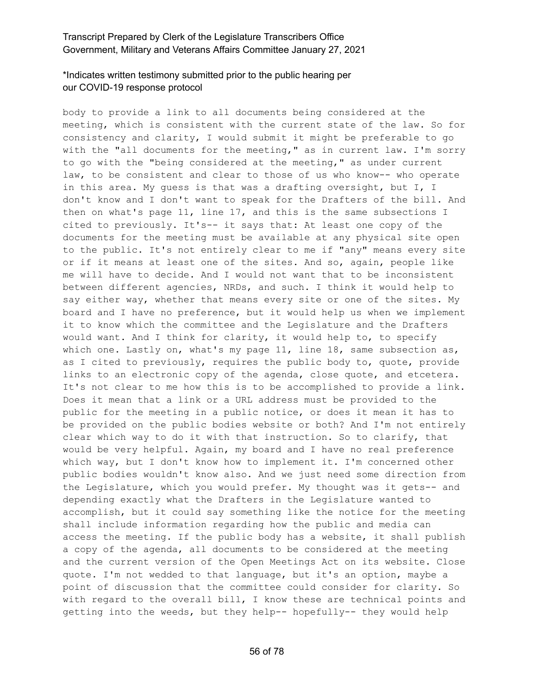# \*Indicates written testimony submitted prior to the public hearing per our COVID-19 response protocol

body to provide a link to all documents being considered at the meeting, which is consistent with the current state of the law. So for consistency and clarity, I would submit it might be preferable to go with the "all documents for the meeting," as in current law. I'm sorry to go with the "being considered at the meeting," as under current law, to be consistent and clear to those of us who know-- who operate in this area. My guess is that was a drafting oversight, but I, I don't know and I don't want to speak for the Drafters of the bill. And then on what's page 11, line 17, and this is the same subsections I cited to previously. It's-- it says that: At least one copy of the documents for the meeting must be available at any physical site open to the public. It's not entirely clear to me if "any" means every site or if it means at least one of the sites. And so, again, people like me will have to decide. And I would not want that to be inconsistent between different agencies, NRDs, and such. I think it would help to say either way, whether that means every site or one of the sites. My board and I have no preference, but it would help us when we implement it to know which the committee and the Legislature and the Drafters would want. And I think for clarity, it would help to, to specify which one. Lastly on, what's my page 11, line 18, same subsection as, as I cited to previously, requires the public body to, quote, provide links to an electronic copy of the agenda, close quote, and etcetera. It's not clear to me how this is to be accomplished to provide a link. Does it mean that a link or a URL address must be provided to the public for the meeting in a public notice, or does it mean it has to be provided on the public bodies website or both? And I'm not entirely clear which way to do it with that instruction. So to clarify, that would be very helpful. Again, my board and I have no real preference which way, but I don't know how to implement it. I'm concerned other public bodies wouldn't know also. And we just need some direction from the Legislature, which you would prefer. My thought was it gets-- and depending exactly what the Drafters in the Legislature wanted to accomplish, but it could say something like the notice for the meeting shall include information regarding how the public and media can access the meeting. If the public body has a website, it shall publish a copy of the agenda, all documents to be considered at the meeting and the current version of the Open Meetings Act on its website. Close quote. I'm not wedded to that language, but it's an option, maybe a point of discussion that the committee could consider for clarity. So with regard to the overall bill, I know these are technical points and getting into the weeds, but they help-- hopefully-- they would help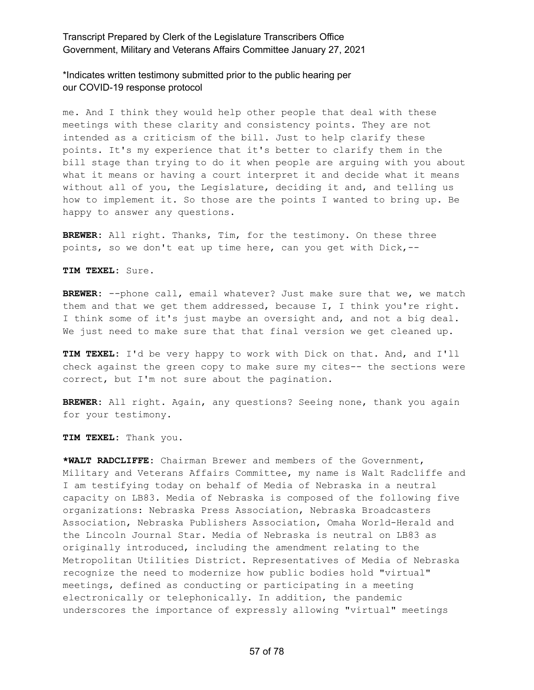\*Indicates written testimony submitted prior to the public hearing per our COVID-19 response protocol

me. And I think they would help other people that deal with these meetings with these clarity and consistency points. They are not intended as a criticism of the bill. Just to help clarify these points. It's my experience that it's better to clarify them in the bill stage than trying to do it when people are arguing with you about what it means or having a court interpret it and decide what it means without all of you, the Legislature, deciding it and, and telling us how to implement it. So those are the points I wanted to bring up. Be happy to answer any questions.

**BREWER:** All right. Thanks, Tim, for the testimony. On these three points, so we don't eat up time here, can you get with Dick,--

**TIM TEXEL:** Sure.

BREWER: --phone call, email whatever? Just make sure that we, we match them and that we get them addressed, because I, I think you're right. I think some of it's just maybe an oversight and, and not a big deal. We just need to make sure that that final version we get cleaned up.

**TIM TEXEL:** I'd be very happy to work with Dick on that. And, and I'll check against the green copy to make sure my cites-- the sections were correct, but I'm not sure about the pagination.

**BREWER:** All right. Again, any questions? Seeing none, thank you again for your testimony.

**TIM TEXEL:** Thank you.

**\*WALT RADCLIFFE:** Chairman Brewer and members of the Government, Military and Veterans Affairs Committee, my name is Walt Radcliffe and I am testifying today on behalf of Media of Nebraska in a neutral capacity on LB83. Media of Nebraska is composed of the following five organizations: Nebraska Press Association, Nebraska Broadcasters Association, Nebraska Publishers Association, Omaha World-Herald and the Lincoln Journal Star. Media of Nebraska is neutral on LB83 as originally introduced, including the amendment relating to the Metropolitan Utilities District. Representatives of Media of Nebraska recognize the need to modernize how public bodies hold "virtual" meetings, defined as conducting or participating in a meeting electronically or telephonically. In addition, the pandemic underscores the importance of expressly allowing "virtual" meetings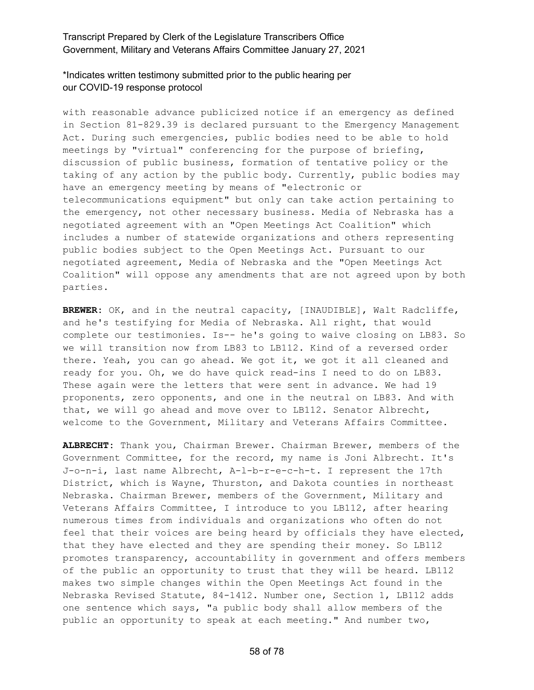### \*Indicates written testimony submitted prior to the public hearing per our COVID-19 response protocol

with reasonable advance publicized notice if an emergency as defined in Section 81-829.39 is declared pursuant to the Emergency Management Act. During such emergencies, public bodies need to be able to hold meetings by "virtual" conferencing for the purpose of briefing, discussion of public business, formation of tentative policy or the taking of any action by the public body. Currently, public bodies may have an emergency meeting by means of "electronic or telecommunications equipment" but only can take action pertaining to the emergency, not other necessary business. Media of Nebraska has a negotiated agreement with an "Open Meetings Act Coalition" which includes a number of statewide organizations and others representing public bodies subject to the Open Meetings Act. Pursuant to our negotiated agreement, Media of Nebraska and the "Open Meetings Act Coalition" will oppose any amendments that are not agreed upon by both parties.

**BREWER:** OK, and in the neutral capacity, [INAUDIBLE], Walt Radcliffe, and he's testifying for Media of Nebraska. All right, that would complete our testimonies. Is-- he's going to waive closing on LB83. So we will transition now from LB83 to LB112. Kind of a reversed order there. Yeah, you can go ahead. We got it, we got it all cleaned and ready for you. Oh, we do have quick read-ins I need to do on LB83. These again were the letters that were sent in advance. We had 19 proponents, zero opponents, and one in the neutral on LB83. And with that, we will go ahead and move over to LB112. Senator Albrecht, welcome to the Government, Military and Veterans Affairs Committee.

**ALBRECHT:** Thank you, Chairman Brewer. Chairman Brewer, members of the Government Committee, for the record, my name is Joni Albrecht. It's J-o-n-i, last name Albrecht, A-l-b-r-e-c-h-t. I represent the 17th District, which is Wayne, Thurston, and Dakota counties in northeast Nebraska. Chairman Brewer, members of the Government, Military and Veterans Affairs Committee, I introduce to you LB112, after hearing numerous times from individuals and organizations who often do not feel that their voices are being heard by officials they have elected, that they have elected and they are spending their money. So LB112 promotes transparency, accountability in government and offers members of the public an opportunity to trust that they will be heard. LB112 makes two simple changes within the Open Meetings Act found in the Nebraska Revised Statute, 84-1412. Number one, Section 1, LB112 adds one sentence which says, "a public body shall allow members of the public an opportunity to speak at each meeting." And number two,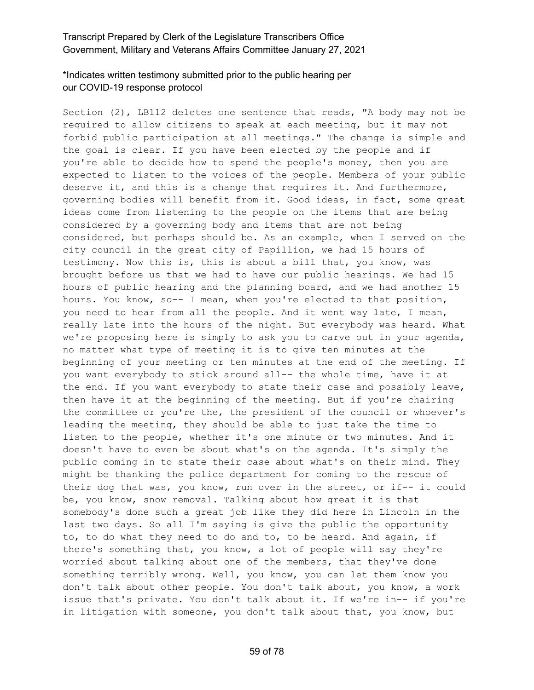# \*Indicates written testimony submitted prior to the public hearing per our COVID-19 response protocol

Section (2), LB112 deletes one sentence that reads, "A body may not be required to allow citizens to speak at each meeting, but it may not forbid public participation at all meetings." The change is simple and the goal is clear. If you have been elected by the people and if you're able to decide how to spend the people's money, then you are expected to listen to the voices of the people. Members of your public deserve it, and this is a change that requires it. And furthermore, governing bodies will benefit from it. Good ideas, in fact, some great ideas come from listening to the people on the items that are being considered by a governing body and items that are not being considered, but perhaps should be. As an example, when I served on the city council in the great city of Papillion, we had 15 hours of testimony. Now this is, this is about a bill that, you know, was brought before us that we had to have our public hearings. We had 15 hours of public hearing and the planning board, and we had another 15 hours. You know, so-- I mean, when you're elected to that position, you need to hear from all the people. And it went way late, I mean, really late into the hours of the night. But everybody was heard. What we're proposing here is simply to ask you to carve out in your agenda, no matter what type of meeting it is to give ten minutes at the beginning of your meeting or ten minutes at the end of the meeting. If you want everybody to stick around all-- the whole time, have it at the end. If you want everybody to state their case and possibly leave, then have it at the beginning of the meeting. But if you're chairing the committee or you're the, the president of the council or whoever's leading the meeting, they should be able to just take the time to listen to the people, whether it's one minute or two minutes. And it doesn't have to even be about what's on the agenda. It's simply the public coming in to state their case about what's on their mind. They might be thanking the police department for coming to the rescue of their dog that was, you know, run over in the street, or if-- it could be, you know, snow removal. Talking about how great it is that somebody's done such a great job like they did here in Lincoln in the last two days. So all I'm saying is give the public the opportunity to, to do what they need to do and to, to be heard. And again, if there's something that, you know, a lot of people will say they're worried about talking about one of the members, that they've done something terribly wrong. Well, you know, you can let them know you don't talk about other people. You don't talk about, you know, a work issue that's private. You don't talk about it. If we're in-- if you're in litigation with someone, you don't talk about that, you know, but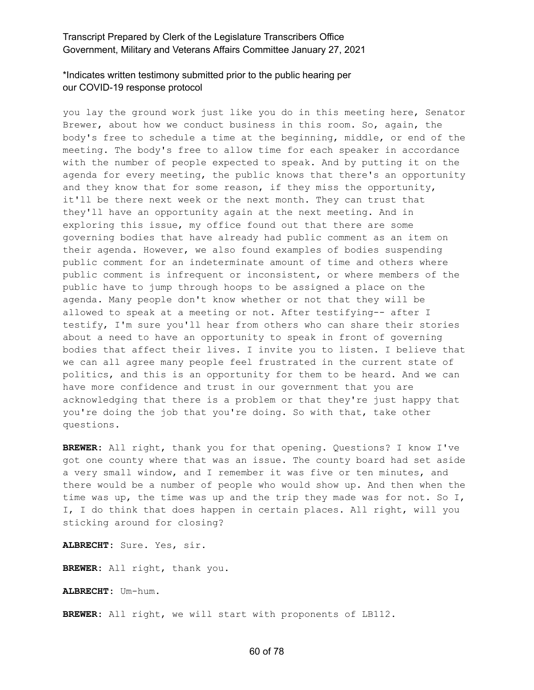# \*Indicates written testimony submitted prior to the public hearing per our COVID-19 response protocol

you lay the ground work just like you do in this meeting here, Senator Brewer, about how we conduct business in this room. So, again, the body's free to schedule a time at the beginning, middle, or end of the meeting. The body's free to allow time for each speaker in accordance with the number of people expected to speak. And by putting it on the agenda for every meeting, the public knows that there's an opportunity and they know that for some reason, if they miss the opportunity, it'll be there next week or the next month. They can trust that they'll have an opportunity again at the next meeting. And in exploring this issue, my office found out that there are some governing bodies that have already had public comment as an item on their agenda. However, we also found examples of bodies suspending public comment for an indeterminate amount of time and others where public comment is infrequent or inconsistent, or where members of the public have to jump through hoops to be assigned a place on the agenda. Many people don't know whether or not that they will be allowed to speak at a meeting or not. After testifying-- after I testify, I'm sure you'll hear from others who can share their stories about a need to have an opportunity to speak in front of governing bodies that affect their lives. I invite you to listen. I believe that we can all agree many people feel frustrated in the current state of politics, and this is an opportunity for them to be heard. And we can have more confidence and trust in our government that you are acknowledging that there is a problem or that they're just happy that you're doing the job that you're doing. So with that, take other questions.

**BREWER:** All right, thank you for that opening. Questions? I know I've got one county where that was an issue. The county board had set aside a very small window, and I remember it was five or ten minutes, and there would be a number of people who would show up. And then when the time was up, the time was up and the trip they made was for not. So I, I, I do think that does happen in certain places. All right, will you sticking around for closing?

**ALBRECHT:** Sure. Yes, sir.

**BREWER:** All right, thank you.

**ALBRECHT:** Um-hum.

**BREWER:** All right, we will start with proponents of LB112.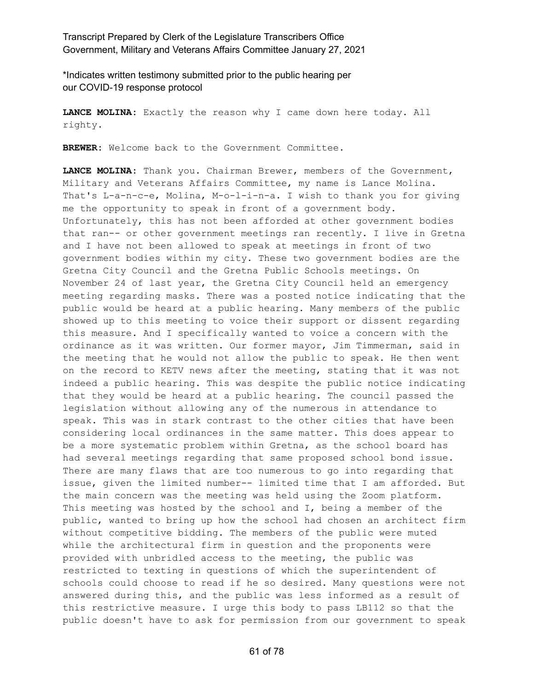\*Indicates written testimony submitted prior to the public hearing per our COVID-19 response protocol

**LANCE MOLINA:** Exactly the reason why I came down here today. All righty.

**BREWER:** Welcome back to the Government Committee.

**LANCE MOLINA:** Thank you. Chairman Brewer, members of the Government, Military and Veterans Affairs Committee, my name is Lance Molina. That's L-a-n-c-e, Molina, M-o-l-i-n-a. I wish to thank you for giving me the opportunity to speak in front of a government body. Unfortunately, this has not been afforded at other government bodies that ran-- or other government meetings ran recently. I live in Gretna and I have not been allowed to speak at meetings in front of two government bodies within my city. These two government bodies are the Gretna City Council and the Gretna Public Schools meetings. On November 24 of last year, the Gretna City Council held an emergency meeting regarding masks. There was a posted notice indicating that the public would be heard at a public hearing. Many members of the public showed up to this meeting to voice their support or dissent regarding this measure. And I specifically wanted to voice a concern with the ordinance as it was written. Our former mayor, Jim Timmerman, said in the meeting that he would not allow the public to speak. He then went on the record to KETV news after the meeting, stating that it was not indeed a public hearing. This was despite the public notice indicating that they would be heard at a public hearing. The council passed the legislation without allowing any of the numerous in attendance to speak. This was in stark contrast to the other cities that have been considering local ordinances in the same matter. This does appear to be a more systematic problem within Gretna, as the school board has had several meetings regarding that same proposed school bond issue. There are many flaws that are too numerous to go into regarding that issue, given the limited number-- limited time that I am afforded. But the main concern was the meeting was held using the Zoom platform. This meeting was hosted by the school and I, being a member of the public, wanted to bring up how the school had chosen an architect firm without competitive bidding. The members of the public were muted while the architectural firm in question and the proponents were provided with unbridled access to the meeting, the public was restricted to texting in questions of which the superintendent of schools could choose to read if he so desired. Many questions were not answered during this, and the public was less informed as a result of this restrictive measure. I urge this body to pass LB112 so that the public doesn't have to ask for permission from our government to speak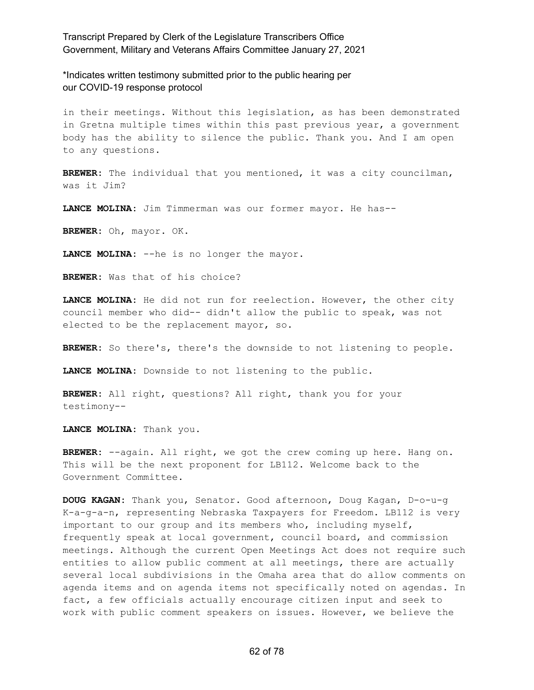\*Indicates written testimony submitted prior to the public hearing per our COVID-19 response protocol

in their meetings. Without this legislation, as has been demonstrated in Gretna multiple times within this past previous year, a government body has the ability to silence the public. Thank you. And I am open to any questions.

**BREWER:** The individual that you mentioned, it was a city councilman, was it Jim?

**LANCE MOLINA:** Jim Timmerman was our former mayor. He has--

**BREWER:** Oh, mayor. OK.

**LANCE MOLINA:** --he is no longer the mayor.

**BREWER:** Was that of his choice?

**LANCE MOLINA:** He did not run for reelection. However, the other city council member who did-- didn't allow the public to speak, was not elected to be the replacement mayor, so.

**BREWER:** So there's, there's the downside to not listening to people.

**LANCE MOLINA:** Downside to not listening to the public.

**BREWER:** All right, questions? All right, thank you for your testimony--

**LANCE MOLINA:** Thank you.

**BREWER:** --again. All right, we got the crew coming up here. Hang on. This will be the next proponent for LB112. Welcome back to the Government Committee.

**DOUG KAGAN:** Thank you, Senator. Good afternoon, Doug Kagan, D-o-u-g K-a-g-a-n, representing Nebraska Taxpayers for Freedom. LB112 is very important to our group and its members who, including myself, frequently speak at local government, council board, and commission meetings. Although the current Open Meetings Act does not require such entities to allow public comment at all meetings, there are actually several local subdivisions in the Omaha area that do allow comments on agenda items and on agenda items not specifically noted on agendas. In fact, a few officials actually encourage citizen input and seek to work with public comment speakers on issues. However, we believe the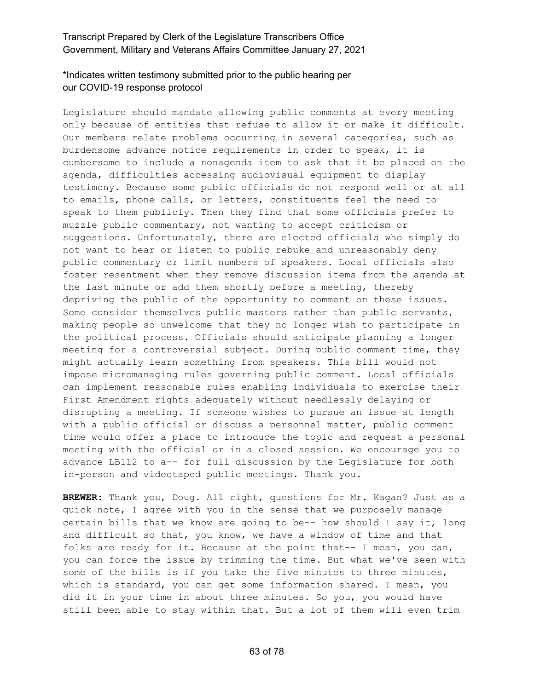# \*Indicates written testimony submitted prior to the public hearing per our COVID-19 response protocol

Legislature should mandate allowing public comments at every meeting only because of entities that refuse to allow it or make it difficult. Our members relate problems occurring in several categories, such as burdensome advance notice requirements in order to speak, it is cumbersome to include a nonagenda item to ask that it be placed on the agenda, difficulties accessing audiovisual equipment to display testimony. Because some public officials do not respond well or at all to emails, phone calls, or letters, constituents feel the need to speak to them publicly. Then they find that some officials prefer to muzzle public commentary, not wanting to accept criticism or suggestions. Unfortunately, there are elected officials who simply do not want to hear or listen to public rebuke and unreasonably deny public commentary or limit numbers of speakers. Local officials also foster resentment when they remove discussion items from the agenda at the last minute or add them shortly before a meeting, thereby depriving the public of the opportunity to comment on these issues. Some consider themselves public masters rather than public servants, making people so unwelcome that they no longer wish to participate in the political process. Officials should anticipate planning a longer meeting for a controversial subject. During public comment time, they might actually learn something from speakers. This bill would not impose micromanaging rules governing public comment. Local officials can implement reasonable rules enabling individuals to exercise their First Amendment rights adequately without needlessly delaying or disrupting a meeting. If someone wishes to pursue an issue at length with a public official or discuss a personnel matter, public comment time would offer a place to introduce the topic and request a personal meeting with the official or in a closed session. We encourage you to advance LB112 to a-- for full discussion by the Legislature for both in-person and videotaped public meetings. Thank you.

**BREWER:** Thank you, Doug. All right, questions for Mr. Kagan? Just as a quick note, I agree with you in the sense that we purposely manage certain bills that we know are going to be-- how should I say it, long and difficult so that, you know, we have a window of time and that folks are ready for it. Because at the point that-- I mean, you can, you can force the issue by trimming the time. But what we've seen with some of the bills is if you take the five minutes to three minutes, which is standard, you can get some information shared. I mean, you did it in your time in about three minutes. So you, you would have still been able to stay within that. But a lot of them will even trim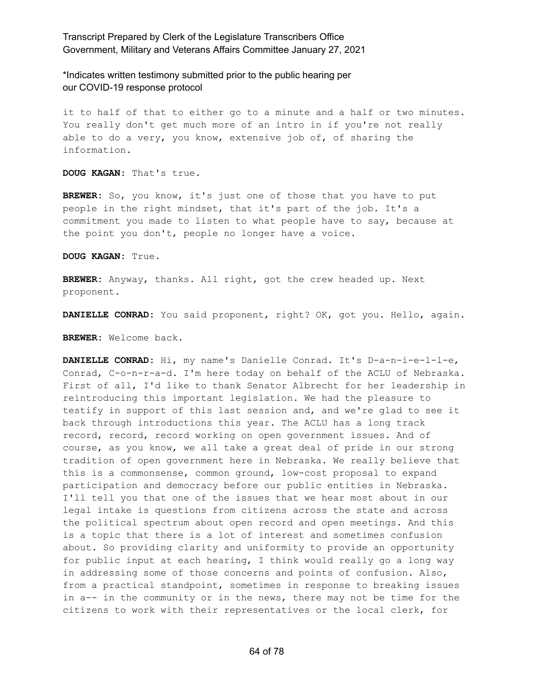\*Indicates written testimony submitted prior to the public hearing per our COVID-19 response protocol

it to half of that to either go to a minute and a half or two minutes. You really don't get much more of an intro in if you're not really able to do a very, you know, extensive job of, of sharing the information.

**DOUG KAGAN:** That's true.

**BREWER:** So, you know, it's just one of those that you have to put people in the right mindset, that it's part of the job. It's a commitment you made to listen to what people have to say, because at the point you don't, people no longer have a voice.

**DOUG KAGAN:** True.

**BREWER:** Anyway, thanks. All right, got the crew headed up. Next proponent.

**DANIELLE CONRAD:** You said proponent, right? OK, got you. Hello, again.

**BREWER:** Welcome back.

**DANIELLE CONRAD:** Hi, my name's Danielle Conrad. It's D-a-n-i-e-l-l-e, Conrad, C-o-n-r-a-d. I'm here today on behalf of the ACLU of Nebraska. First of all, I'd like to thank Senator Albrecht for her leadership in reintroducing this important legislation. We had the pleasure to testify in support of this last session and, and we're glad to see it back through introductions this year. The ACLU has a long track record, record, record working on open government issues. And of course, as you know, we all take a great deal of pride in our strong tradition of open government here in Nebraska. We really believe that this is a commonsense, common ground, low-cost proposal to expand participation and democracy before our public entities in Nebraska. I'll tell you that one of the issues that we hear most about in our legal intake is questions from citizens across the state and across the political spectrum about open record and open meetings. And this is a topic that there is a lot of interest and sometimes confusion about. So providing clarity and uniformity to provide an opportunity for public input at each hearing, I think would really go a long way in addressing some of those concerns and points of confusion. Also, from a practical standpoint, sometimes in response to breaking issues in a-- in the community or in the news, there may not be time for the citizens to work with their representatives or the local clerk, for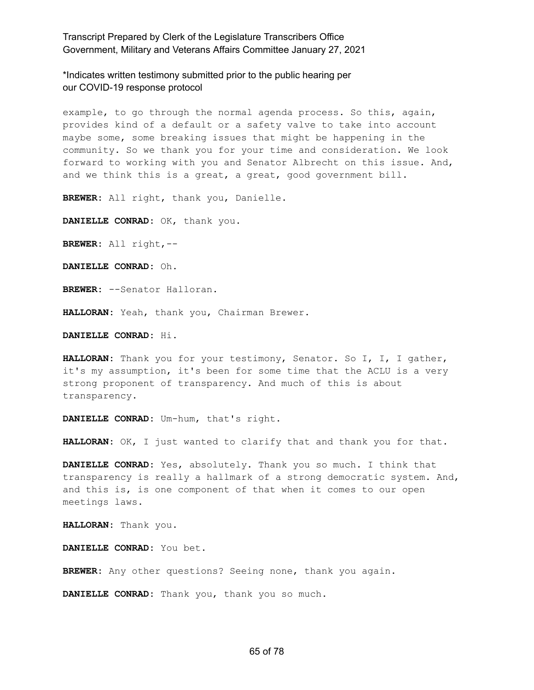\*Indicates written testimony submitted prior to the public hearing per our COVID-19 response protocol

example, to go through the normal agenda process. So this, again, provides kind of a default or a safety valve to take into account maybe some, some breaking issues that might be happening in the community. So we thank you for your time and consideration. We look forward to working with you and Senator Albrecht on this issue. And, and we think this is a great, a great, good government bill.

**BREWER:** All right, thank you, Danielle.

**DANIELLE CONRAD:** OK, thank you.

**BREWER:** All right,--

**DANIELLE CONRAD:** Oh.

**BREWER:** --Senator Halloran.

**HALLORAN:** Yeah, thank you, Chairman Brewer.

**DANIELLE CONRAD:** Hi.

**HALLORAN:** Thank you for your testimony, Senator. So I, I, I gather, it's my assumption, it's been for some time that the ACLU is a very strong proponent of transparency. And much of this is about transparency.

**DANIELLE CONRAD:** Um-hum, that's right.

**HALLORAN:** OK, I just wanted to clarify that and thank you for that.

**DANIELLE CONRAD:** Yes, absolutely. Thank you so much. I think that transparency is really a hallmark of a strong democratic system. And, and this is, is one component of that when it comes to our open meetings laws.

**HALLORAN:** Thank you.

**DANIELLE CONRAD:** You bet.

**BREWER:** Any other questions? Seeing none, thank you again.

**DANIELLE CONRAD:** Thank you, thank you so much.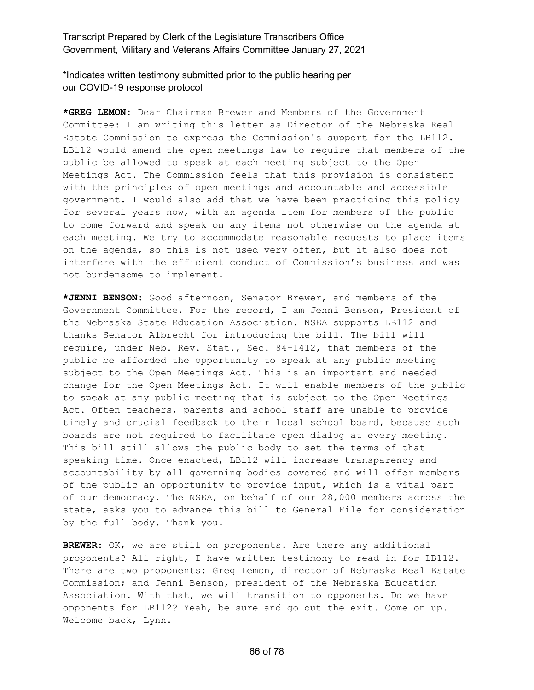\*Indicates written testimony submitted prior to the public hearing per our COVID-19 response protocol

**\*GREG LEMON:** Dear Chairman Brewer and Members of the Government Committee: I am writing this letter as Director of the Nebraska Real Estate Commission to express the Commission's support for the LB112. LBl12 would amend the open meetings law to require that members of the public be allowed to speak at each meeting subject to the Open Meetings Act. The Commission feels that this provision is consistent with the principles of open meetings and accountable and accessible government. I would also add that we have been practicing this policy for several years now, with an agenda item for members of the public to come forward and speak on any items not otherwise on the agenda at each meeting. We try to accommodate reasonable requests to place items on the agenda, so this is not used very often, but it also does not interfere with the efficient conduct of Commission's business and was not burdensome to implement.

**\*JENNI BENSON:** Good afternoon, Senator Brewer, and members of the Government Committee. For the record, I am Jenni Benson, President of the Nebraska State Education Association. NSEA supports LB112 and thanks Senator Albrecht for introducing the bill. The bill will require, under Neb. Rev. Stat., Sec. 84-1412, that members of the public be afforded the opportunity to speak at any public meeting subject to the Open Meetings Act. This is an important and needed change for the Open Meetings Act. It will enable members of the public to speak at any public meeting that is subject to the Open Meetings Act. Often teachers, parents and school staff are unable to provide timely and crucial feedback to their local school board, because such boards are not required to facilitate open dialog at every meeting. This bill still allows the public body to set the terms of that speaking time. Once enacted, LBl12 will increase transparency and accountability by all governing bodies covered and will offer members of the public an opportunity to provide input, which is a vital part of our democracy. The NSEA, on behalf of our 28,000 members across the state, asks you to advance this bill to General File for consideration by the full body. Thank you.

**BREWER:** OK, we are still on proponents. Are there any additional proponents? All right, I have written testimony to read in for LB112. There are two proponents: Greg Lemon, director of Nebraska Real Estate Commission; and Jenni Benson, president of the Nebraska Education Association. With that, we will transition to opponents. Do we have opponents for LB112? Yeah, be sure and go out the exit. Come on up. Welcome back, Lynn.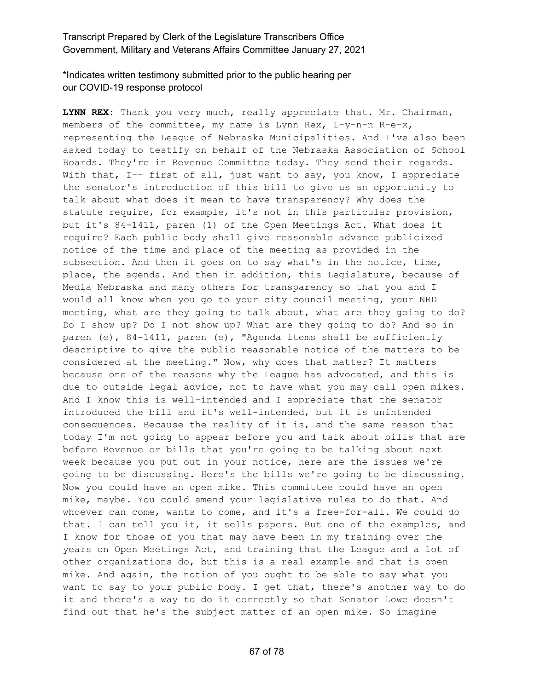### \*Indicates written testimony submitted prior to the public hearing per our COVID-19 response protocol

**LYNN REX:** Thank you very much, really appreciate that. Mr. Chairman, members of the committee, my name is Lynn Rex, L-y-n-n R-e-x, representing the League of Nebraska Municipalities. And I've also been asked today to testify on behalf of the Nebraska Association of School Boards. They're in Revenue Committee today. They send their regards. With that, I-- first of all, just want to say, you know, I appreciate the senator's introduction of this bill to give us an opportunity to talk about what does it mean to have transparency? Why does the statute require, for example, it's not in this particular provision, but it's 84-1411, paren (1) of the Open Meetings Act. What does it require? Each public body shall give reasonable advance publicized notice of the time and place of the meeting as provided in the subsection. And then it goes on to say what's in the notice, time, place, the agenda. And then in addition, this Legislature, because of Media Nebraska and many others for transparency so that you and I would all know when you go to your city council meeting, your NRD meeting, what are they going to talk about, what are they going to do? Do I show up? Do I not show up? What are they going to do? And so in paren (e), 84-1411, paren (e), "Agenda items shall be sufficiently descriptive to give the public reasonable notice of the matters to be considered at the meeting." Now, why does that matter? It matters because one of the reasons why the League has advocated, and this is due to outside legal advice, not to have what you may call open mikes. And I know this is well-intended and I appreciate that the senator introduced the bill and it's well-intended, but it is unintended consequences. Because the reality of it is, and the same reason that today I'm not going to appear before you and talk about bills that are before Revenue or bills that you're going to be talking about next week because you put out in your notice, here are the issues we're going to be discussing. Here's the bills we're going to be discussing. Now you could have an open mike. This committee could have an open mike, maybe. You could amend your legislative rules to do that. And whoever can come, wants to come, and it's a free-for-all. We could do that. I can tell you it, it sells papers. But one of the examples, and I know for those of you that may have been in my training over the years on Open Meetings Act, and training that the League and a lot of other organizations do, but this is a real example and that is open mike. And again, the notion of you ought to be able to say what you want to say to your public body. I get that, there's another way to do it and there's a way to do it correctly so that Senator Lowe doesn't find out that he's the subject matter of an open mike. So imagine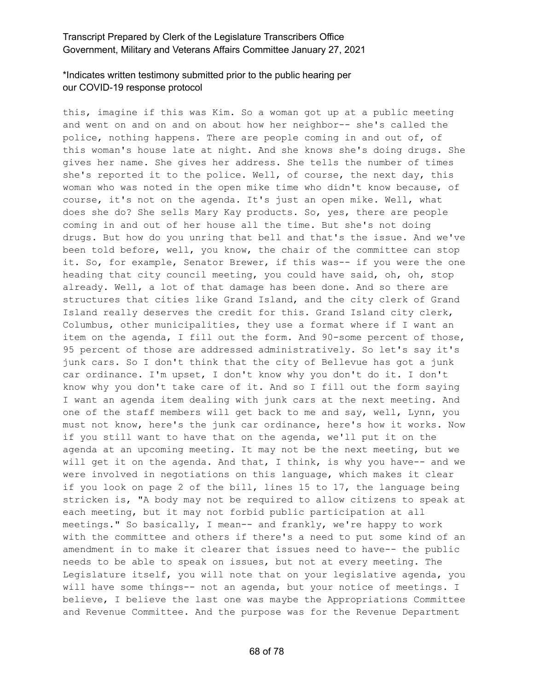# \*Indicates written testimony submitted prior to the public hearing per our COVID-19 response protocol

this, imagine if this was Kim. So a woman got up at a public meeting and went on and on and on about how her neighbor-- she's called the police, nothing happens. There are people coming in and out of, of this woman's house late at night. And she knows she's doing drugs. She gives her name. She gives her address. She tells the number of times she's reported it to the police. Well, of course, the next day, this woman who was noted in the open mike time who didn't know because, of course, it's not on the agenda. It's just an open mike. Well, what does she do? She sells Mary Kay products. So, yes, there are people coming in and out of her house all the time. But she's not doing drugs. But how do you unring that bell and that's the issue. And we've been told before, well, you know, the chair of the committee can stop it. So, for example, Senator Brewer, if this was-- if you were the one heading that city council meeting, you could have said, oh, oh, stop already. Well, a lot of that damage has been done. And so there are structures that cities like Grand Island, and the city clerk of Grand Island really deserves the credit for this. Grand Island city clerk, Columbus, other municipalities, they use a format where if I want an item on the agenda, I fill out the form. And 90-some percent of those, 95 percent of those are addressed administratively. So let's say it's junk cars. So I don't think that the city of Bellevue has got a junk car ordinance. I'm upset, I don't know why you don't do it. I don't know why you don't take care of it. And so I fill out the form saying I want an agenda item dealing with junk cars at the next meeting. And one of the staff members will get back to me and say, well, Lynn, you must not know, here's the junk car ordinance, here's how it works. Now if you still want to have that on the agenda, we'll put it on the agenda at an upcoming meeting. It may not be the next meeting, but we will get it on the agenda. And that, I think, is why you have-- and we were involved in negotiations on this language, which makes it clear if you look on page 2 of the bill, lines 15 to 17, the language being stricken is, "A body may not be required to allow citizens to speak at each meeting, but it may not forbid public participation at all meetings." So basically, I mean-- and frankly, we're happy to work with the committee and others if there's a need to put some kind of an amendment in to make it clearer that issues need to have-- the public needs to be able to speak on issues, but not at every meeting. The Legislature itself, you will note that on your legislative agenda, you will have some things-- not an agenda, but your notice of meetings. I believe, I believe the last one was maybe the Appropriations Committee and Revenue Committee. And the purpose was for the Revenue Department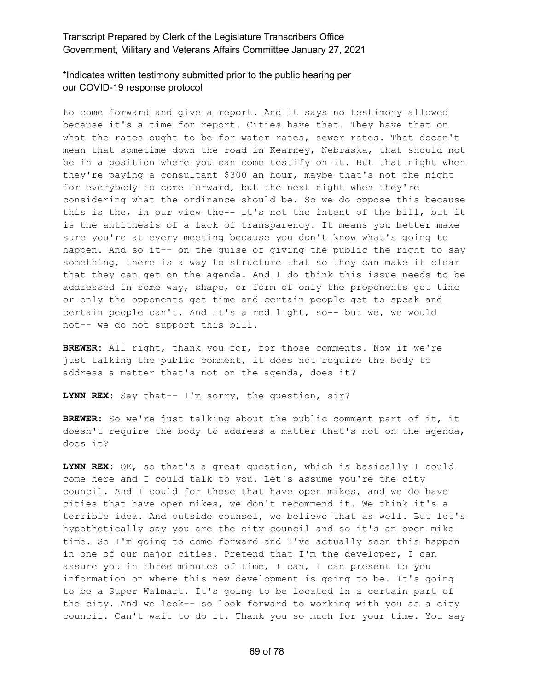### \*Indicates written testimony submitted prior to the public hearing per our COVID-19 response protocol

to come forward and give a report. And it says no testimony allowed because it's a time for report. Cities have that. They have that on what the rates ought to be for water rates, sewer rates. That doesn't mean that sometime down the road in Kearney, Nebraska, that should not be in a position where you can come testify on it. But that night when they're paying a consultant \$300 an hour, maybe that's not the night for everybody to come forward, but the next night when they're considering what the ordinance should be. So we do oppose this because this is the, in our view the-- it's not the intent of the bill, but it is the antithesis of a lack of transparency. It means you better make sure you're at every meeting because you don't know what's going to happen. And so it-- on the guise of giving the public the right to say something, there is a way to structure that so they can make it clear that they can get on the agenda. And I do think this issue needs to be addressed in some way, shape, or form of only the proponents get time or only the opponents get time and certain people get to speak and certain people can't. And it's a red light, so-- but we, we would not-- we do not support this bill.

**BREWER:** All right, thank you for, for those comments. Now if we're just talking the public comment, it does not require the body to address a matter that's not on the agenda, does it?

**LYNN REX:** Say that-- I'm sorry, the question, sir?

**BREWER:** So we're just talking about the public comment part of it, it doesn't require the body to address a matter that's not on the agenda, does it?

**LYNN REX:** OK, so that's a great question, which is basically I could come here and I could talk to you. Let's assume you're the city council. And I could for those that have open mikes, and we do have cities that have open mikes, we don't recommend it. We think it's a terrible idea. And outside counsel, we believe that as well. But let's hypothetically say you are the city council and so it's an open mike time. So I'm going to come forward and I've actually seen this happen in one of our major cities. Pretend that I'm the developer, I can assure you in three minutes of time, I can, I can present to you information on where this new development is going to be. It's going to be a Super Walmart. It's going to be located in a certain part of the city. And we look-- so look forward to working with you as a city council. Can't wait to do it. Thank you so much for your time. You say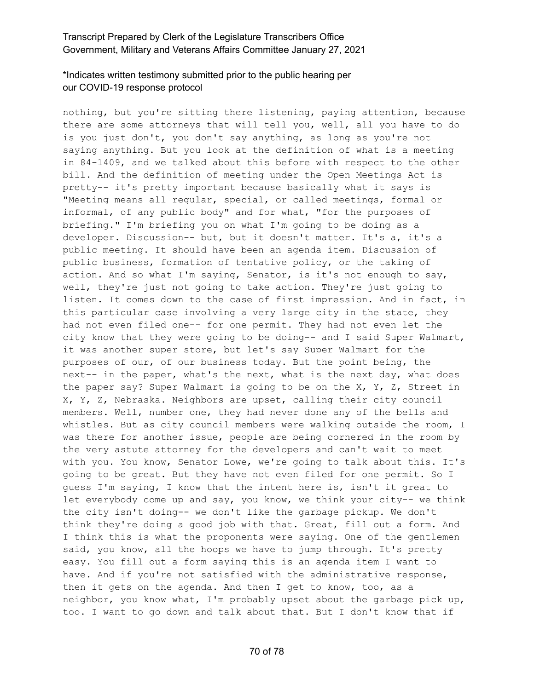# \*Indicates written testimony submitted prior to the public hearing per our COVID-19 response protocol

nothing, but you're sitting there listening, paying attention, because there are some attorneys that will tell you, well, all you have to do is you just don't, you don't say anything, as long as you're not saying anything. But you look at the definition of what is a meeting in 84-1409, and we talked about this before with respect to the other bill. And the definition of meeting under the Open Meetings Act is pretty-- it's pretty important because basically what it says is "Meeting means all regular, special, or called meetings, formal or informal, of any public body" and for what, "for the purposes of briefing." I'm briefing you on what I'm going to be doing as a developer. Discussion-- but, but it doesn't matter. It's a, it's a public meeting. It should have been an agenda item. Discussion of public business, formation of tentative policy, or the taking of action. And so what I'm saying, Senator, is it's not enough to say, well, they're just not going to take action. They're just going to listen. It comes down to the case of first impression. And in fact, in this particular case involving a very large city in the state, they had not even filed one-- for one permit. They had not even let the city know that they were going to be doing-- and I said Super Walmart, it was another super store, but let's say Super Walmart for the purposes of our, of our business today. But the point being, the next-- in the paper, what's the next, what is the next day, what does the paper say? Super Walmart is going to be on the X, Y, Z, Street in X, Y, Z, Nebraska. Neighbors are upset, calling their city council members. Well, number one, they had never done any of the bells and whistles. But as city council members were walking outside the room, I was there for another issue, people are being cornered in the room by the very astute attorney for the developers and can't wait to meet with you. You know, Senator Lowe, we're going to talk about this. It's going to be great. But they have not even filed for one permit. So I guess I'm saying, I know that the intent here is, isn't it great to let everybody come up and say, you know, we think your city-- we think the city isn't doing-- we don't like the garbage pickup. We don't think they're doing a good job with that. Great, fill out a form. And I think this is what the proponents were saying. One of the gentlemen said, you know, all the hoops we have to jump through. It's pretty easy. You fill out a form saying this is an agenda item I want to have. And if you're not satisfied with the administrative response, then it gets on the agenda. And then I get to know, too, as a neighbor, you know what, I'm probably upset about the garbage pick up, too. I want to go down and talk about that. But I don't know that if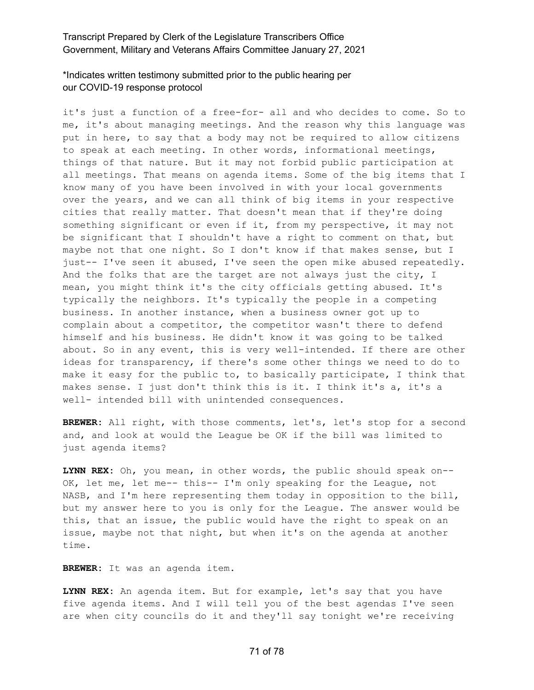### \*Indicates written testimony submitted prior to the public hearing per our COVID-19 response protocol

it's just a function of a free-for- all and who decides to come. So to me, it's about managing meetings. And the reason why this language was put in here, to say that a body may not be required to allow citizens to speak at each meeting. In other words, informational meetings, things of that nature. But it may not forbid public participation at all meetings. That means on agenda items. Some of the big items that I know many of you have been involved in with your local governments over the years, and we can all think of big items in your respective cities that really matter. That doesn't mean that if they're doing something significant or even if it, from my perspective, it may not be significant that I shouldn't have a right to comment on that, but maybe not that one night. So I don't know if that makes sense, but I just-- I've seen it abused, I've seen the open mike abused repeatedly. And the folks that are the target are not always just the city, I mean, you might think it's the city officials getting abused. It's typically the neighbors. It's typically the people in a competing business. In another instance, when a business owner got up to complain about a competitor, the competitor wasn't there to defend himself and his business. He didn't know it was going to be talked about. So in any event, this is very well-intended. If there are other ideas for transparency, if there's some other things we need to do to make it easy for the public to, to basically participate, I think that makes sense. I just don't think this is it. I think it's a, it's a well- intended bill with unintended consequences.

**BREWER:** All right, with those comments, let's, let's stop for a second and, and look at would the League be OK if the bill was limited to just agenda items?

**LYNN REX:** Oh, you mean, in other words, the public should speak on-- OK, let me, let me-- this-- I'm only speaking for the League, not NASB, and I'm here representing them today in opposition to the bill, but my answer here to you is only for the League. The answer would be this, that an issue, the public would have the right to speak on an issue, maybe not that night, but when it's on the agenda at another time.

**BREWER:** It was an agenda item.

**LYNN REX:** An agenda item. But for example, let's say that you have five agenda items. And I will tell you of the best agendas I've seen are when city councils do it and they'll say tonight we're receiving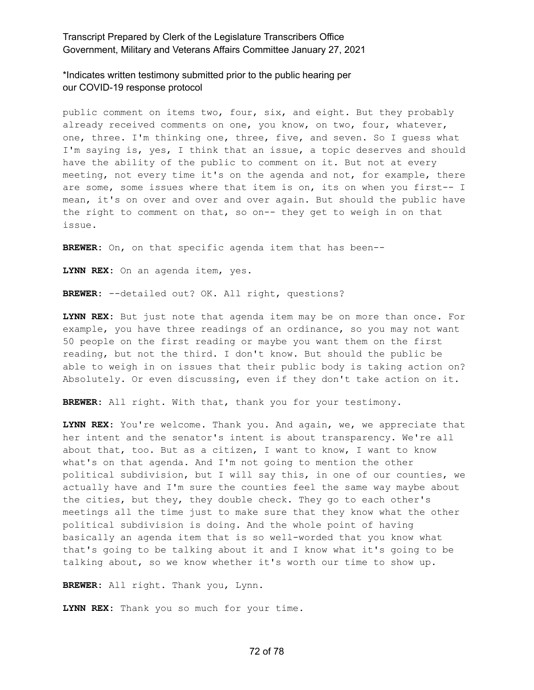\*Indicates written testimony submitted prior to the public hearing per our COVID-19 response protocol

public comment on items two, four, six, and eight. But they probably already received comments on one, you know, on two, four, whatever, one, three. I'm thinking one, three, five, and seven. So I guess what I'm saying is, yes, I think that an issue, a topic deserves and should have the ability of the public to comment on it. But not at every meeting, not every time it's on the agenda and not, for example, there are some, some issues where that item is on, its on when you first-- I mean, it's on over and over and over again. But should the public have the right to comment on that, so on-- they get to weigh in on that issue.

**BREWER:** On, on that specific agenda item that has been--

**LYNN REX:** On an agenda item, yes.

**BREWER:** --detailed out? OK. All right, questions?

**LYNN REX:** But just note that agenda item may be on more than once. For example, you have three readings of an ordinance, so you may not want 50 people on the first reading or maybe you want them on the first reading, but not the third. I don't know. But should the public be able to weigh in on issues that their public body is taking action on? Absolutely. Or even discussing, even if they don't take action on it.

**BREWER:** All right. With that, thank you for your testimony.

**LYNN REX:** You're welcome. Thank you. And again, we, we appreciate that her intent and the senator's intent is about transparency. We're all about that, too. But as a citizen, I want to know, I want to know what's on that agenda. And I'm not going to mention the other political subdivision, but I will say this, in one of our counties, we actually have and I'm sure the counties feel the same way maybe about the cities, but they, they double check. They go to each other's meetings all the time just to make sure that they know what the other political subdivision is doing. And the whole point of having basically an agenda item that is so well-worded that you know what that's going to be talking about it and I know what it's going to be talking about, so we know whether it's worth our time to show up.

**BREWER:** All right. Thank you, Lynn.

**LYNN REX:** Thank you so much for your time.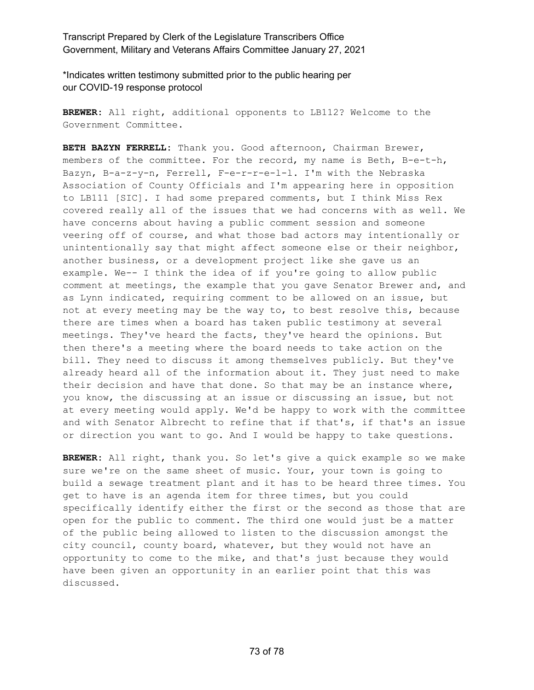\*Indicates written testimony submitted prior to the public hearing per our COVID-19 response protocol

**BREWER:** All right, additional opponents to LB112? Welcome to the Government Committee.

**BETH BAZYN FERRELL:** Thank you. Good afternoon, Chairman Brewer, members of the committee. For the record, my name is Beth, B-e-t-h, Bazyn, B-a-z-y-n, Ferrell, F-e-r-r-e-l-l. I'm with the Nebraska Association of County Officials and I'm appearing here in opposition to LB111 [SIC]. I had some prepared comments, but I think Miss Rex covered really all of the issues that we had concerns with as well. We have concerns about having a public comment session and someone veering off of course, and what those bad actors may intentionally or unintentionally say that might affect someone else or their neighbor, another business, or a development project like she gave us an example. We-- I think the idea of if you're going to allow public comment at meetings, the example that you gave Senator Brewer and, and as Lynn indicated, requiring comment to be allowed on an issue, but not at every meeting may be the way to, to best resolve this, because there are times when a board has taken public testimony at several meetings. They've heard the facts, they've heard the opinions. But then there's a meeting where the board needs to take action on the bill. They need to discuss it among themselves publicly. But they've already heard all of the information about it. They just need to make their decision and have that done. So that may be an instance where, you know, the discussing at an issue or discussing an issue, but not at every meeting would apply. We'd be happy to work with the committee and with Senator Albrecht to refine that if that's, if that's an issue or direction you want to go. And I would be happy to take questions.

**BREWER:** All right, thank you. So let's give a quick example so we make sure we're on the same sheet of music. Your, your town is going to build a sewage treatment plant and it has to be heard three times. You get to have is an agenda item for three times, but you could specifically identify either the first or the second as those that are open for the public to comment. The third one would just be a matter of the public being allowed to listen to the discussion amongst the city council, county board, whatever, but they would not have an opportunity to come to the mike, and that's just because they would have been given an opportunity in an earlier point that this was discussed.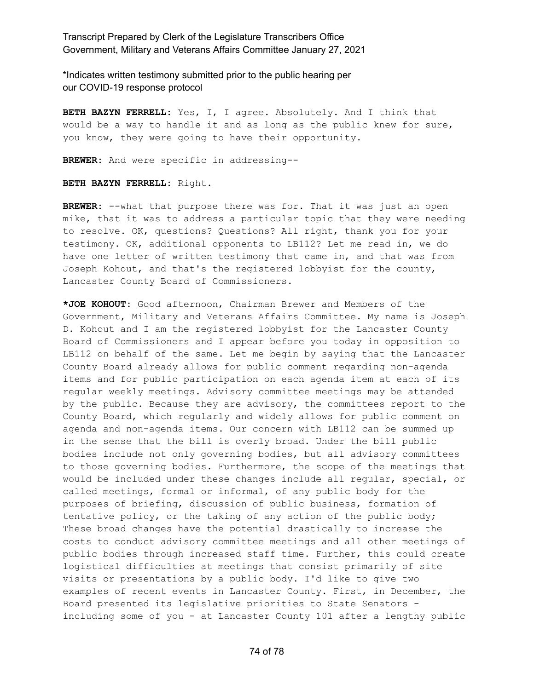\*Indicates written testimony submitted prior to the public hearing per our COVID-19 response protocol

**BETH BAZYN FERRELL:** Yes, I, I agree. Absolutely. And I think that would be a way to handle it and as long as the public knew for sure, you know, they were going to have their opportunity.

**BREWER:** And were specific in addressing--

**BETH BAZYN FERRELL:** Right.

**BREWER:** --what that purpose there was for. That it was just an open mike, that it was to address a particular topic that they were needing to resolve. OK, questions? Questions? All right, thank you for your testimony. OK, additional opponents to LB112? Let me read in, we do have one letter of written testimony that came in, and that was from Joseph Kohout, and that's the registered lobbyist for the county, Lancaster County Board of Commissioners.

**\*JOE KOHOUT:** Good afternoon, Chairman Brewer and Members of the Government, Military and Veterans Affairs Committee. My name is Joseph D. Kohout and I am the registered lobbyist for the Lancaster County Board of Commissioners and I appear before you today in opposition to LB112 on behalf of the same. Let me begin by saying that the Lancaster County Board already allows for public comment regarding non-agenda items and for public participation on each agenda item at each of its regular weekly meetings. Advisory committee meetings may be attended by the public. Because they are advisory, the committees report to the County Board, which regularly and widely allows for public comment on agenda and non-agenda items. Our concern with LB112 can be summed up in the sense that the bill is overly broad. Under the bill public bodies include not only governing bodies, but all advisory committees to those governing bodies. Furthermore, the scope of the meetings that would be included under these changes include all regular, special, or called meetings, formal or informal, of any public body for the purposes of briefing, discussion of public business, formation of tentative policy, or the taking of any action of the public body; These broad changes have the potential drastically to increase the costs to conduct advisory committee meetings and all other meetings of public bodies through increased staff time. Further, this could create logistical difficulties at meetings that consist primarily of site visits or presentations by a public body. I'd like to give two examples of recent events in Lancaster County. First, in December, the Board presented its legislative priorities to State Senators including some of you - at Lancaster County 101 after a lengthy public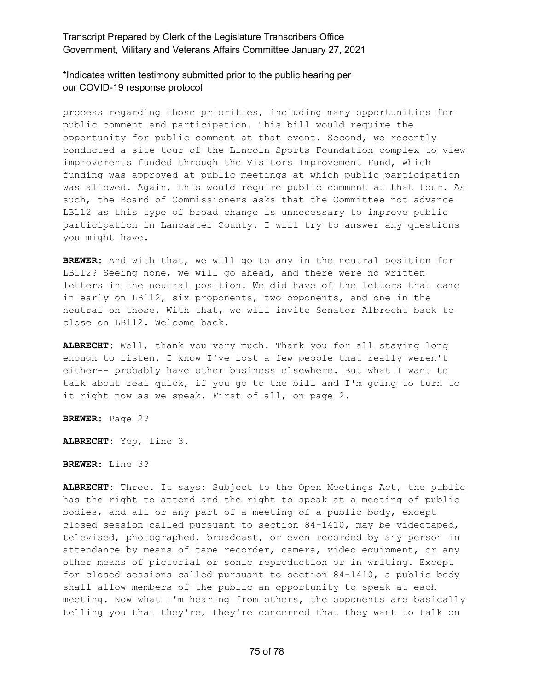\*Indicates written testimony submitted prior to the public hearing per our COVID-19 response protocol

process regarding those priorities, including many opportunities for public comment and participation. This bill would require the opportunity for public comment at that event. Second, we recently conducted a site tour of the Lincoln Sports Foundation complex to view improvements funded through the Visitors Improvement Fund, which funding was approved at public meetings at which public participation was allowed. Again, this would require public comment at that tour. As such, the Board of Commissioners asks that the Committee not advance LB112 as this type of broad change is unnecessary to improve public participation in Lancaster County. I will try to answer any questions you might have.

**BREWER:** And with that, we will go to any in the neutral position for LB112? Seeing none, we will go ahead, and there were no written letters in the neutral position. We did have of the letters that came in early on LB112, six proponents, two opponents, and one in the neutral on those. With that, we will invite Senator Albrecht back to close on LB112. Welcome back.

**ALBRECHT:** Well, thank you very much. Thank you for all staying long enough to listen. I know I've lost a few people that really weren't either-- probably have other business elsewhere. But what I want to talk about real quick, if you go to the bill and I'm going to turn to it right now as we speak. First of all, on page 2.

**BREWER:** Page 2?

**ALBRECHT:** Yep, line 3.

**BREWER:** Line 3?

**ALBRECHT:** Three. It says: Subject to the Open Meetings Act, the public has the right to attend and the right to speak at a meeting of public bodies, and all or any part of a meeting of a public body, except closed session called pursuant to section 84-1410, may be videotaped, televised, photographed, broadcast, or even recorded by any person in attendance by means of tape recorder, camera, video equipment, or any other means of pictorial or sonic reproduction or in writing. Except for closed sessions called pursuant to section 84-1410, a public body shall allow members of the public an opportunity to speak at each meeting. Now what I'm hearing from others, the opponents are basically telling you that they're, they're concerned that they want to talk on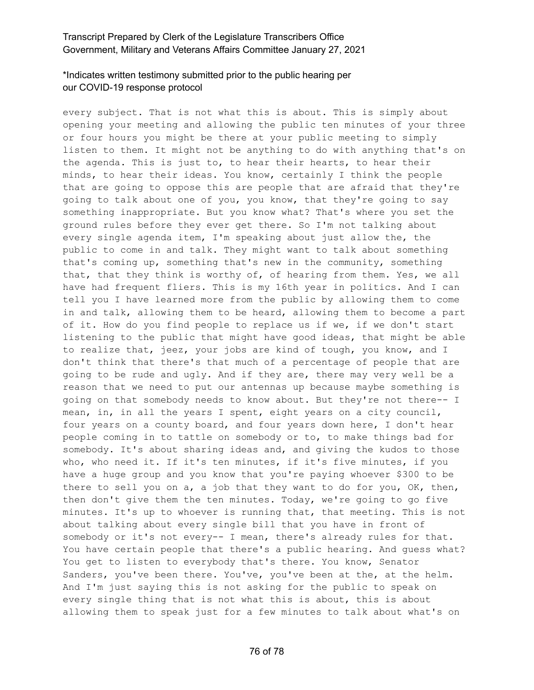## \*Indicates written testimony submitted prior to the public hearing per our COVID-19 response protocol

every subject. That is not what this is about. This is simply about opening your meeting and allowing the public ten minutes of your three or four hours you might be there at your public meeting to simply listen to them. It might not be anything to do with anything that's on the agenda. This is just to, to hear their hearts, to hear their minds, to hear their ideas. You know, certainly I think the people that are going to oppose this are people that are afraid that they're going to talk about one of you, you know, that they're going to say something inappropriate. But you know what? That's where you set the ground rules before they ever get there. So I'm not talking about every single agenda item, I'm speaking about just allow the, the public to come in and talk. They might want to talk about something that's coming up, something that's new in the community, something that, that they think is worthy of, of hearing from them. Yes, we all have had frequent fliers. This is my 16th year in politics. And I can tell you I have learned more from the public by allowing them to come in and talk, allowing them to be heard, allowing them to become a part of it. How do you find people to replace us if we, if we don't start listening to the public that might have good ideas, that might be able to realize that, jeez, your jobs are kind of tough, you know, and I don't think that there's that much of a percentage of people that are going to be rude and ugly. And if they are, there may very well be a reason that we need to put our antennas up because maybe something is going on that somebody needs to know about. But they're not there-- I mean, in, in all the years I spent, eight years on a city council, four years on a county board, and four years down here, I don't hear people coming in to tattle on somebody or to, to make things bad for somebody. It's about sharing ideas and, and giving the kudos to those who, who need it. If it's ten minutes, if it's five minutes, if you have a huge group and you know that you're paying whoever \$300 to be there to sell you on a, a job that they want to do for you, OK, then, then don't give them the ten minutes. Today, we're going to go five minutes. It's up to whoever is running that, that meeting. This is not about talking about every single bill that you have in front of somebody or it's not every-- I mean, there's already rules for that. You have certain people that there's a public hearing. And guess what? You get to listen to everybody that's there. You know, Senator Sanders, you've been there. You've, you've been at the, at the helm. And I'm just saying this is not asking for the public to speak on every single thing that is not what this is about, this is about allowing them to speak just for a few minutes to talk about what's on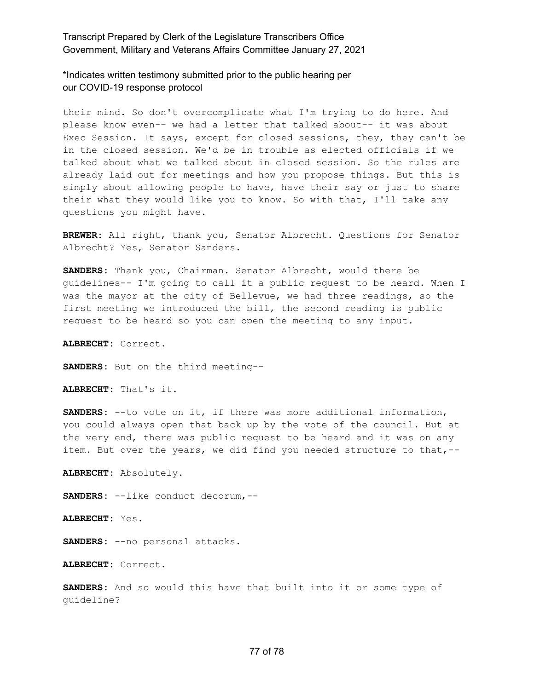\*Indicates written testimony submitted prior to the public hearing per our COVID-19 response protocol

their mind. So don't overcomplicate what I'm trying to do here. And please know even-- we had a letter that talked about-- it was about Exec Session. It says, except for closed sessions, they, they can't be in the closed session. We'd be in trouble as elected officials if we talked about what we talked about in closed session. So the rules are already laid out for meetings and how you propose things. But this is simply about allowing people to have, have their say or just to share their what they would like you to know. So with that, I'll take any questions you might have.

**BREWER:** All right, thank you, Senator Albrecht. Questions for Senator Albrecht? Yes, Senator Sanders.

**SANDERS:** Thank you, Chairman. Senator Albrecht, would there be guidelines-- I'm going to call it a public request to be heard. When I was the mayor at the city of Bellevue, we had three readings, so the first meeting we introduced the bill, the second reading is public request to be heard so you can open the meeting to any input.

**ALBRECHT:** Correct.

**SANDERS:** But on the third meeting--

**ALBRECHT:** That's it.

**SANDERS:** --to vote on it, if there was more additional information, you could always open that back up by the vote of the council. But at the very end, there was public request to be heard and it was on any item. But over the years, we did find you needed structure to that, --

**ALBRECHT:** Absolutely.

**SANDERS:** --like conduct decorum,--

**ALBRECHT:** Yes.

**SANDERS:** --no personal attacks.

**ALBRECHT:** Correct.

**SANDERS:** And so would this have that built into it or some type of guideline?